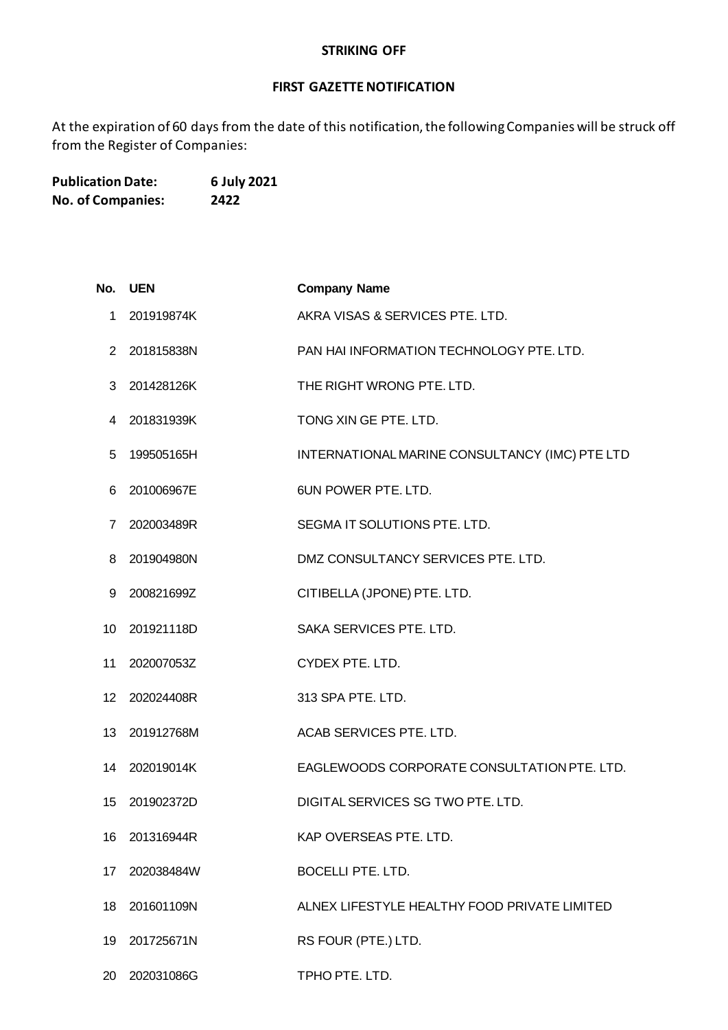## **STRIKING OFF**

## **FIRST GAZETTE NOTIFICATION**

At the expiration of 60 days from the date of this notification, the following Companies will be struck off from the Register of Companies:

**Publication Date: 6 July 2021 No. of Companies: 2422**

| No. | UEN        | <b>Company Name</b>                            |
|-----|------------|------------------------------------------------|
| 1   | 201919874K | AKRA VISAS & SERVICES PTE. LTD.                |
| 2   | 201815838N | PAN HAI INFORMATION TECHNOLOGY PTE. LTD.       |
| 3   | 201428126K | THE RIGHT WRONG PTE. LTD.                      |
| 4   | 201831939K | TONG XIN GE PTE. LTD.                          |
| 5   | 199505165H | INTERNATIONAL MARINE CONSULTANCY (IMC) PTE LTD |
| 6   | 201006967E | 6UN POWER PTE. LTD.                            |
| 7   | 202003489R | SEGMA IT SOLUTIONS PTE. LTD.                   |
| 8   | 201904980N | DMZ CONSULTANCY SERVICES PTE, LTD.             |
| 9   | 200821699Z | CITIBELLA (JPONE) PTE. LTD.                    |
| 10  | 201921118D | SAKA SERVICES PTE. LTD.                        |
| 11  | 202007053Z | CYDEX PTE. LTD.                                |
| 12  | 202024408R | 313 SPA PTE. LTD.                              |
| 13  | 201912768M | ACAB SERVICES PTE. LTD.                        |
| 14  | 202019014K | EAGLEWOODS CORPORATE CONSULTATION PTE. LTD.    |
| 15  | 201902372D | DIGITAL SERVICES SG TWO PTE. LTD.              |
| 16  | 201316944R | KAP OVERSEAS PTE. LTD.                         |
| 17  | 202038484W | <b>BOCELLI PTE. LTD.</b>                       |
| 18  | 201601109N | ALNEX LIFESTYLE HEALTHY FOOD PRIVATE LIMITED   |
| 19  | 201725671N | RS FOUR (PTE.) LTD.                            |
|     |            |                                                |

202031086G TPHO PTE. LTD.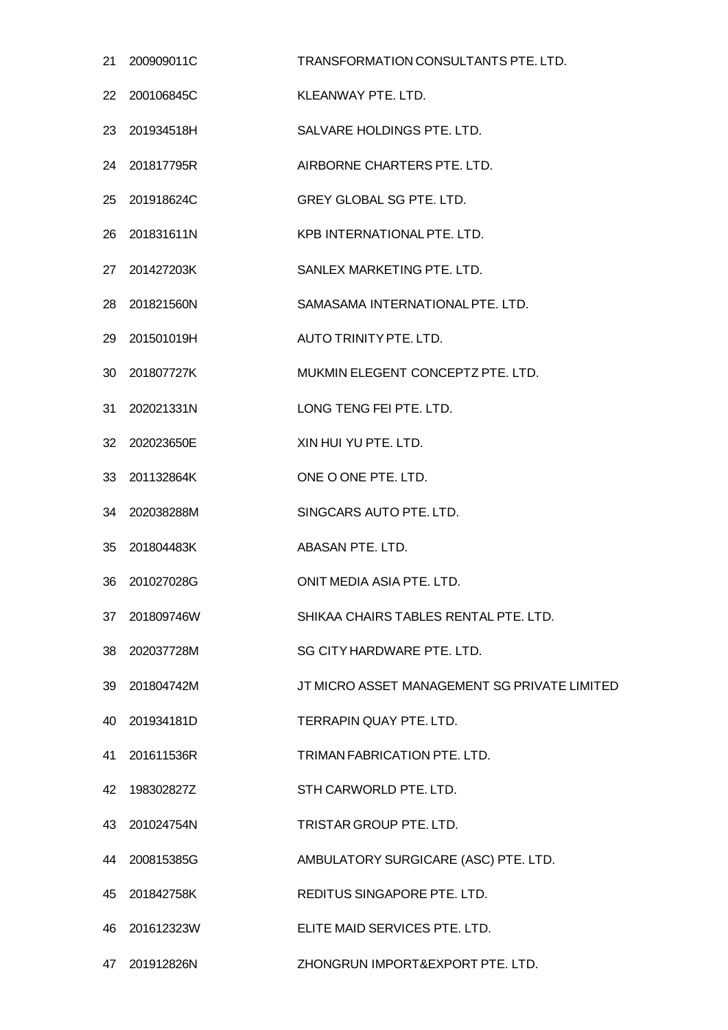|    | 21 200909011C | TRANSFORMATION CONSULTANTS PTE, LTD.         |
|----|---------------|----------------------------------------------|
| 22 | 200106845C    | <b>KLEANWAY PTE, LTD.</b>                    |
| 23 | 201934518H    | SALVARE HOLDINGS PTE. LTD.                   |
|    | 24 201817795R | AIRBORNE CHARTERS PTE. LTD.                  |
| 25 | 201918624C    | <b>GREY GLOBAL SG PTE, LTD.</b>              |
| 26 | 201831611N    | KPB INTERNATIONAL PTE. LTD.                  |
|    | 27 201427203K | SANLEX MARKETING PTE. LTD.                   |
| 28 | 201821560N    | SAMASAMA INTERNATIONAL PTE, LTD.             |
|    | 29 201501019H | AUTO TRINITY PTE. LTD.                       |
| 30 | 201807727K    | MUKMIN ELEGENT CONCEPTZ PTE. LTD.            |
| 31 | 202021331N    | LONG TENG FEI PTE. LTD.                      |
|    | 32 202023650E | XIN HUI YU PTE. LTD.                         |
| 33 | 201132864K    | ONE O ONE PTE. LTD.                          |
|    | 34 202038288M | SINGCARS AUTO PTE. LTD.                      |
| 35 | 201804483K    | ABASAN PTE, LTD.                             |
| 36 | 201027028G    | ONIT MEDIA ASIA PTE. LTD.                    |
|    | 37 201809746W | SHIKAA CHAIRS TABLES RENTAL PTE. LTD.        |
| 38 | 202037728M    | SG CITY HARDWARE PTE. LTD.                   |
| 39 | 201804742M    | JT MICRO ASSET MANAGEMENT SG PRIVATE LIMITED |
| 40 | 201934181D    | <b>TERRAPIN QUAY PTE, LTD.</b>               |
| 41 | 201611536R    | TRIMAN FABRICATION PTE, LTD.                 |
| 42 | 198302827Z    | STH CARWORLD PTE. LTD.                       |
| 43 | 201024754N    | TRISTAR GROUP PTE. LTD.                      |
|    | 44 200815385G | AMBULATORY SURGICARE (ASC) PTE. LTD.         |
| 45 | 201842758K    | REDITUS SINGAPORE PTE. LTD.                  |
| 46 | 201612323W    | ELITE MAID SERVICES PTE, LTD.                |
|    | 47 201912826N | ZHONGRUN IMPORT&EXPORT PTE. LTD.             |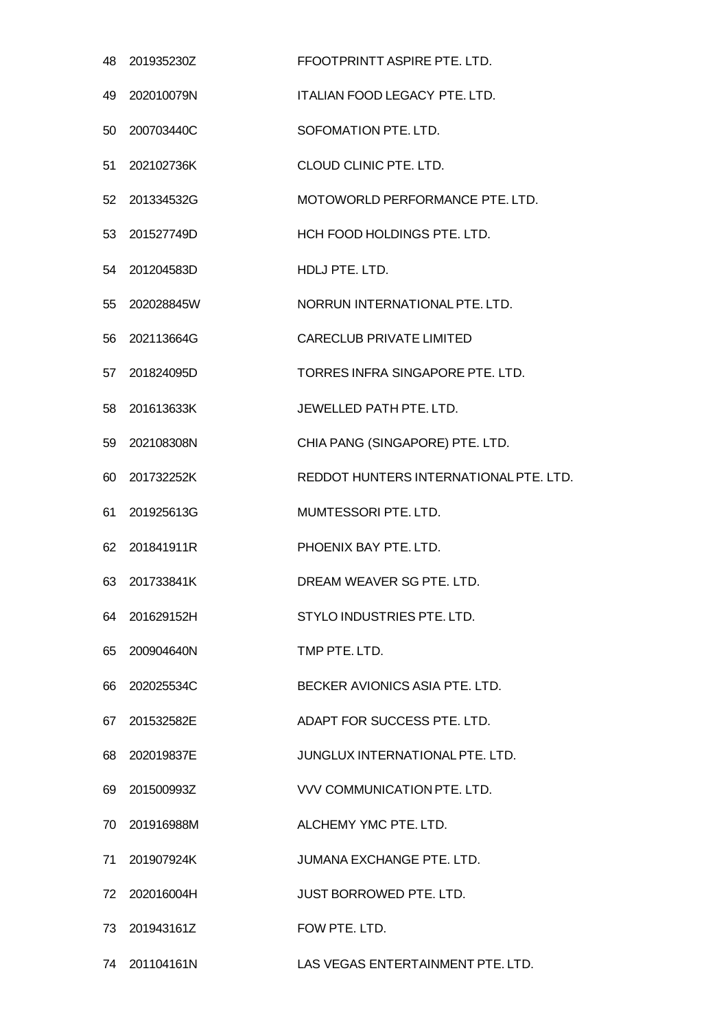| 48 | 201935230Z    | FFOOTPRINTT ASPIRE PTE. LTD.           |
|----|---------------|----------------------------------------|
| 49 | 202010079N    | ITALIAN FOOD LEGACY PTE. LTD.          |
| 50 | 200703440C    | SOFOMATION PTE. LTD.                   |
| 51 | 202102736K    | CLOUD CLINIC PTE. LTD.                 |
| 52 | 201334532G    | MOTOWORLD PERFORMANCE PTE. LTD.        |
| 53 | 201527749D    | HCH FOOD HOLDINGS PTE. LTD.            |
| 54 | 201204583D    | HDLJ PTE. LTD.                         |
| 55 | 202028845W    | NORRUN INTERNATIONAL PTE. LTD.         |
| 56 | 202113664G    | <b>CARECLUB PRIVATE LIMITED</b>        |
| 57 | 201824095D    | TORRES INFRA SINGAPORE PTE. LTD.       |
| 58 | 201613633K    | JEWELLED PATH PTE, LTD.                |
| 59 | 202108308N    | CHIA PANG (SINGAPORE) PTE. LTD.        |
| 60 | 201732252K    | REDDOT HUNTERS INTERNATIONAL PTE. LTD. |
| 61 | 201925613G    | MUMTESSORI PTE. LTD.                   |
| 62 | 201841911R    | PHOENIX BAY PTE. LTD.                  |
| 63 | 201733841K    | DREAM WEAVER SG PTE, LTD.              |
| 64 | 201629152H    | STYLO INDUSTRIES PTE. LTD.             |
| 65 | 200904640N    | TMP PTE. LTD.                          |
| 66 | 202025534C    | BECKER AVIONICS ASIA PTE. LTD.         |
| 67 | 201532582E    | ADAPT FOR SUCCESS PTE. LTD.            |
| 68 | 202019837E    | JUNGLUX INTERNATIONAL PTE. LTD.        |
| 69 | 201500993Z    | VVV COMMUNICATION PTE. LTD.            |
| 70 | 201916988M    | ALCHEMY YMC PTE. LTD.                  |
| 71 | 201907924K    | JUMANA EXCHANGE PTE. LTD.              |
| 72 | 202016004H    | <b>JUST BORROWED PTE. LTD.</b>         |
| 73 | 201943161Z    | FOW PTE. LTD.                          |
|    | 74 201104161N | LAS VEGAS ENTERTAINMENT PTE. LTD.      |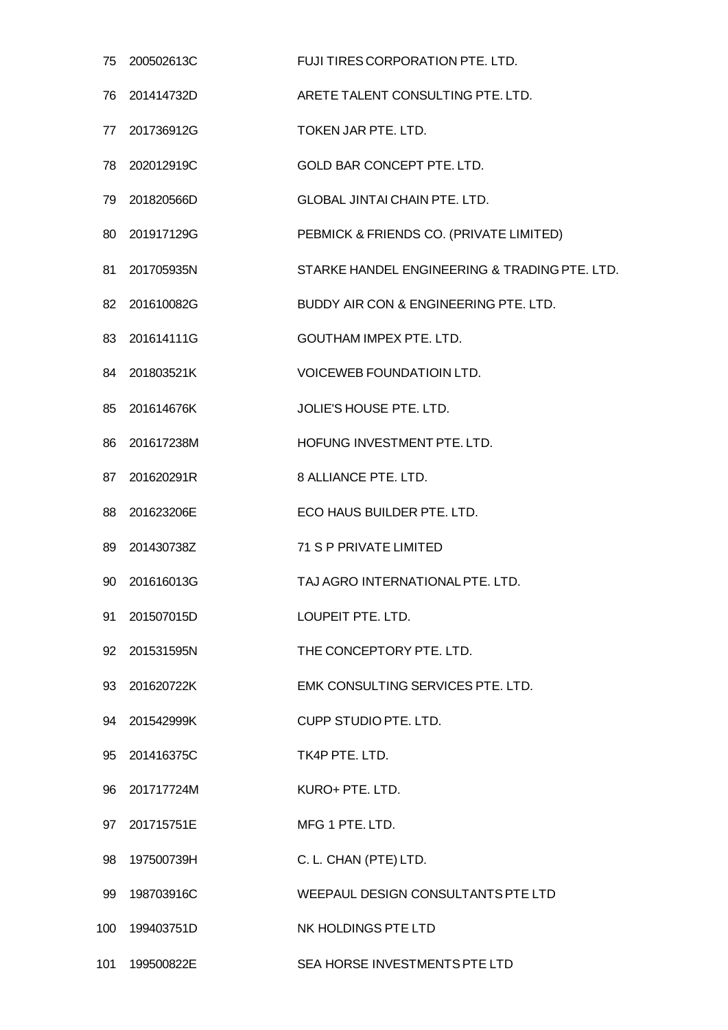| 75  | 200502613C    | FUJI TIRES CORPORATION PTE. LTD.              |
|-----|---------------|-----------------------------------------------|
| 76  | 201414732D    | ARETE TALENT CONSULTING PTE. LTD.             |
|     | 77 201736912G | TOKEN JAR PTE, LTD.                           |
|     | 78 202012919C | GOLD BAR CONCEPT PTE. LTD.                    |
| 79. | 201820566D    | <b>GLOBAL JINTAI CHAIN PTE, LTD.</b>          |
|     | 80 201917129G | PEBMICK & FRIENDS CO. (PRIVATE LIMITED)       |
| 81  | 201705935N    | STARKE HANDEL ENGINEERING & TRADING PTE. LTD. |
|     | 82 201610082G | BUDDY AIR CON & ENGINEERING PTE. LTD.         |
|     | 83 201614111G | <b>GOUTHAM IMPEX PTE. LTD.</b>                |
| 84. | 201803521K    | <b>VOICEWEB FOUNDATIOIN LTD.</b>              |
| 85  | 201614676K    | <b>JOLIE'S HOUSE PTE. LTD.</b>                |
|     | 86 201617238M | HOFUNG INVESTMENT PTE. LTD.                   |
| 87  | 201620291R    | 8 ALLIANCE PTE. LTD.                          |
|     | 88 201623206E | ECO HAUS BUILDER PTE. LTD.                    |
| 89  | 201430738Z    | 71 S P PRIVATE LIMITED                        |
| 90  | 201616013G    | TAJ AGRO INTERNATIONAL PTE, LTD.              |
| 91  | 201507015D    | LOUPEIT PTE. LTD.                             |
| 92  | 201531595N    | THE CONCEPTORY PTE. LTD.                      |
|     | 93 201620722K | EMK CONSULTING SERVICES PTE. LTD.             |
| 94  | 201542999K    | <b>CUPP STUDIO PTE. LTD.</b>                  |
|     | 95 201416375C | TK4P PTE. LTD.                                |
|     | 96 201717724M | KURO+ PTE. LTD.                               |
| 97  | 201715751E    | MFG 1 PTE. LTD.                               |
|     | 98 197500739H | C. L. CHAN (PTE) LTD.                         |
| 99  | 198703916C    | WEEPAUL DESIGN CONSULTANTS PTE LTD            |
| 100 | 199403751D    | NK HOLDINGS PTE LTD                           |
| 101 | 199500822E    | SEA HORSE INVESTMENTS PTE LTD                 |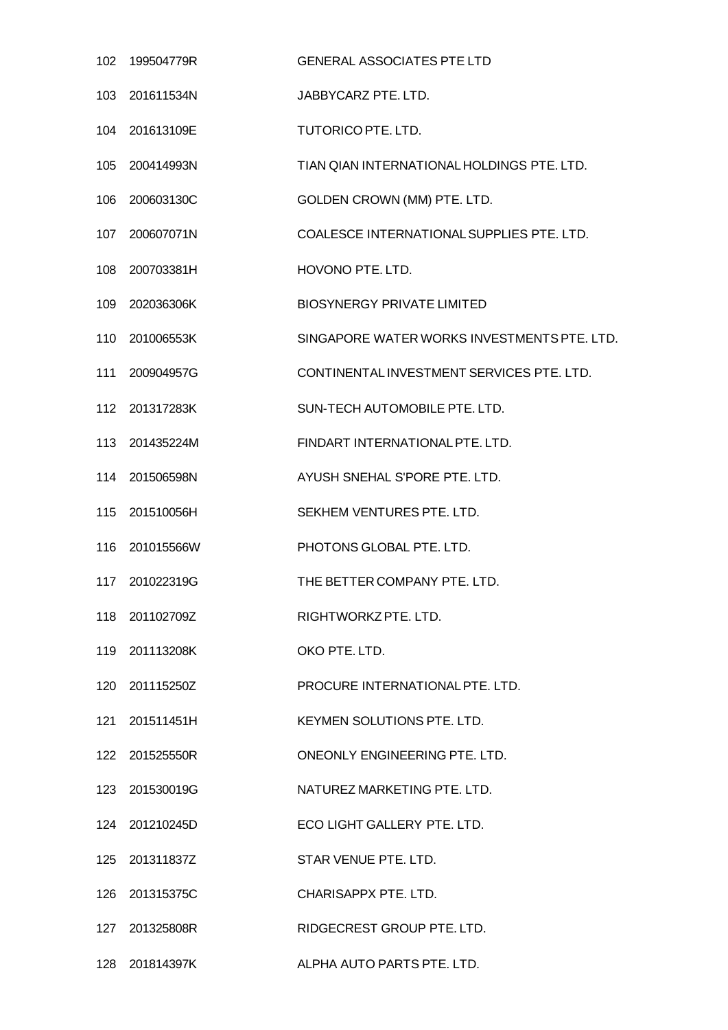| 102 | 199504779R     | <b>GENERAL ASSOCIATES PTE LTD</b>           |
|-----|----------------|---------------------------------------------|
| 103 | 201611534N     | JABBYCARZ PTE. LTD.                         |
|     | 104 201613109E | TUTORICO PTE. LTD.                          |
|     | 105 200414993N | TIAN QIAN INTERNATIONAL HOLDINGS PTE. LTD.  |
| 106 | 200603130C     | GOLDEN CROWN (MM) PTE. LTD.                 |
|     | 107 200607071N | COALESCE INTERNATIONAL SUPPLIES PTE. LTD.   |
| 108 | 200703381H     | HOVONO PTE. LTD.                            |
| 109 | 202036306K     | <b>BIOSYNERGY PRIVATE LIMITED</b>           |
|     | 110 201006553K | SINGAPORE WATER WORKS INVESTMENTS PTE, LTD. |
| 111 | 200904957G     | CONTINENTAL INVESTMENT SERVICES PTE. LTD.   |
|     | 112 201317283K | SUN-TECH AUTOMOBILE PTE. LTD.               |
|     | 113 201435224M | FINDART INTERNATIONAL PTE. LTD.             |
| 114 | 201506598N     | AYUSH SNEHAL S'PORE PTE. LTD.               |
|     | 115 201510056H | SEKHEM VENTURES PTE. LTD.                   |
| 116 | 201015566W     | PHOTONS GLOBAL PTE. LTD.                    |
| 117 | 201022319G     | THE BETTER COMPANY PTE, LTD.                |
|     | 118 201102709Z | RIGHTWORKZ PTE. LTD.                        |
|     | 119 201113208K | OKO PTE. LTD.                               |
|     | 120 201115250Z | PROCURE INTERNATIONAL PTE. LTD.             |
|     | 121 201511451H | KEYMEN SOLUTIONS PTE, LTD.                  |
|     | 122 201525550R | ONEONLY ENGINEERING PTE. LTD.               |
|     | 123 201530019G | NATUREZ MARKETING PTE. LTD.                 |
|     | 124 201210245D | ECO LIGHT GALLERY PTE. LTD.                 |
|     | 125 201311837Z | STAR VENUE PTE. LTD.                        |
|     | 126 201315375C | CHARISAPPX PTE. LTD.                        |
|     | 127 201325808R | RIDGECREST GROUP PTE. LTD.                  |
|     | 128 201814397K | ALPHA AUTO PARTS PTE. LTD.                  |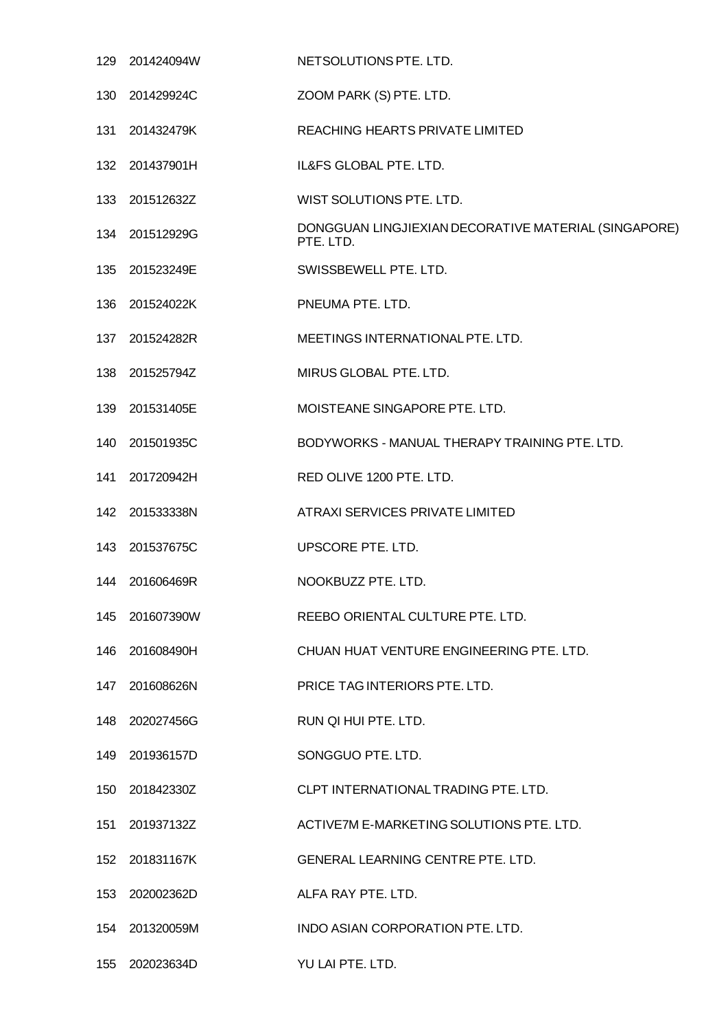|     | 129 201424094W | NETSOLUTIONS PTE. LTD.                                            |
|-----|----------------|-------------------------------------------------------------------|
|     | 130 201429924C | ZOOM PARK (S) PTE. LTD.                                           |
| 131 | 201432479K     | REACHING HEARTS PRIVATE LIMITED                                   |
|     | 132 201437901H | IL&FS GLOBAL PTE. LTD.                                            |
|     | 133 201512632Z | WIST SOLUTIONS PTE, LTD.                                          |
|     | 134 201512929G | DONGGUAN LINGJIEXIAN DECORATIVE MATERIAL (SINGAPORE)<br>PTE. LTD. |
|     | 135 201523249E | SWISSBEWELL PTE. LTD.                                             |
| 136 | 201524022K     | PNEUMA PTE. LTD.                                                  |
|     | 137 201524282R | MEETINGS INTERNATIONAL PTE. LTD.                                  |
| 138 | 201525794Z     | MIRUS GLOBAL PTE. LTD.                                            |
| 139 | 201531405E     | MOISTEANE SINGAPORE PTE. LTD.                                     |
|     | 140 201501935C | BODYWORKS - MANUAL THERAPY TRAINING PTE. LTD.                     |
| 141 | 201720942H     | RED OLIVE 1200 PTE. LTD.                                          |
|     | 142 201533338N | ATRAXI SERVICES PRIVATE LIMITED                                   |
|     | 143 201537675C | UPSCORE PTE. LTD.                                                 |
|     | 144 201606469R | NOOKBUZZ PTE. LTD.                                                |
|     | 145 201607390W | REEBO ORIENTAL CULTURE PTE. LTD.                                  |
|     | 146 201608490H | CHUAN HUAT VENTURE ENGINEERING PTE, LTD.                          |
|     | 147 201608626N | PRICE TAG INTERIORS PTE, LTD.                                     |
|     | 148 202027456G | RUN QI HUI PTE. LTD.                                              |
|     | 149 201936157D | SONGGUO PTE. LTD.                                                 |
|     | 150 201842330Z | CLPT INTERNATIONAL TRADING PTE. LTD.                              |
| 151 | 201937132Z     | ACTIVE7M E-MARKETING SOLUTIONS PTE. LTD.                          |
|     | 152 201831167K | GENERAL LEARNING CENTRE PTE. LTD.                                 |
|     | 153 202002362D | ALFA RAY PTE. LTD.                                                |
|     | 154 201320059M | INDO ASIAN CORPORATION PTE. LTD.                                  |
|     | 155 202023634D | YU LAI PTE. LTD.                                                  |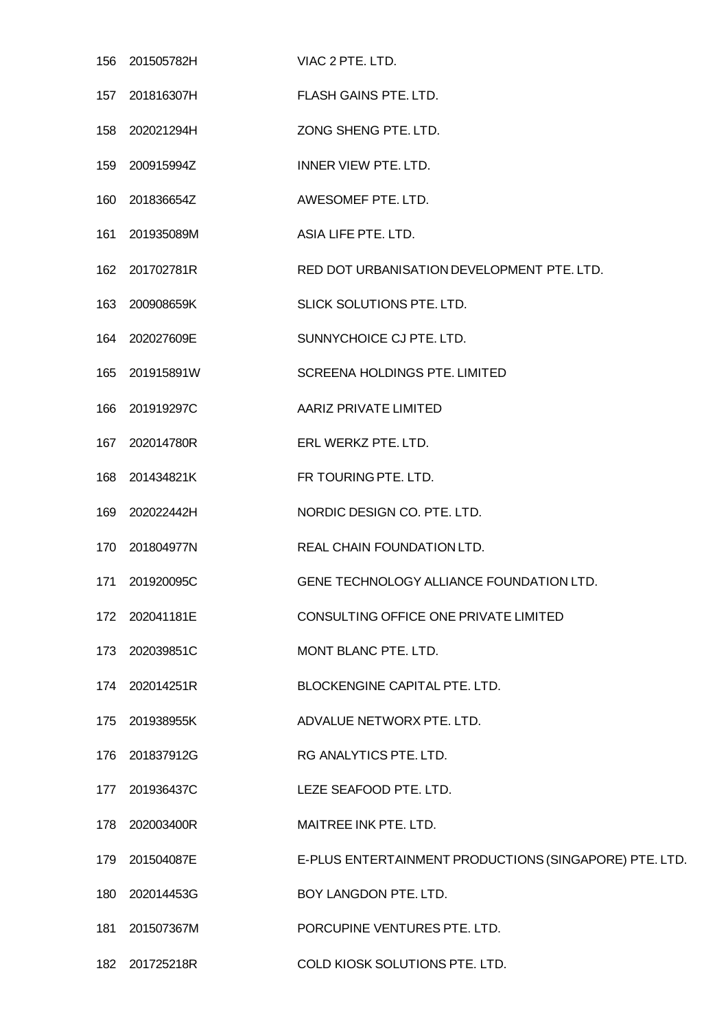| 156 | 201505782H     | VIAC 2 PTE. LTD.                                       |
|-----|----------------|--------------------------------------------------------|
|     | 157 201816307H | <b>FLASH GAINS PTE, LTD.</b>                           |
| 158 | 202021294H     | ZONG SHENG PTE. LTD.                                   |
|     | 159 200915994Z | INNER VIEW PTE. LTD.                                   |
| 160 | 201836654Z     | AWESOMEF PTE. LTD.                                     |
| 161 | 201935089M     | ASIA LIFE PTE. LTD.                                    |
|     | 162 201702781R | RED DOT URBANISATION DEVELOPMENT PTE. LTD.             |
| 163 | 200908659K     | SLICK SOLUTIONS PTE. LTD.                              |
|     | 164 202027609E | SUNNYCHOICE CJ PTE. LTD.                               |
| 165 | 201915891W     | <b>SCREENA HOLDINGS PTE. LIMITED</b>                   |
| 166 | 201919297C     | AARIZ PRIVATE LIMITED                                  |
|     | 167 202014780R | ERL WERKZ PTE. LTD.                                    |
| 168 | 201434821K     | FR TOURING PTE. LTD.                                   |
| 169 | 202022442H     | NORDIC DESIGN CO. PTE. LTD.                            |
|     | 170 201804977N | REAL CHAIN FOUNDATION LTD.                             |
| 171 | 201920095C     | GENE TECHNOLOGY ALLIANCE FOUNDATION LTD.               |
|     | 172 202041181E | CONSULTING OFFICE ONE PRIVATE LIMITED                  |
|     | 173 202039851C | MONT BLANC PTE. LTD.                                   |
|     | 174 202014251R | BLOCKENGINE CAPITAL PTE. LTD.                          |
| 175 | 201938955K     | ADVALUE NETWORX PTE. LTD.                              |
|     | 176 201837912G | RG ANALYTICS PTE. LTD.                                 |
|     | 177 201936437C | LEZE SEAFOOD PTE. LTD.                                 |
| 178 | 202003400R     | MAITREE INK PTE. LTD.                                  |
|     | 179 201504087E | E-PLUS ENTERTAINMENT PRODUCTIONS (SINGAPORE) PTE. LTD. |
| 180 | 202014453G     | BOY LANGDON PTE. LTD.                                  |
| 181 | 201507367M     | PORCUPINE VENTURES PTE. LTD.                           |
|     |                |                                                        |

201725218R COLD KIOSK SOLUTIONS PTE. LTD.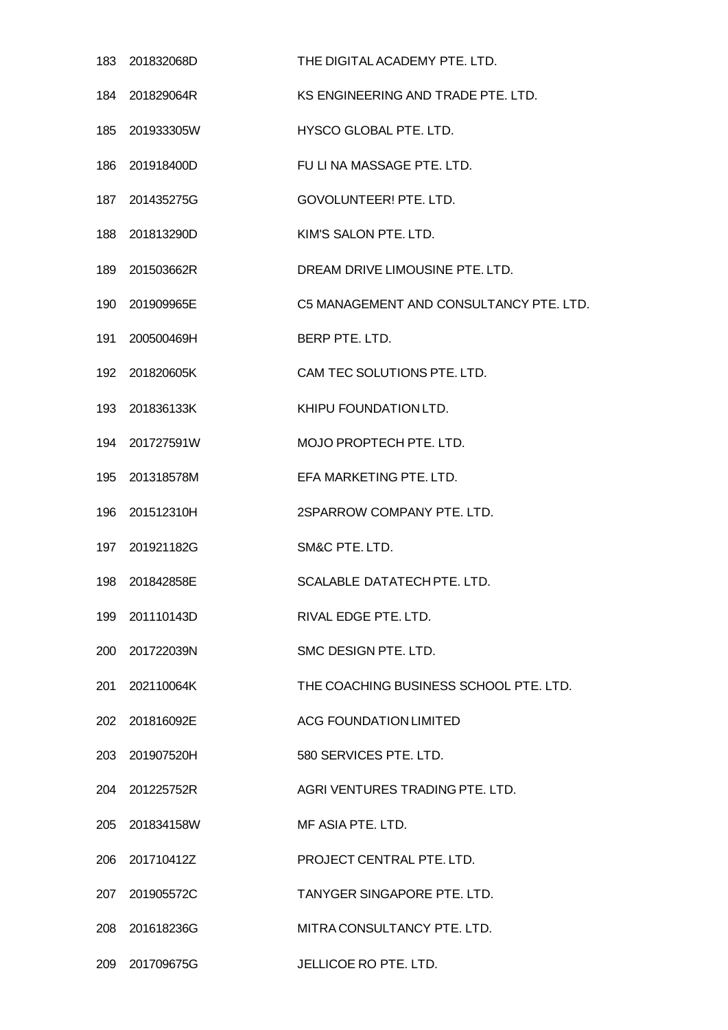|     | 183 201832068D | THE DIGITAL ACADEMY PTE. LTD.           |
|-----|----------------|-----------------------------------------|
|     | 184 201829064R | KS ENGINEERING AND TRADE PTE. LTD.      |
|     | 185 201933305W | HYSCO GLOBAL PTE. LTD.                  |
|     | 186 201918400D | FU LI NA MASSAGE PTE. LTD.              |
|     | 187 201435275G | GOVOLUNTEER! PTE. LTD.                  |
|     | 188 201813290D | KIM'S SALON PTE. LTD.                   |
|     | 189 201503662R | DREAM DRIVE LIMOUSINE PTE. LTD.         |
|     | 190 201909965E | C5 MANAGEMENT AND CONSULTANCY PTE. LTD. |
|     | 191 200500469H | BERP PTE. LTD.                          |
|     | 192 201820605K | CAM TEC SOLUTIONS PTE. LTD.             |
|     | 193 201836133K | KHIPU FOUNDATION LTD.                   |
|     | 194 201727591W | MOJO PROPTECH PTE. LTD.                 |
|     | 195 201318578M | EFA MARKETING PTE. LTD.                 |
|     | 196 201512310H | 2SPARROW COMPANY PTE. LTD.              |
|     | 197 201921182G | SM&C PTE. LTD.                          |
|     | 198 201842858E | SCALABLE DATATECH PTE. LTD.             |
| 199 | 201110143D     | RIVAL EDGE PTE, LTD.                    |
|     | 200 201722039N | SMC DESIGN PTE, LTD.                    |
|     | 201 202110064K | THE COACHING BUSINESS SCHOOL PTE, LTD.  |
|     | 202 201816092E | <b>ACG FOUNDATION LIMITED</b>           |
|     | 203 201907520H | 580 SERVICES PTE. LTD.                  |
|     | 204 201225752R | AGRI VENTURES TRADING PTE. LTD.         |
|     | 205 201834158W | MF ASIA PTE, LTD.                       |
|     | 206 201710412Z | PROJECT CENTRAL PTE. LTD.               |
| 207 | 201905572C     | TANYGER SINGAPORE PTE. LTD.             |
|     | 208 201618236G | MITRA CONSULTANCY PTE. LTD.             |
|     | 209 201709675G | JELLICOE RO PTE. LTD.                   |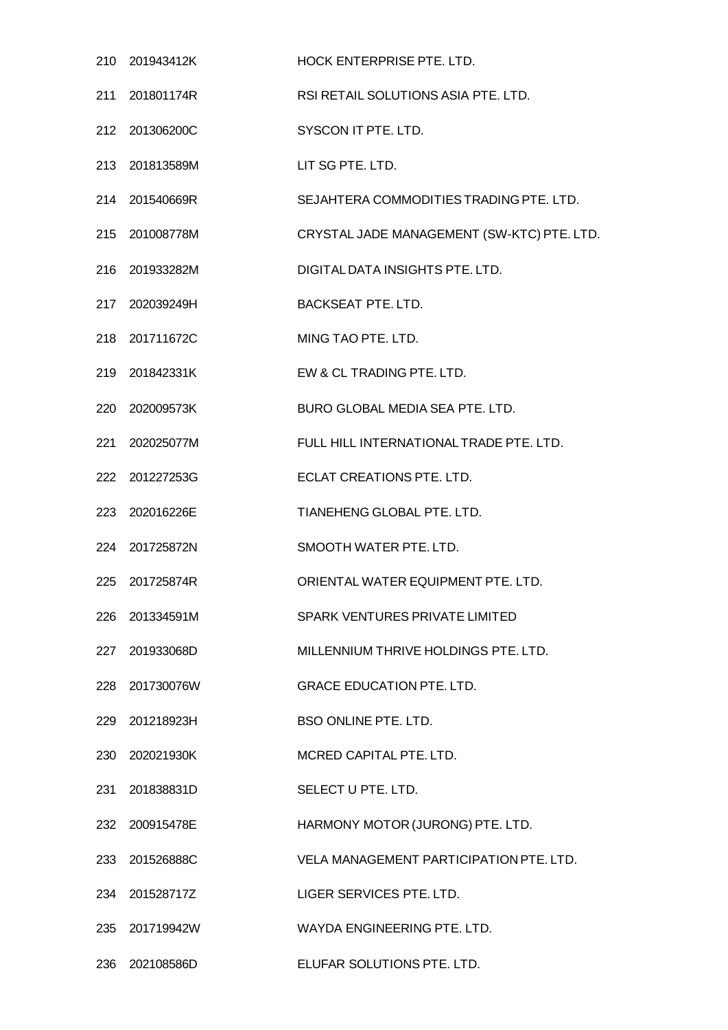|     | 210 201943412K | <b>HOCK ENTERPRISE PTE, LTD.</b>           |
|-----|----------------|--------------------------------------------|
|     | 211 201801174R | RSI RETAIL SOLUTIONS ASIA PTE. LTD.        |
|     | 212 201306200C | SYSCON IT PTE. LTD.                        |
|     | 213 201813589M | LIT SG PTE. LTD.                           |
|     | 214 201540669R | SEJAHTERA COMMODITIES TRADING PTE. LTD.    |
|     | 215 201008778M | CRYSTAL JADE MANAGEMENT (SW-KTC) PTE. LTD. |
|     | 216 201933282M | DIGITAL DATA INSIGHTS PTE. LTD.            |
|     | 217 202039249H | <b>BACKSEAT PTE. LTD.</b>                  |
|     | 218 201711672C | MING TAO PTE. LTD.                         |
|     | 219 201842331K | EW & CL TRADING PTE, LTD.                  |
|     | 220 202009573K | BURO GLOBAL MEDIA SEA PTE. LTD.            |
|     | 221 202025077M | FULL HILL INTERNATIONAL TRADE PTE. LTD.    |
|     | 222 201227253G | ECLAT CREATIONS PTE. LTD.                  |
|     | 223 202016226E | TIANEHENG GLOBAL PTE. LTD.                 |
|     | 224 201725872N | SMOOTH WATER PTE. LTD.                     |
|     | 225 201725874R | ORIENTAL WATER EQUIPMENT PTE, LTD.         |
|     | 226 201334591M | SPARK VENTURES PRIVATE LIMITED             |
|     | 227 201933068D | MILLENNIUM THRIVE HOLDINGS PTE. LTD.       |
|     | 228 201730076W | <b>GRACE EDUCATION PTE. LTD.</b>           |
|     | 229 201218923H | <b>BSO ONLINE PTE, LTD.</b>                |
|     | 230 202021930K | MCRED CAPITAL PTE. LTD.                    |
|     | 231 201838831D | SELECT U PTE. LTD.                         |
|     | 232 200915478E | HARMONY MOTOR (JURONG) PTE. LTD.           |
|     | 233 201526888C | VELA MANAGEMENT PARTICIPATION PTE, LTD.    |
| 234 | 201528717Z     | LIGER SERVICES PTE. LTD.                   |
|     | 235 201719942W | WAYDA ENGINEERING PTE. LTD.                |
|     | 236 202108586D | ELUFAR SOLUTIONS PTE. LTD.                 |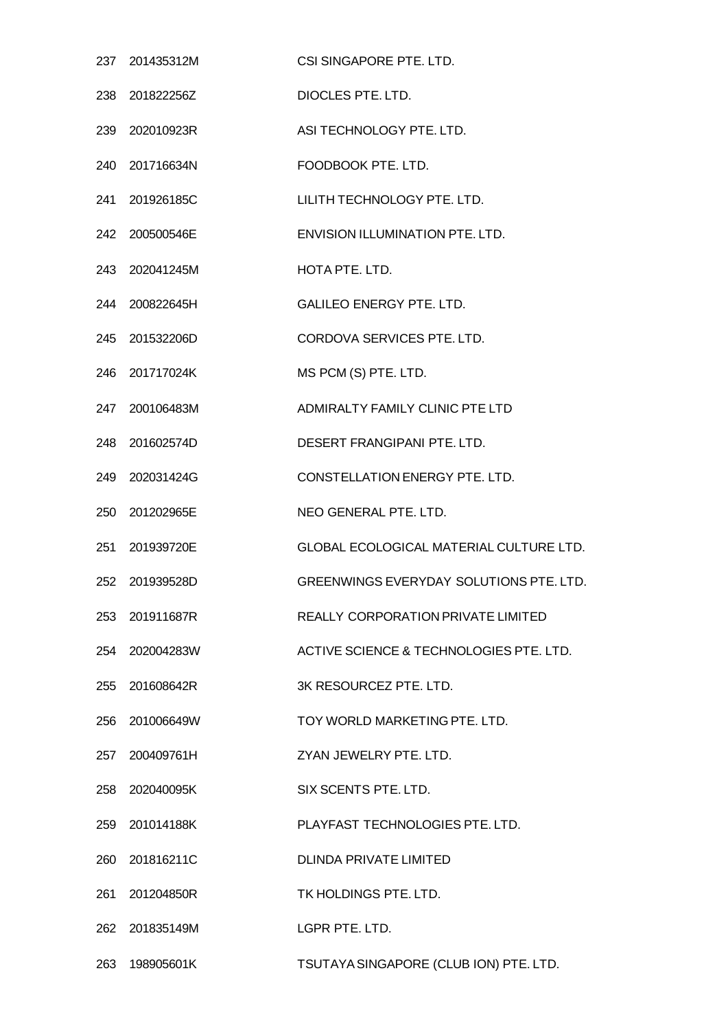|     | 237 201435312M | CSI SINGAPORE PTE, LTD.                 |
|-----|----------------|-----------------------------------------|
|     | 238 201822256Z | DIOCLES PTE. LTD.                       |
|     | 239 202010923R | ASI TECHNOLOGY PTE, LTD.                |
|     | 240 201716634N | FOODBOOK PTE. LTD.                      |
|     | 241 201926185C | LILITH TECHNOLOGY PTE. LTD.             |
|     | 242 200500546E | ENVISION ILLUMINATION PTE. LTD.         |
|     | 243 202041245M | HOTA PTE, LTD.                          |
|     | 244 200822645H | <b>GALILEO ENERGY PTE. LTD.</b>         |
|     | 245 201532206D | CORDOVA SERVICES PTE. LTD.              |
|     | 246 201717024K | MS PCM (S) PTE. LTD.                    |
|     | 247 200106483M | ADMIRALTY FAMILY CLINIC PTE LTD         |
|     | 248 201602574D | DESERT FRANGIPANI PTE, LTD.             |
|     | 249 202031424G | CONSTELLATION ENERGY PTE. LTD.          |
|     | 250 201202965E | NEO GENERAL PTE. LTD.                   |
| 251 | 201939720E     | GLOBAL ECOLOGICAL MATERIAL CULTURE LTD. |
|     | 252 201939528D | GREENWINGS EVERYDAY SOLUTIONS PTE. LTD. |
| 253 | 201911687R     | REALLY CORPORATION PRIVATE LIMITED      |
|     | 254 202004283W | ACTIVE SCIENCE & TECHNOLOGIES PTE. LTD. |
| 255 | 201608642R     | 3K RESOURCEZ PTE. LTD.                  |
| 256 | 201006649W     | TOY WORLD MARKETING PTE. LTD.           |
|     | 257 200409761H | ZYAN JEWELRY PTE, LTD.                  |
|     | 258 202040095K | SIX SCENTS PTE. LTD.                    |
|     | 259 201014188K | PLAYFAST TECHNOLOGIES PTE. LTD.         |
|     | 260 201816211C | <b>DLINDA PRIVATE LIMITED</b>           |
| 261 | 201204850R     | TK HOLDINGS PTE. LTD.                   |
|     | 262 201835149M | LGPR PTE. LTD.                          |
| 263 | 198905601K     | TSUTAYA SINGAPORE (CLUB ION) PTE. LTD.  |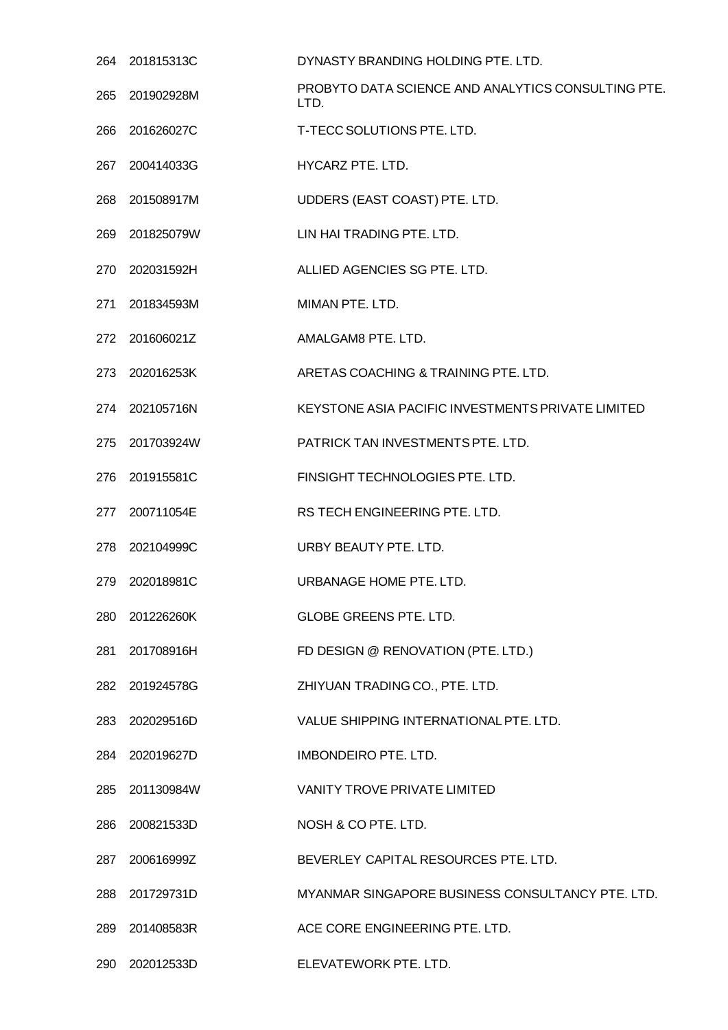| 264  | 201815313C     | DYNASTY BRANDING HOLDING PTE, LTD.                         |
|------|----------------|------------------------------------------------------------|
| 265  | 201902928M     | PROBYTO DATA SCIENCE AND ANALYTICS CONSULTING PTE.<br>LTD. |
| 266  | 201626027C     | T-TECC SOLUTIONS PTE. LTD.                                 |
|      | 267 200414033G | HYCARZ PTE. LTD.                                           |
| 268  | 201508917M     | UDDERS (EAST COAST) PTE. LTD.                              |
| 269  | 201825079W     | LIN HAI TRADING PTE. LTD.                                  |
|      | 270 202031592H | ALLIED AGENCIES SG PTE. LTD.                               |
| 271  | 201834593M     | MIMAN PTE, LTD.                                            |
|      | 272 201606021Z | AMALGAM8 PTE, LTD.                                         |
| 273  | 202016253K     | ARETAS COACHING & TRAINING PTE. LTD.                       |
| 274  | 202105716N     | KEYSTONE ASIA PACIFIC INVESTMENTS PRIVATE LIMITED          |
|      | 275 201703924W | PATRICK TAN INVESTMENTS PTE. LTD.                          |
| 276. | 201915581C     | FINSIGHT TECHNOLOGIES PTE. LTD.                            |
| 277  | 200711054E     | RS TECH ENGINEERING PTE. LTD.                              |
| 278  | 202104999C     | URBY BEAUTY PTE. LTD.                                      |
| 279  | 202018981C     | URBANAGE HOME PTE, LTD.                                    |
|      | 280 201226260K | GLOBE GREENS PTE. LTD.                                     |
| 281  | 201708916H     | FD DESIGN @ RENOVATION (PTE. LTD.)                         |
|      | 282 201924578G | ZHIYUAN TRADING CO., PTE. LTD.                             |
|      | 283 202029516D | VALUE SHIPPING INTERNATIONAL PTE. LTD.                     |
| 284  | 202019627D     | <b>IMBONDEIRO PTE, LTD.</b>                                |
|      | 285 201130984W | <b>VANITY TROVE PRIVATE LIMITED</b>                        |
| 286  | 200821533D     | NOSH & CO PTE. LTD.                                        |
|      | 287 200616999Z | BEVERLEY CAPITAL RESOURCES PTE. LTD.                       |
|      | 288 201729731D | MYANMAR SINGAPORE BUSINESS CONSULTANCY PTE. LTD.           |
| 289  | 201408583R     | ACE CORE ENGINEERING PTE. LTD.                             |
|      | 290 202012533D | ELEVATEWORK PTE. LTD.                                      |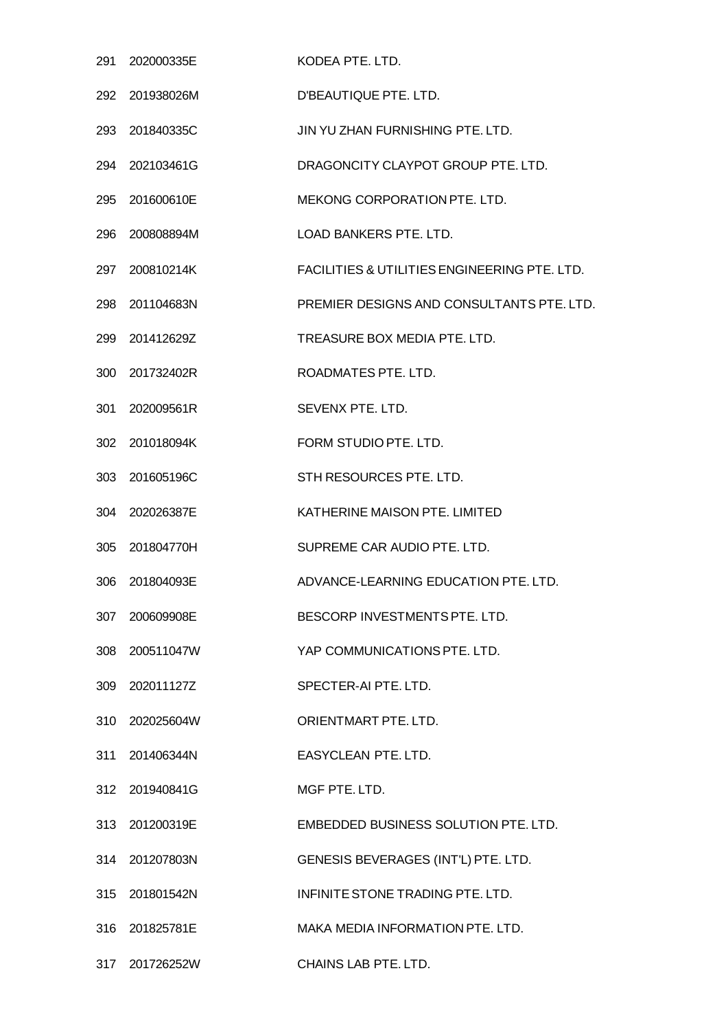|     | 291 202000335E | KODEA PTE. LTD.                              |
|-----|----------------|----------------------------------------------|
| 292 | 201938026M     | D'BEAUTIQUE PTE. LTD.                        |
|     | 293 201840335C | JIN YU ZHAN FURNISHING PTE. LTD.             |
|     | 294 202103461G | DRAGONCITY CLAYPOT GROUP PTE. LTD.           |
| 295 | 201600610E     | MEKONG CORPORATION PTE, LTD.                 |
|     | 296 200808894M | LOAD BANKERS PTE. LTD.                       |
| 297 | 200810214K     | FACILITIES & UTILITIES ENGINEERING PTE. LTD. |
|     | 298 201104683N | PREMIER DESIGNS AND CONSULTANTS PTE. LTD.    |
|     | 299 201412629Z | TREASURE BOX MEDIA PTE. LTD.                 |
| 300 | 201732402R     | ROADMATES PTE. LTD.                          |
|     | 301 202009561R | SEVENX PTE. LTD.                             |
|     | 302 201018094K | FORM STUDIO PTE. LTD.                        |
| 303 | 201605196C     | STH RESOURCES PTE. LTD.                      |
|     | 304 202026387E | KATHERINE MAISON PTE. LIMITED                |
| 305 | 201804770H     | SUPREME CAR AUDIO PTE. LTD.                  |
|     | 306 201804093E | ADVANCE-LEARNING EDUCATION PTE. LTD.         |
|     | 307 200609908E | BESCORP INVESTMENTS PTE. LTD.                |
|     | 308 200511047W | YAP COMMUNICATIONS PTE. LTD.                 |
|     | 309 202011127Z | SPECTER-AI PTE. LTD.                         |
|     | 310 202025604W | ORIENTMART PTE, LTD.                         |
|     | 311 201406344N | EASYCLEAN PTE. LTD.                          |
|     | 312 201940841G | MGF PTE. LTD.                                |
|     | 313 201200319E | EMBEDDED BUSINESS SOLUTION PTE. LTD.         |
|     | 314 201207803N | GENESIS BEVERAGES (INT'L) PTE. LTD.          |
|     | 315 201801542N | INFINITE STONE TRADING PTE, LTD.             |
|     | 316 201825781E | MAKA MEDIA INFORMATION PTE. LTD.             |
|     | 317 201726252W | CHAINS LAB PTE. LTD.                         |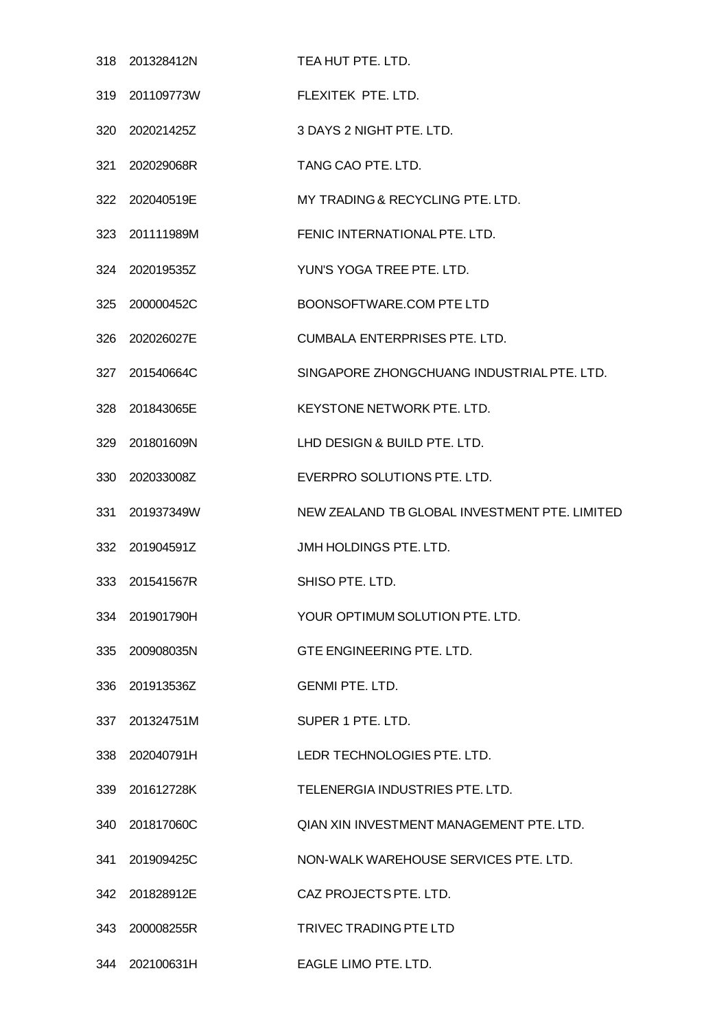|     | 318 201328412N | TEA HUT PTE. LTD.                             |
|-----|----------------|-----------------------------------------------|
|     | 319 201109773W | FLEXITEK PTE, LTD.                            |
|     | 320 202021425Z | 3 DAYS 2 NIGHT PTE. LTD.                      |
|     | 321 202029068R | TANG CAO PTE. LTD.                            |
|     | 322 202040519E | MY TRADING & RECYCLING PTE. LTD.              |
|     | 323 201111989M | FENIC INTERNATIONAL PTE. LTD.                 |
|     | 324 202019535Z | YUN'S YOGA TREE PTE. LTD.                     |
|     | 325 200000452C | BOONSOFTWARE.COM PTE LTD                      |
|     | 326 202026027E | <b>CUMBALA ENTERPRISES PTE. LTD.</b>          |
|     | 327 201540664C | SINGAPORE ZHONGCHUANG INDUSTRIAL PTE, LTD.    |
|     | 328 201843065E | KEYSTONE NETWORK PTE. LTD.                    |
|     | 329 201801609N | LHD DESIGN & BUILD PTE. LTD.                  |
|     | 330 202033008Z | EVERPRO SOLUTIONS PTE. LTD.                   |
|     | 331 201937349W | NEW ZEALAND TB GLOBAL INVESTMENT PTE. LIMITED |
|     | 332 201904591Z | JMH HOLDINGS PTE. LTD.                        |
|     | 333 201541567R | SHISO PTE, LTD.                               |
|     | 334 201901790H |                                               |
|     |                | YOUR OPTIMUM SOLUTION PTE. LTD.               |
|     | 335 200908035N | GTE ENGINEERING PTE. LTD.                     |
|     | 336 201913536Z | <b>GENMI PTE, LTD.</b>                        |
|     | 337 201324751M | SUPER 1 PTE, LTD.                             |
|     | 338 202040791H | LEDR TECHNOLOGIES PTE, LTD.                   |
|     | 339 201612728K | TELENERGIA INDUSTRIES PTE. LTD.               |
|     | 340 201817060C | QIAN XIN INVESTMENT MANAGEMENT PTE. LTD.      |
|     | 341 201909425C | NON-WALK WAREHOUSE SERVICES PTE. LTD.         |
| 342 | 201828912E     | CAZ PROJECTS PTE. LTD.                        |
|     | 343 200008255R | TRIVEC TRADING PTE LTD                        |

202100631H EAGLE LIMO PTE. LTD.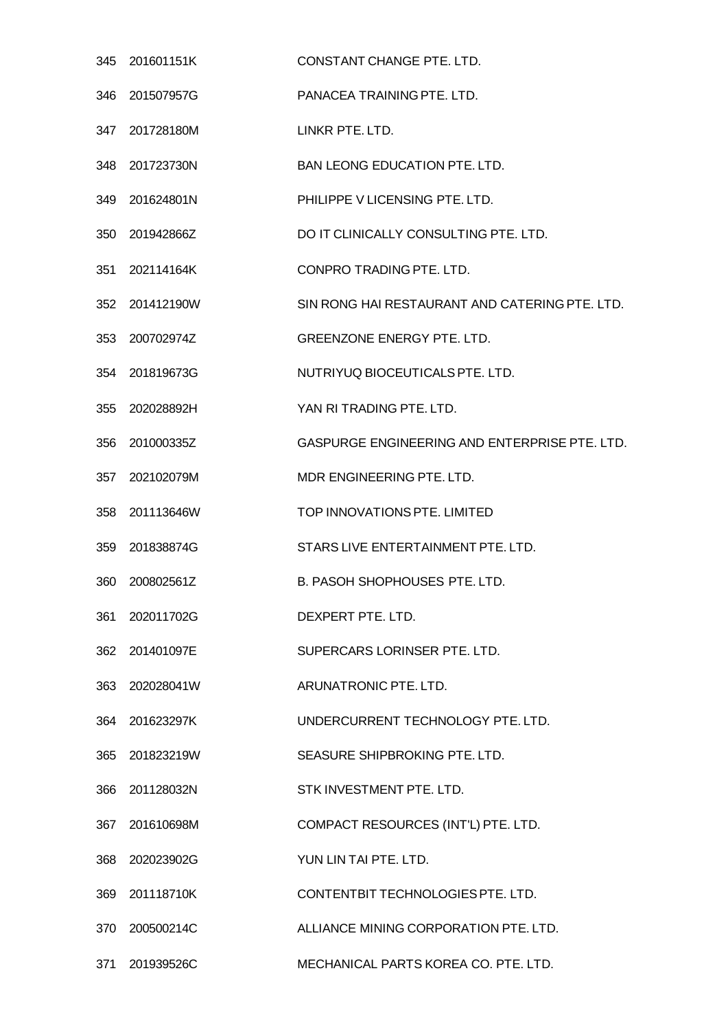|     | 345 201601151K | CONSTANT CHANGE PTE, LTD.                      |
|-----|----------------|------------------------------------------------|
| 346 | 201507957G     | PANACEA TRAINING PTE, LTD.                     |
|     | 347 201728180M | LINKR PTE. LTD.                                |
| 348 | 201723730N     | <b>BAN LEONG EDUCATION PTE. LTD.</b>           |
| 349 | 201624801N     | PHILIPPE V LICENSING PTE. LTD.                 |
|     | 350 201942866Z | DO IT CLINICALLY CONSULTING PTE. LTD.          |
| 351 | 202114164K     | CONPRO TRADING PTE, LTD.                       |
|     | 352 201412190W | SIN RONG HAI RESTAURANT AND CATERING PTE. LTD. |
|     | 353 200702974Z | GREENZONE ENERGY PTE. LTD.                     |
| 354 | 201819673G     | NUTRIYUQ BIOCEUTICALS PTE. LTD.                |
|     | 355 202028892H | YAN RI TRADING PTE. LTD.                       |
| 356 | 201000335Z     | GASPURGE ENGINEERING AND ENTERPRISE PTE. LTD.  |
| 357 | 202102079M     | MDR ENGINEERING PTE. LTD.                      |
|     | 358 201113646W | TOP INNOVATIONS PTE. LIMITED                   |
| 359 | 201838874G     | STARS LIVE ENTERTAINMENT PTE. LTD.             |
| 360 | 200802561Z     | <b>B. PASOH SHOPHOUSES PTE, LTD.</b>           |
| 361 | 202011702G     | DEXPERT PTE, LTD.                              |
|     | 362 201401097E | SUPERCARS LORINSER PTE. LTD.                   |
|     | 363 202028041W | ARUNATRONIC PTE. LTD.                          |
|     | 364 201623297K | UNDERCURRENT TECHNOLOGY PTE. LTD.              |
|     | 365 201823219W | SEASURE SHIPBROKING PTE. LTD.                  |
|     | 366 201128032N | STK INVESTMENT PTE. LTD.                       |
|     | 367 201610698M | COMPACT RESOURCES (INT'L) PTE. LTD.            |
|     | 368 202023902G | YUN LIN TAI PTE, LTD.                          |
|     | 369 201118710K | CONTENTBIT TECHNOLOGIES PTE. LTD.              |
|     | 370 200500214C | ALLIANCE MINING CORPORATION PTE. LTD.          |
| 371 | 201939526C     | MECHANICAL PARTS KOREA CO. PTE. LTD.           |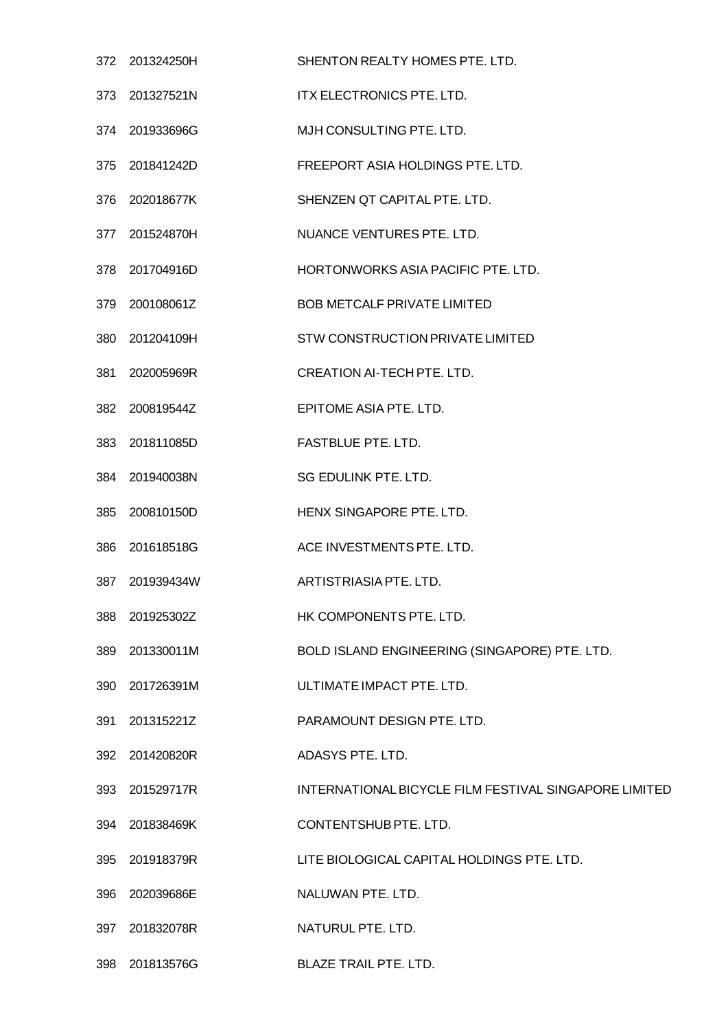|     | 372 201324250H | SHENTON REALTY HOMES PTE. LTD.                        |
|-----|----------------|-------------------------------------------------------|
|     | 373 201327521N | ITX ELECTRONICS PTE. LTD.                             |
|     | 374 201933696G | MJH CONSULTING PTE, LTD.                              |
|     | 375 201841242D | FREEPORT ASIA HOLDINGS PTE. LTD.                      |
|     | 376 202018677K | SHENZEN QT CAPITAL PTE, LTD.                          |
|     | 377 201524870H | NUANCE VENTURES PTE. LTD.                             |
|     | 378 201704916D | HORTONWORKS ASIA PACIFIC PTE. LTD.                    |
| 379 | 200108061Z     | <b>BOB METCALF PRIVATE LIMITED</b>                    |
|     | 380 201204109H | STW CONSTRUCTION PRIVATE LIMITED                      |
|     | 381 202005969R | CREATION AI-TECH PTE. LTD.                            |
|     | 382 200819544Z | EPITOME ASIA PTE. LTD.                                |
|     | 383 201811085D | FASTBLUE PTE. LTD.                                    |
|     | 384 201940038N | SG EDULINK PTE. LTD.                                  |
| 385 | 200810150D     | HENX SINGAPORE PTE. LTD.                              |
|     | 386 201618518G | ACE INVESTMENTS PTE. LTD.                             |
| 387 | 201939434W     | ARTISTRIASIA PTE. LTD.                                |
| 388 | 201925302Z     | HK COMPONENTS PTE. LTD.                               |
| 389 | 201330011M     | BOLD ISLAND ENGINEERING (SINGAPORE) PTE. LTD.         |
|     | 390 201726391M | ULTIMATE IMPACT PTE. LTD.                             |
| 391 | 201315221Z     | PARAMOUNT DESIGN PTE. LTD.                            |
|     | 392 201420820R | ADASYS PTE. LTD.                                      |
|     | 393 201529717R | INTERNATIONAL BICYCLE FILM FESTIVAL SINGAPORE LIMITED |
|     | 394 201838469K | CONTENTSHUB PTE. LTD.                                 |
|     | 395 201918379R | LITE BIOLOGICAL CAPITAL HOLDINGS PTE. LTD.            |
|     | 396 202039686E | NALUWAN PTE. LTD.                                     |
| 397 | 201832078R     | NATURUL PTE. LTD.                                     |
|     | 398 201813576G | BLAZE TRAIL PTE. LTD.                                 |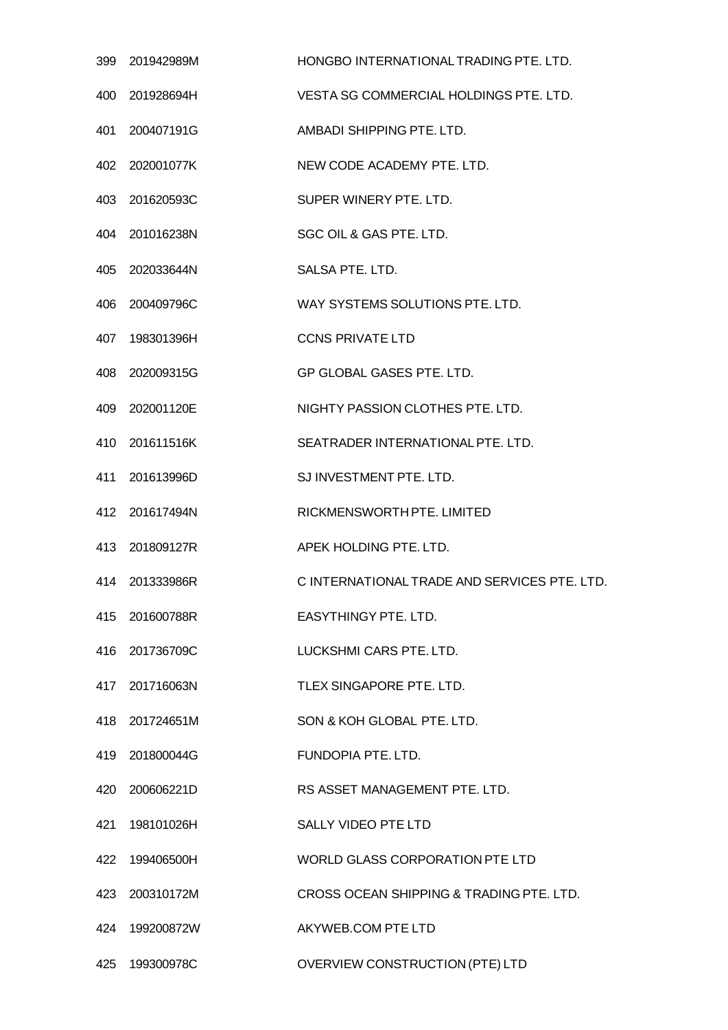|     | 399 201942989M | HONGBO INTERNATIONAL TRADING PTE. LTD.       |
|-----|----------------|----------------------------------------------|
| 400 | 201928694H     | VESTA SG COMMERCIAL HOLDINGS PTE. LTD.       |
|     | 401 200407191G | AMBADI SHIPPING PTE. LTD.                    |
|     | 402 202001077K | NEW CODE ACADEMY PTE. LTD.                   |
| 403 | 201620593C     | SUPER WINERY PTE, LTD.                       |
|     | 404 201016238N | SGC OIL & GAS PTE. LTD.                      |
|     | 405 202033644N | SALSA PTE. LTD.                              |
|     | 406 200409796C | WAY SYSTEMS SOLUTIONS PTE, LTD.              |
|     | 407 198301396H | <b>CCNS PRIVATE LTD</b>                      |
| 408 | 202009315G     | GP GLOBAL GASES PTE. LTD.                    |
|     | 409 202001120E | NIGHTY PASSION CLOTHES PTE. LTD.             |
|     | 410 201611516K | SEATRADER INTERNATIONAL PTE. LTD.            |
| 411 | 201613996D     | SJ INVESTMENT PTE. LTD.                      |
|     | 412 201617494N | RICKMENSWORTH PTE. LIMITED                   |
|     | 413 201809127R | APEK HOLDING PTE. LTD.                       |
|     | 414 201333986R | C INTERNATIONAL TRADE AND SERVICES PTE. LTD. |
|     | 415 201600788R | EASYTHINGY PTE, LTD.                         |
|     | 416 201736709C | LUCKSHMI CARS PTE. LTD.                      |
|     | 417 201716063N | TLEX SINGAPORE PTE. LTD.                     |
|     | 418 201724651M | SON & KOH GLOBAL PTE, LTD.                   |
|     | 419 201800044G | FUNDOPIA PTE. LTD.                           |
|     | 420 200606221D | RS ASSET MANAGEMENT PTE. LTD.                |
|     | 421 198101026H | <b>SALLY VIDEO PTE LTD</b>                   |
|     | 422 199406500H | WORLD GLASS CORPORATION PTE LTD              |
|     | 423 200310172M | CROSS OCEAN SHIPPING & TRADING PTE. LTD.     |
|     | 424 199200872W | AKYWEB.COM PTE LTD                           |
|     | 425 199300978C | OVERVIEW CONSTRUCTION (PTE) LTD              |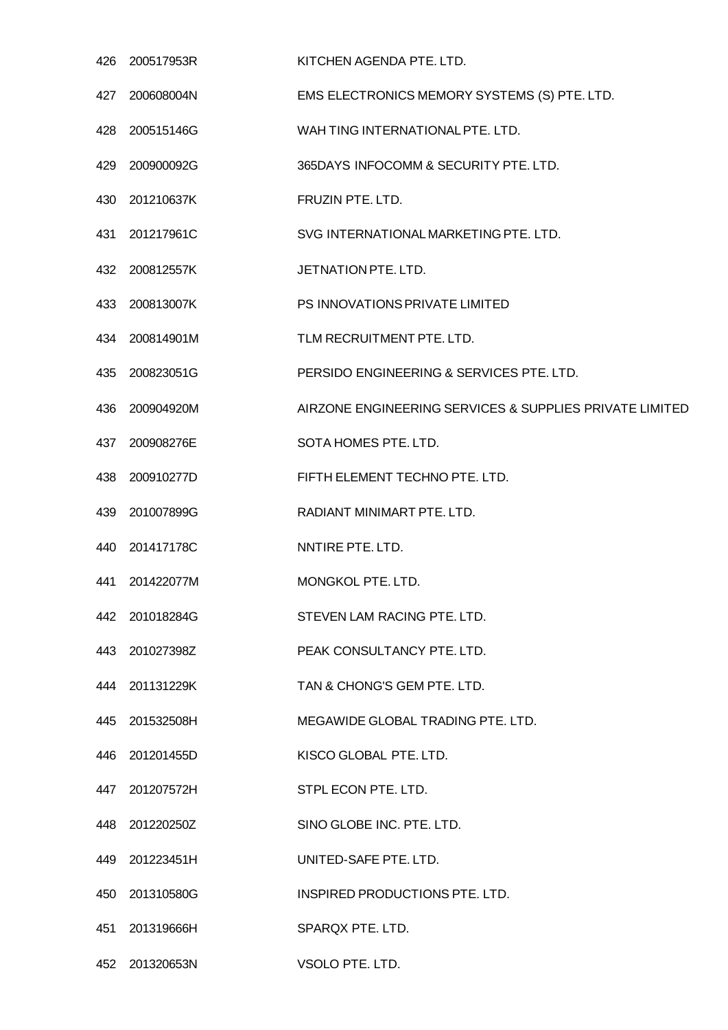| 426 | 200517953R     | KITCHEN AGENDA PTE. LTD.                                |
|-----|----------------|---------------------------------------------------------|
| 427 | 200608004N     | EMS ELECTRONICS MEMORY SYSTEMS (S) PTE. LTD.            |
| 428 | 200515146G     | WAH TING INTERNATIONAL PTE. LTD.                        |
|     | 429 200900092G | 365DAYS INFOCOMM & SECURITY PTE. LTD.                   |
| 430 | 201210637K     | FRUZIN PTE. LTD.                                        |
| 431 | 201217961C     | SVG INTERNATIONAL MARKETING PTE. LTD.                   |
| 432 | 200812557K     | JETNATION PTE. LTD.                                     |
| 433 | 200813007K     | PS INNOVATIONS PRIVATE LIMITED                          |
|     | 434 200814901M | TLM RECRUITMENT PTE. LTD.                               |
| 435 | 200823051G     | PERSIDO ENGINEERING & SERVICES PTE. LTD.                |
| 436 | 200904920M     | AIRZONE ENGINEERING SERVICES & SUPPLIES PRIVATE LIMITED |
|     | 437 200908276E | SOTA HOMES PTE. LTD.                                    |
| 438 | 200910277D     | FIFTH ELEMENT TECHNO PTE. LTD.                          |
| 439 | 201007899G     | RADIANT MINIMART PTE. LTD.                              |
|     | 440 201417178C | NNTIRE PTE, LTD.                                        |
| 441 | 201422077M     | MONGKOL PTE, LTD.                                       |
|     | 442 201018284G | STEVEN LAM RACING PTE. LTD.                             |
|     | 443 201027398Z | PEAK CONSULTANCY PTE. LTD.                              |
|     | 444 201131229K | TAN & CHONG'S GEM PTE. LTD.                             |
|     | 445 201532508H | MEGAWIDE GLOBAL TRADING PTE. LTD.                       |
|     | 446 201201455D | KISCO GLOBAL PTE. LTD.                                  |
|     | 447 201207572H | STPL ECON PTE. LTD.                                     |
|     | 448 201220250Z | SINO GLOBE INC. PTE. LTD.                               |
|     | 449 201223451H | UNITED-SAFE PTE. LTD.                                   |
|     | 450 201310580G | INSPIRED PRODUCTIONS PTE. LTD.                          |
| 451 | 201319666H     | SPARQX PTE. LTD.                                        |
|     | 452 201320653N | VSOLO PTE. LTD.                                         |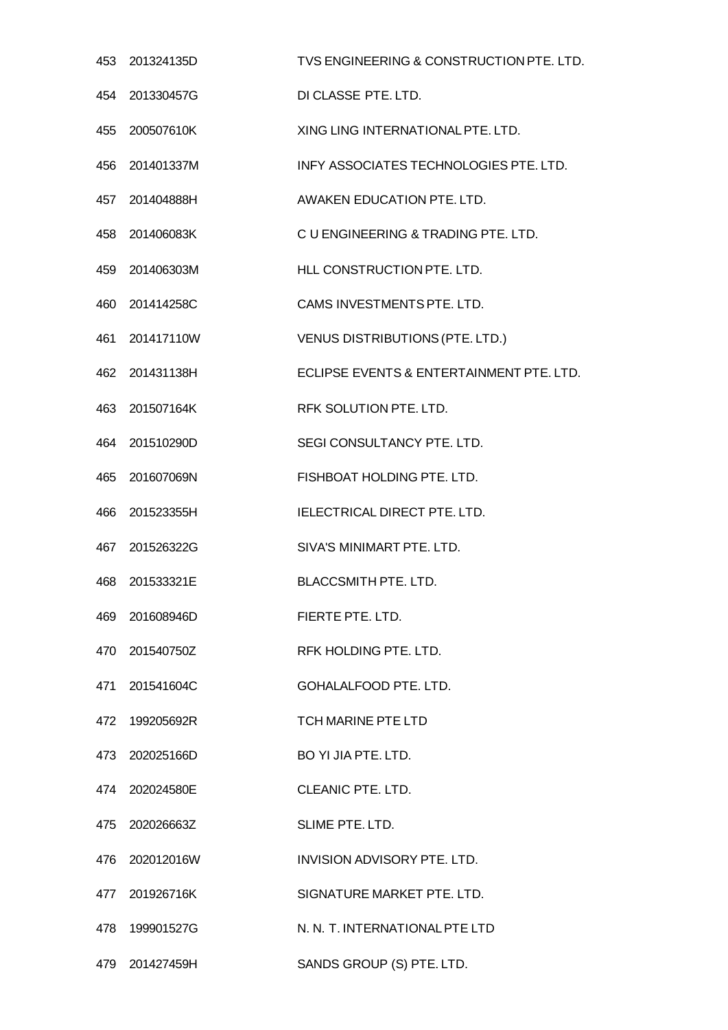|     | 453 201324135D | TVS ENGINEERING & CONSTRUCTION PTE. LTD. |
|-----|----------------|------------------------------------------|
| 454 | 201330457G     | DI CLASSE PTE. LTD.                      |
| 455 | 200507610K     | XING LING INTERNATIONAL PTE, LTD.        |
|     | 456 201401337M | INFY ASSOCIATES TECHNOLOGIES PTE. LTD.   |
| 457 | 201404888H     | AWAKEN EDUCATION PTE, LTD.               |
|     | 458 201406083K | C U ENGINEERING & TRADING PTE. LTD.      |
| 459 | 201406303M     | HLL CONSTRUCTION PTE. LTD.               |
| 460 | 201414258C     | CAMS INVESTMENTS PTE. LTD.               |
|     | 461 201417110W | <b>VENUS DISTRIBUTIONS (PTE. LTD.)</b>   |
| 462 | 201431138H     | ECLIPSE EVENTS & ENTERTAINMENT PTE. LTD. |
| 463 | 201507164K     | RFK SOLUTION PTE. LTD.                   |
|     | 464 201510290D | SEGI CONSULTANCY PTE. LTD.               |
| 465 | 201607069N     | FISHBOAT HOLDING PTE. LTD.               |
| 466 | 201523355H     | IELECTRICAL DIRECT PTE. LTD.             |
| 467 | 201526322G     | SIVA'S MINIMART PTE, LTD.                |
| 468 | 201533321E     | <b>BLACCSMITH PTE. LTD.</b>              |
|     | 469 201608946D | FIERTE PTE, LTD.                         |
|     | 470 201540750Z | RFK HOLDING PTE. LTD.                    |
|     | 471 201541604C | GOHALALFOOD PTE. LTD.                    |
| 472 | 199205692R     | <b>TCH MARINE PTE LTD</b>                |
|     | 473 202025166D | BO YI JIA PTE. LTD.                      |
|     | 474 202024580E | <b>CLEANIC PTE. LTD.</b>                 |
|     | 475 202026663Z | SLIME PTE, LTD.                          |
|     | 476 202012016W | <b>INVISION ADVISORY PTE. LTD.</b>       |
| 477 | 201926716K     | SIGNATURE MARKET PTE. LTD.               |
|     | 478 199901527G | N. N. T. INTERNATIONAL PTE LTD           |
|     | 479 201427459H | SANDS GROUP (S) PTE. LTD.                |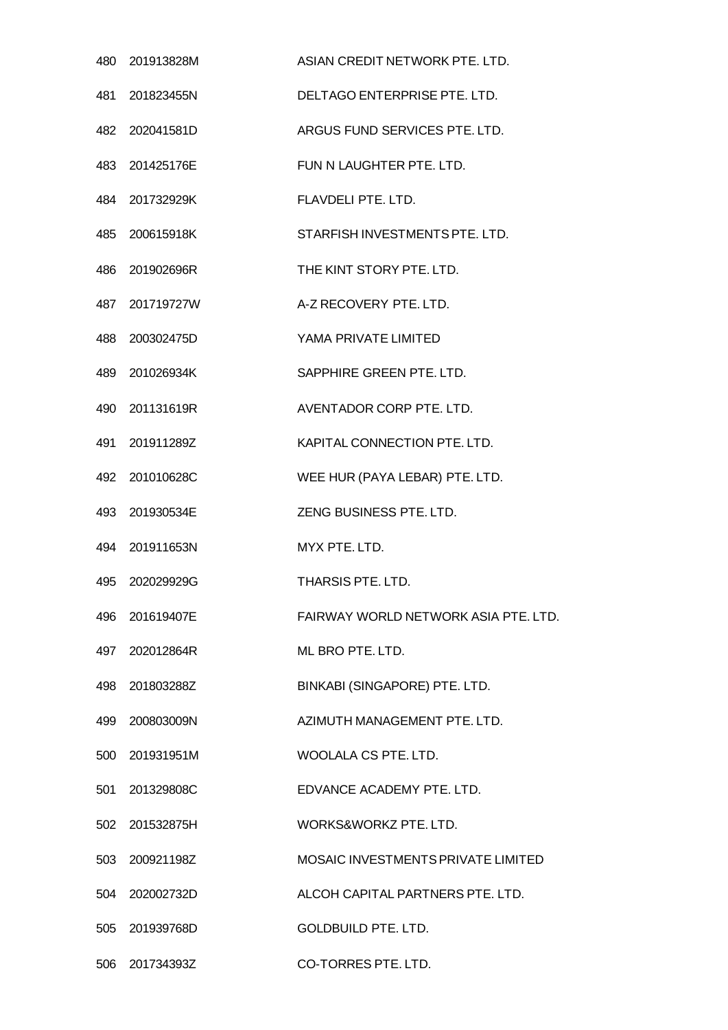|      | 480 201913828M | ASIAN CREDIT NETWORK PTE, LTD.       |
|------|----------------|--------------------------------------|
|      | 481 201823455N | DELTAGO ENTERPRISE PTE. LTD.         |
|      | 482 202041581D | ARGUS FUND SERVICES PTE. LTD.        |
|      | 483 201425176E | FUN N LAUGHTER PTE. LTD.             |
|      | 484 201732929K | FLAVDELI PTE. LTD.                   |
|      | 485 200615918K | STARFISH INVESTMENTS PTE. LTD.       |
|      | 486 201902696R | THE KINT STORY PTE. LTD.             |
|      | 487 201719727W | A-Z RECOVERY PTE. LTD.               |
|      | 488 200302475D | YAMA PRIVATE LIMITED                 |
|      | 489 201026934K | SAPPHIRE GREEN PTE. LTD.             |
|      | 490 201131619R | AVENTADOR CORP PTE. LTD.             |
|      | 491 201911289Z | KAPITAL CONNECTION PTE. LTD.         |
|      | 492 201010628C | WEE HUR (PAYA LEBAR) PTE. LTD.       |
|      | 493 201930534E | ZENG BUSINESS PTE. LTD.              |
|      | 494 201911653N | MYX PTE. LTD.                        |
|      | 495 202029929G | THARSIS PTE. LTD.                    |
| 496. | 201619407E     | FAIRWAY WORLD NETWORK ASIA PTE, LTD. |
|      | 497 202012864R | ML BRO PTE. LTD.                     |
|      | 498 201803288Z | BINKABI (SINGAPORE) PTE. LTD.        |
| 499  | 200803009N     | AZIMUTH MANAGEMENT PTE, LTD.         |
|      | 500 201931951M | WOOLALA CS PTE, LTD.                 |
| 501  | 201329808C     | EDVANCE ACADEMY PTE, LTD.            |
|      | 502 201532875H | WORKS&WORKZ PTE, LTD.                |
|      | 503 200921198Z | MOSAIC INVESTMENTS PRIVATE LIMITED   |
| 504  | 202002732D     | ALCOH CAPITAL PARTNERS PTE. LTD.     |
|      | 505 201939768D | <b>GOLDBUILD PTE. LTD.</b>           |
|      | 506 201734393Z | CO-TORRES PTE. LTD.                  |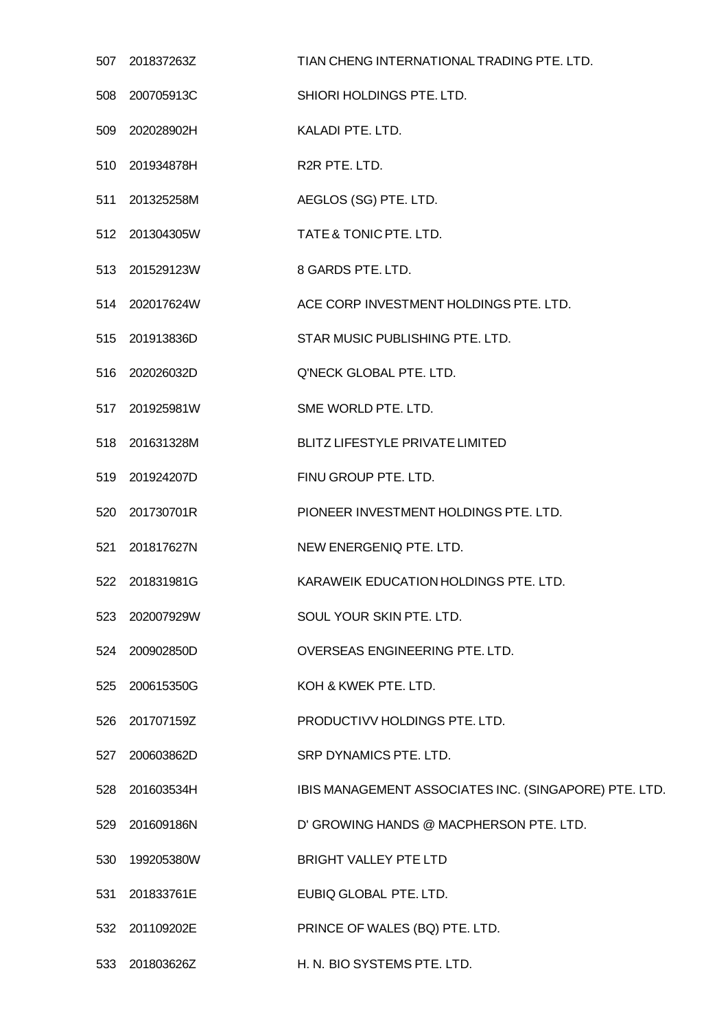| 507 | 201837263Z     | TIAN CHENG INTERNATIONAL TRADING PTE. LTD.            |
|-----|----------------|-------------------------------------------------------|
| 508 | 200705913C     | SHIORI HOLDINGS PTE. LTD.                             |
| 509 | 202028902H     | KALADI PTE. LTD.                                      |
|     | 510 201934878H | R2R PTE. LTD.                                         |
| 511 | 201325258M     | AEGLOS (SG) PTE. LTD.                                 |
|     | 512 201304305W | TATE & TONIC PTE. LTD.                                |
|     | 513 201529123W | 8 GARDS PTE. LTD.                                     |
|     | 514 202017624W | ACE CORP INVESTMENT HOLDINGS PTE. LTD.                |
|     | 515 201913836D | STAR MUSIC PUBLISHING PTE. LTD.                       |
|     | 516 202026032D | Q'NECK GLOBAL PTE. LTD.                               |
|     | 517 201925981W | SME WORLD PTE. LTD.                                   |
|     | 518 201631328M | <b>BLITZ LIFESTYLE PRIVATE LIMITED</b>                |
| 519 | 201924207D     | FINU GROUP PTE. LTD.                                  |
| 520 | 201730701R     | PIONEER INVESTMENT HOLDINGS PTE. LTD.                 |
|     | 521 201817627N | NEW ENERGENIQ PTE. LTD.                               |
| 522 | 201831981G     | KARAWEIK EDUCATION HOLDINGS PTE. LTD.                 |
|     | 523 202007929W | SOUL YOUR SKIN PTE. LTD.                              |
|     | 524 200902850D | OVERSEAS ENGINEERING PTE. LTD.                        |
|     | 525 200615350G | KOH & KWEK PTE. LTD.                                  |
|     | 526 201707159Z | PRODUCTIVV HOLDINGS PTE. LTD.                         |
| 527 | 200603862D     | SRP DYNAMICS PTE. LTD.                                |
|     | 528 201603534H | IBIS MANAGEMENT ASSOCIATES INC. (SINGAPORE) PTE. LTD. |
| 529 | 201609186N     | D' GROWING HANDS @ MACPHERSON PTE. LTD.               |
| 530 | 199205380W     | <b>BRIGHT VALLEY PTE LTD</b>                          |
| 531 | 201833761E     | EUBIQ GLOBAL PTE. LTD.                                |
|     | 532 201109202E | PRINCE OF WALES (BQ) PTE. LTD.                        |
|     |                |                                                       |

201803626Z H. N. BIO SYSTEMS PTE. LTD.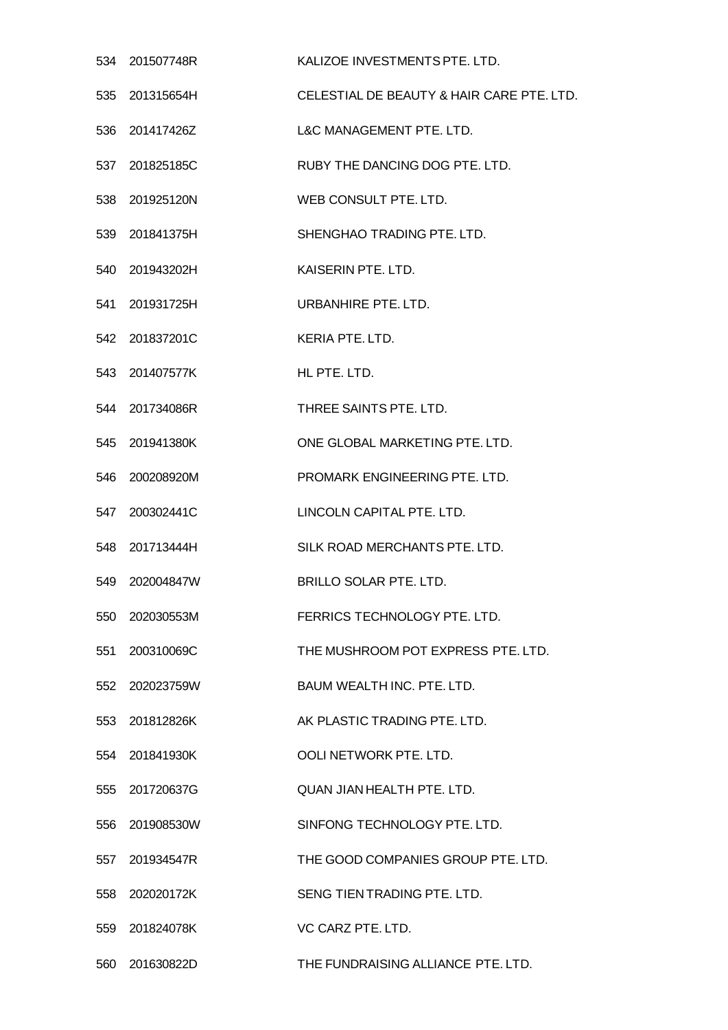|     | 534 201507748R | KALIZOE INVESTMENTS PTE. LTD.             |
|-----|----------------|-------------------------------------------|
| 535 | 201315654H     | CELESTIAL DE BEAUTY & HAIR CARE PTE. LTD. |
|     | 536 201417426Z | L&C MANAGEMENT PTE. LTD.                  |
|     | 537 201825185C | RUBY THE DANCING DOG PTE. LTD.            |
| 538 | 201925120N     | WEB CONSULT PTE, LTD.                     |
|     | 539 201841375H | SHENGHAO TRADING PTE. LTD.                |
|     | 540 201943202H | KAISERIN PTE. LTD.                        |
| 541 | 201931725H     | URBANHIRE PTE, LTD.                       |
|     | 542 201837201C | KERIA PTE. LTD.                           |
| 543 | 201407577K     | HL PTE. LTD.                              |
|     | 544 201734086R | THREE SAINTS PTE. LTD.                    |
|     | 545 201941380K | ONE GLOBAL MARKETING PTE. LTD.            |
| 546 | 200208920M     | PROMARK ENGINEERING PTE. LTD.             |
|     | 547 200302441C | LINCOLN CAPITAL PTE. LTD.                 |
| 548 | 201713444H     | SILK ROAD MERCHANTS PTE. LTD.             |
| 549 | 202004847W     | BRILLO SOLAR PTE. LTD.                    |
| 550 | 202030553M     | FERRICS TECHNOLOGY PTE. LTD.              |
| 551 | 200310069C     | THE MUSHROOM POT EXPRESS PTE. LTD.        |
| 552 | 202023759W     | BAUM WEALTH INC. PTE. LTD.                |
| 553 | 201812826K     | AK PLASTIC TRADING PTE. LTD.              |
|     | 554 201841930K | OOLI NETWORK PTE, LTD.                    |
| 555 | 201720637G     | QUAN JIAN HEALTH PTE. LTD.                |
| 556 | 201908530W     | SINFONG TECHNOLOGY PTE. LTD.              |
| 557 | 201934547R     | THE GOOD COMPANIES GROUP PTE. LTD.        |
| 558 | 202020172K     | SENG TIEN TRADING PTE, LTD.               |
| 559 | 201824078K     | VC CARZ PTE, LTD.                         |
| 560 | 201630822D     | THE FUNDRAISING ALLIANCE PTE. LTD.        |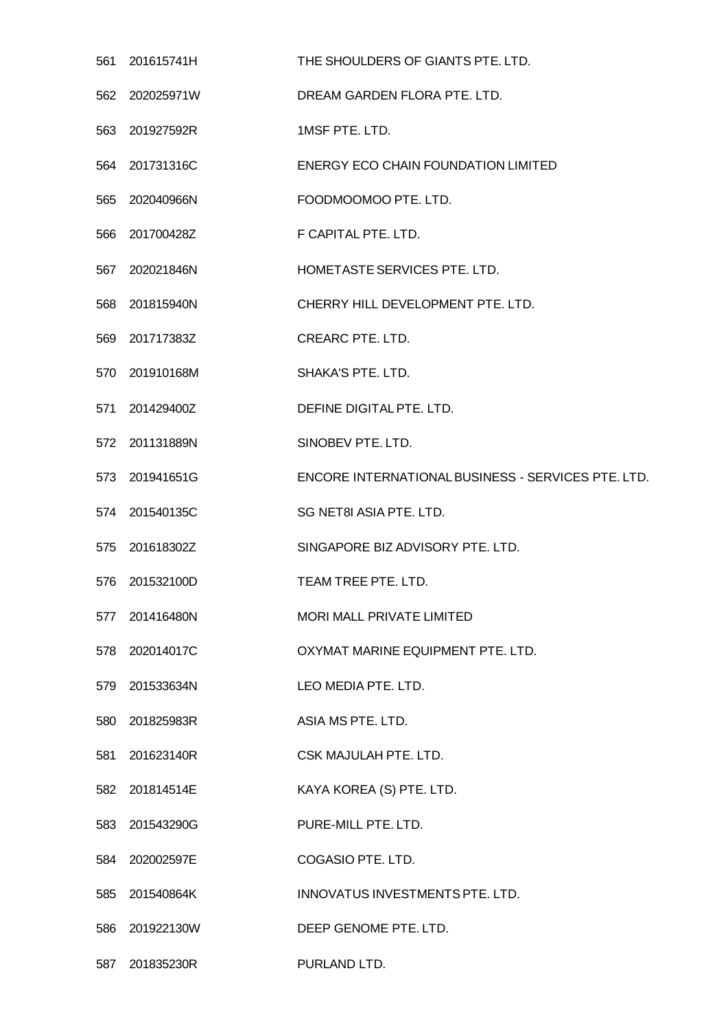| 561 | 201615741H     | THE SHOULDERS OF GIANTS PTE. LTD.                  |
|-----|----------------|----------------------------------------------------|
|     | 562 202025971W | DREAM GARDEN FLORA PTE. LTD.                       |
|     | 563 201927592R | 1MSF PTE. LTD.                                     |
|     | 564 201731316C | <b>ENERGY ECO CHAIN FOUNDATION LIMITED</b>         |
| 565 | 202040966N     | FOODMOOMOO PTE. LTD.                               |
|     | 566 201700428Z | F CAPITAL PTE. LTD.                                |
|     | 567 202021846N | HOMETASTE SERVICES PTE. LTD.                       |
|     | 568 201815940N | CHERRY HILL DEVELOPMENT PTE. LTD.                  |
|     | 569 201717383Z | <b>CREARC PTE. LTD.</b>                            |
| 570 | 201910168M     | <b>SHAKA'S PTE, LTD.</b>                           |
|     | 571 201429400Z | DEFINE DIGITAL PTE. LTD.                           |
|     | 572 201131889N | SINOBEV PTE. LTD.                                  |
| 573 | 201941651G     | ENCORE INTERNATIONAL BUSINESS - SERVICES PTE. LTD. |
|     | 574 201540135C | SG NET8I ASIA PTE. LTD.                            |
| 575 | 201618302Z     | SINGAPORE BIZ ADVISORY PTE. LTD.                   |
| 576 | 201532100D     | TEAM TREE PTE, LTD.                                |
| 577 | 201416480N     | <b>MORI MALL PRIVATE LIMITED</b>                   |
|     | 578 202014017C | OXYMAT MARINE EQUIPMENT PTE. LTD.                  |
|     | 579 201533634N | LEO MEDIA PTE. LTD.                                |
| 580 | 201825983R     | ASIA MS PTE. LTD.                                  |
|     | 581 201623140R | CSK MAJULAH PTE. LTD.                              |
|     | 582 201814514E | KAYA KOREA (S) PTE. LTD.                           |
|     | 583 201543290G | PURE-MILL PTE. LTD.                                |
|     | 584 202002597E | COGASIO PTE. LTD.                                  |
| 585 | 201540864K     | INNOVATUS INVESTMENTS PTE. LTD.                    |
| 586 | 201922130W     | DEEP GENOME PTE. LTD.                              |
| 587 | 201835230R     | PURLAND LTD.                                       |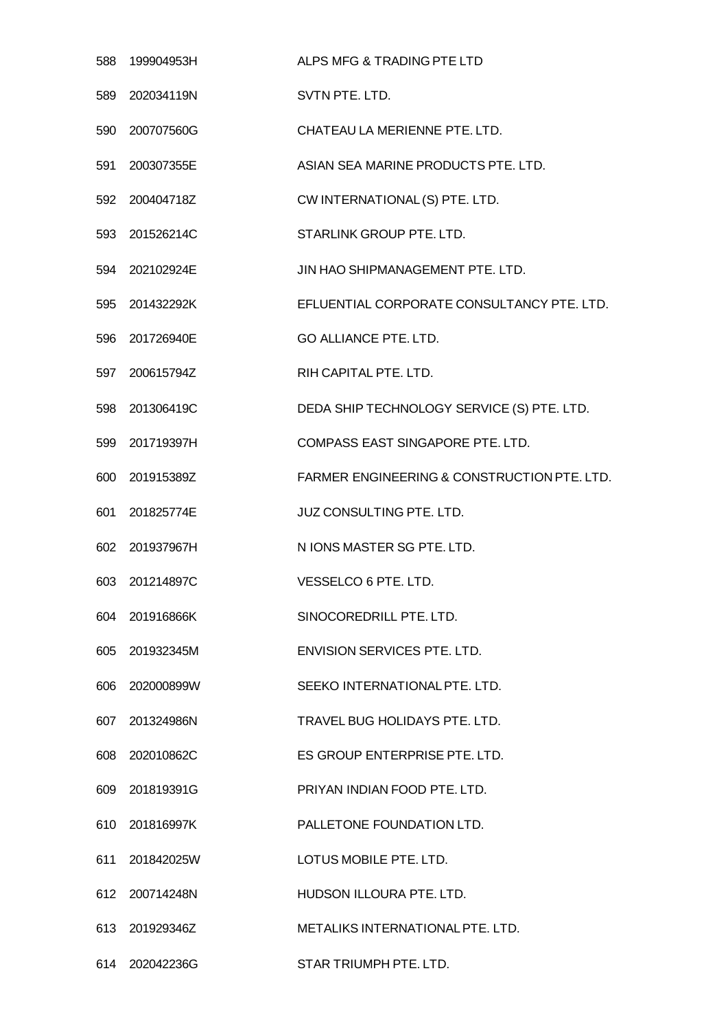| 588 | 199904953H     | ALPS MFG & TRADING PTE LTD                  |
|-----|----------------|---------------------------------------------|
| 589 | 202034119N     | SVTN PTE. LTD.                              |
|     | 590 200707560G | CHATEAU LA MERIENNE PTE. LTD.               |
| 591 | 200307355E     | ASIAN SEA MARINE PRODUCTS PTE. LTD.         |
| 592 | 200404718Z     | CW INTERNATIONAL (S) PTE. LTD.              |
|     | 593 201526214C | STARLINK GROUP PTE. LTD.                    |
|     | 594 202102924E | JIN HAO SHIPMANAGEMENT PTE. LTD.            |
| 595 | 201432292K     | EFLUENTIAL CORPORATE CONSULTANCY PTE. LTD.  |
|     | 596 201726940E | <b>GO ALLIANCE PTE. LTD.</b>                |
| 597 | 200615794Z     | RIH CAPITAL PTE. LTD.                       |
| 598 | 201306419C     | DEDA SHIP TECHNOLOGY SERVICE (S) PTE. LTD.  |
|     | 599 201719397H | COMPASS EAST SINGAPORE PTE. LTD.            |
| 600 | 201915389Z     | FARMER ENGINEERING & CONSTRUCTION PTE. LTD. |
|     | 601 201825774E | <b>JUZ CONSULTING PTE. LTD.</b>             |
| 602 | 201937967H     | N IONS MASTER SG PTE. LTD.                  |
| 603 | 201214897C     | VESSELCO 6 PTE. LTD.                        |
|     | 604 201916866K | SINOCOREDRILL PTE, LTD.                     |
|     | 605 201932345M | ENVISION SERVICES PTE, LTD.                 |
|     | 606 202000899W | SEEKO INTERNATIONAL PTE. LTD.               |
| 607 | 201324986N     | TRAVEL BUG HOLIDAYS PTE, LTD.               |
|     | 608 202010862C | ES GROUP ENTERPRISE PTE. LTD.               |
|     | 609 201819391G | PRIYAN INDIAN FOOD PTE. LTD.                |
|     | 610 201816997K | PALLETONE FOUNDATION LTD.                   |
|     | 611 201842025W | LOTUS MOBILE PTE. LTD.                      |
|     | 612 200714248N | HUDSON ILLOURA PTE. LTD.                    |
|     | 613 201929346Z | METALIKS INTERNATIONAL PTE. LTD.            |
|     | 614 202042236G | STAR TRIUMPH PTE. LTD.                      |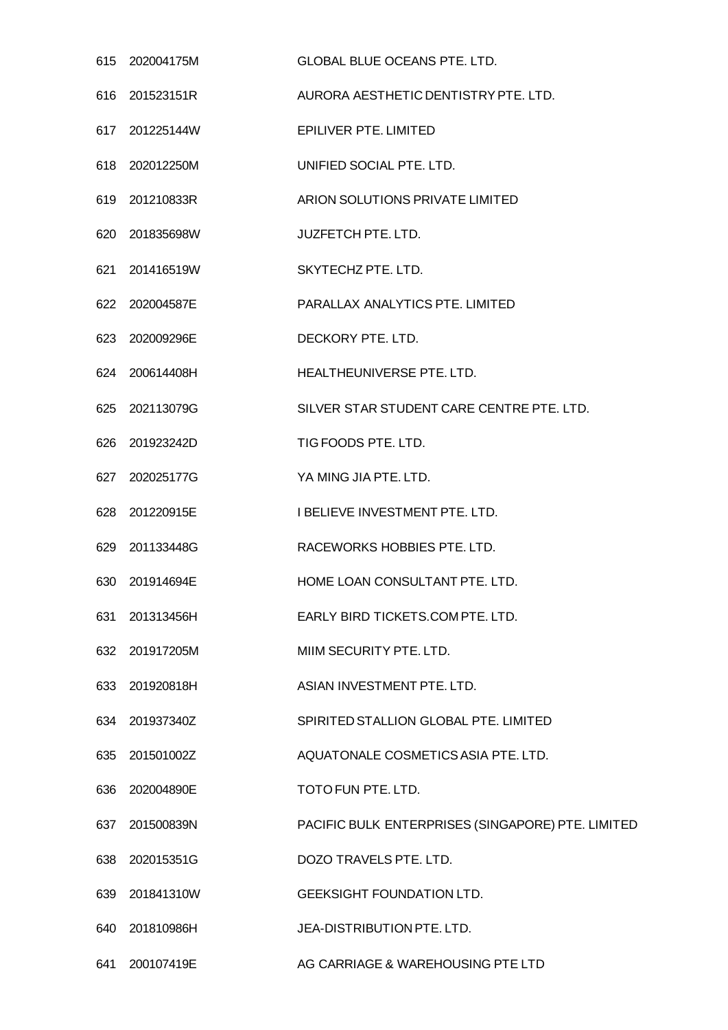|     | 615 202004175M | <b>GLOBAL BLUE OCEANS PTE, LTD.</b>               |
|-----|----------------|---------------------------------------------------|
|     | 616 201523151R | AURORA AESTHETIC DENTISTRY PTE. LTD.              |
|     | 617 201225144W | EPILIVER PTE. LIMITED                             |
|     | 618 202012250M | UNIFIED SOCIAL PTE. LTD.                          |
|     | 619 201210833R | ARION SOLUTIONS PRIVATE LIMITED                   |
|     | 620 201835698W | <b>JUZFETCH PTE. LTD.</b>                         |
|     | 621 201416519W | SKYTECHZ PTE. LTD.                                |
|     | 622 202004587E | <b>PARALLAX ANALYTICS PTE, LIMITED</b>            |
|     | 623 202009296E | DECKORY PTE. LTD.                                 |
|     | 624 200614408H | HEALTHEUNIVERSE PTE. LTD.                         |
|     | 625 202113079G | SILVER STAR STUDENT CARE CENTRE PTE. LTD.         |
|     | 626 201923242D | TIG FOODS PTE. LTD.                               |
|     | 627 202025177G | YA MING JIA PTE. LTD.                             |
|     | 628 201220915E | I BELIEVE INVESTMENT PTE. LTD.                    |
|     | 629 201133448G | RACEWORKS HOBBIES PTE. LTD.                       |
|     | 630 201914694E | HOME LOAN CONSULTANT PTE. LTD.                    |
|     | 631 201313456H | EARLY BIRD TICKETS.COM PTE. LTD.                  |
|     | 632 201917205M | MIIM SECURITY PTE. LTD.                           |
|     | 633 201920818H | ASIAN INVESTMENT PTE. LTD.                        |
|     | 634 201937340Z | SPIRITED STALLION GLOBAL PTE. LIMITED             |
|     | 635 201501002Z | AQUATONALE COSMETICS ASIA PTE. LTD.               |
|     | 636 202004890E | TOTO FUN PTE. LTD.                                |
|     | 637 201500839N | PACIFIC BULK ENTERPRISES (SINGAPORE) PTE. LIMITED |
|     | 638 202015351G | DOZO TRAVELS PTE. LTD.                            |
|     | 639 201841310W | <b>GEEKSIGHT FOUNDATION LTD.</b>                  |
| 640 | 201810986H     | JEA-DISTRIBUTION PTE. LTD.                        |
|     | 641 200107419E | AG CARRIAGE & WAREHOUSING PTE LTD                 |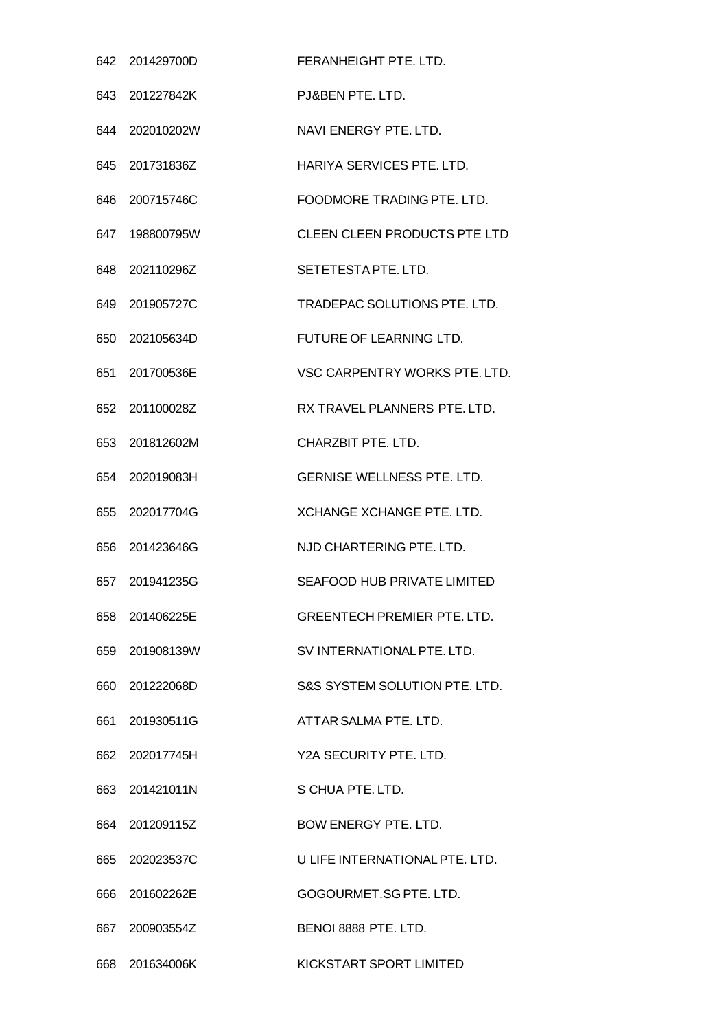|     | 642 201429700D | FERANHEIGHT PTE. LTD.               |
|-----|----------------|-------------------------------------|
| 643 | 201227842K     | PJ&BEN PTE, LTD.                    |
|     | 644 202010202W | NAVI ENERGY PTE. LTD.               |
|     | 645 201731836Z | HARIYA SERVICES PTE, LTD.           |
| 646 | 200715746C     | FOODMORE TRADING PTE, LTD.          |
|     | 647 198800795W | CLEEN CLEEN PRODUCTS PTE LTD        |
| 648 | 202110296Z     | SETETESTAPTE, LTD.                  |
| 649 | 201905727C     | <b>TRADEPAC SOLUTIONS PTE, LTD.</b> |
|     | 650 202105634D | FUTURE OF LEARNING LTD.             |
| 651 | 201700536E     | VSC CARPENTRY WORKS PTE. LTD.       |
|     | 652 201100028Z | RX TRAVEL PLANNERS PTE. LTD.        |
| 653 | 201812602M     | CHARZBIT PTE, LTD.                  |
| 654 | 202019083H     | <b>GERNISE WELLNESS PTE. LTD.</b>   |
|     | 655 202017704G | <b>XCHANGE XCHANGE PTE, LTD.</b>    |
| 656 | 201423646G     | NJD CHARTERING PTE, LTD.            |
|     | 657 201941235G | <b>SEAFOOD HUB PRIVATE LIMITED</b>  |
| 658 | 201406225E     | <b>GREENTECH PREMIER PTE. LTD.</b>  |
|     | 659 201908139W | SV INTERNATIONAL PTE. LTD.          |
|     | 660 201222068D | S&S SYSTEM SOLUTION PTE. LTD.       |
| 661 | 201930511G     | ATTAR SALMA PTE. LTD.               |
|     | 662 202017745H | Y2A SECURITY PTE. LTD.              |
|     | 663 201421011N | S CHUA PTE, LTD.                    |
| 664 | 201209115Z     | <b>BOW ENERGY PTE, LTD.</b>         |
|     | 665 202023537C | U LIFE INTERNATIONAL PTE, LTD.      |
| 666 | 201602262E     | GOGOURMET.SG PTE. LTD.              |
| 667 | 200903554Z     | BENOI 8888 PTE. LTD.                |
| 668 | 201634006K     | KICKSTART SPORT LIMITED             |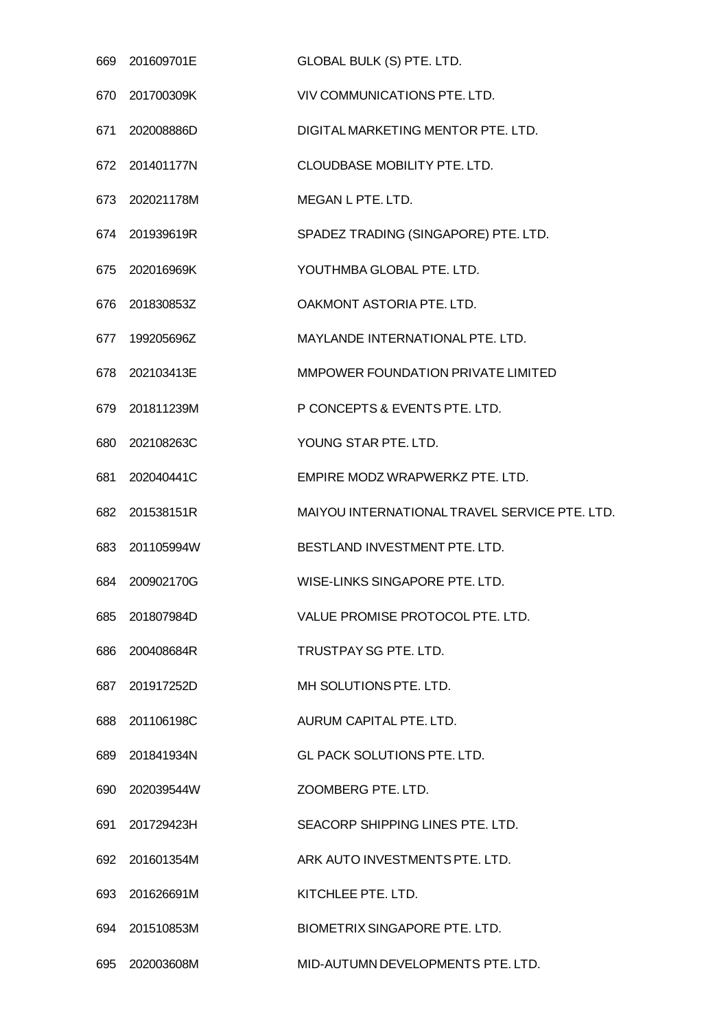|     | 669 201609701E | GLOBAL BULK (S) PTE. LTD.                     |
|-----|----------------|-----------------------------------------------|
| 670 | 201700309K     | VIV COMMUNICATIONS PTE, LTD.                  |
|     | 671 202008886D | DIGITAL MARKETING MENTOR PTE. LTD.            |
|     | 672 201401177N | <b>CLOUDBASE MOBILITY PTE. LTD.</b>           |
|     | 673 202021178M | MEGAN L PTE. LTD.                             |
|     | 674 201939619R | SPADEZ TRADING (SINGAPORE) PTE. LTD.          |
|     | 675 202016969K | YOUTHMBA GLOBAL PTE. LTD.                     |
|     | 676 201830853Z | OAKMONT ASTORIA PTE. LTD.                     |
|     | 677 199205696Z | MAYLANDE INTERNATIONAL PTE. LTD.              |
| 678 | 202103413E     | MMPOWER FOUNDATION PRIVATE LIMITED            |
|     | 679 201811239M | P CONCEPTS & EVENTS PTE. LTD.                 |
| 680 | 202108263C     | YOUNG STAR PTE. LTD.                          |
| 681 | 202040441C     | EMPIRE MODZ WRAPWERKZ PTE. LTD.               |
|     | 682 201538151R | MAIYOU INTERNATIONAL TRAVEL SERVICE PTE. LTD. |
|     | 683 201105994W | BESTLAND INVESTMENT PTE. LTD.                 |
|     | 684 200902170G | WISE-LINKS SINGAPORE PTE. LTD.                |
| 685 | 201807984D     | VALUE PROMISE PROTOCOL PTE. LTD.              |
|     | 686 200408684R | TRUSTPAY SG PTE. LTD.                         |
| 687 | 201917252D     | MH SOLUTIONS PTE. LTD.                        |
| 688 | 201106198C     | AURUM CAPITAL PTE, LTD.                       |
|     | 689 201841934N | GL PACK SOLUTIONS PTE. LTD.                   |
| 690 | 202039544W     | ZOOMBERG PTE. LTD.                            |
| 691 | 201729423H     | SEACORP SHIPPING LINES PTE. LTD.              |
|     | 692 201601354M | ARK AUTO INVESTMENTS PTE. LTD.                |
| 693 | 201626691M     | KITCHLEE PTE, LTD.                            |
|     | 694 201510853M | BIOMETRIX SINGAPORE PTE, LTD.                 |
| 695 | 202003608M     | MID-AUTUMN DEVELOPMENTS PTE. LTD.             |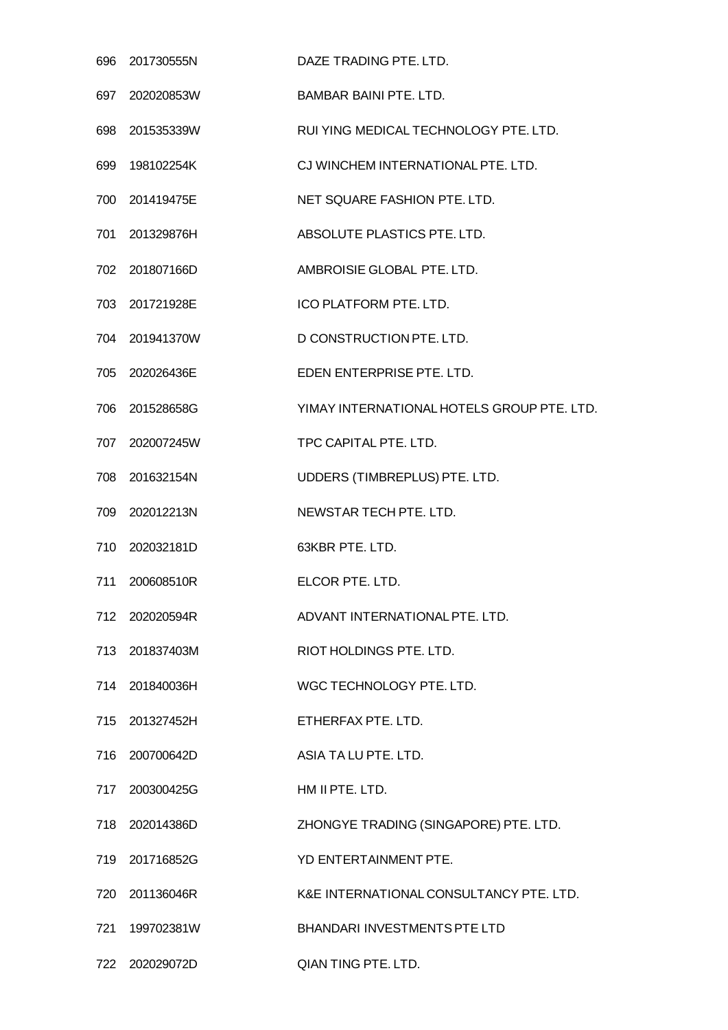|     | 696 201730555N | DAZE TRADING PTE. LTD.                     |
|-----|----------------|--------------------------------------------|
| 697 | 202020853W     | <b>BAMBAR BAINI PTE. LTD.</b>              |
|     | 698 201535339W | RUI YING MEDICAL TECHNOLOGY PTE. LTD.      |
| 699 | 198102254K     | CJ WINCHEM INTERNATIONAL PTE. LTD.         |
| 700 | 201419475E     | NET SQUARE FASHION PTE. LTD.               |
|     | 701 201329876H | ABSOLUTE PLASTICS PTE. LTD.                |
|     | 702 201807166D | AMBROISIE GLOBAL PTE. LTD.                 |
| 703 | 201721928E     | ICO PLATFORM PTE. LTD.                     |
|     | 704 201941370W | D CONSTRUCTION PTE. LTD.                   |
| 705 | 202026436E     | EDEN ENTERPRISE PTE. LTD.                  |
|     | 706 201528658G | YIMAY INTERNATIONAL HOTELS GROUP PTE. LTD. |
|     | 707 202007245W | TPC CAPITAL PTE. LTD.                      |
| 708 | 201632154N     | UDDERS (TIMBREPLUS) PTE. LTD.              |
|     | 709 202012213N | NEWSTAR TECH PTE. LTD.                     |
| 710 | 202032181D     | 63KBR PTE. LTD.                            |
| 711 | 200608510R     | ELCOR PTE. LTD.                            |
|     | 712 202020594R | ADVANT INTERNATIONAL PTE, LTD.             |
|     | 713 201837403M | RIOT HOLDINGS PTE. LTD.                    |
|     | 714 201840036H | WGC TECHNOLOGY PTE. LTD.                   |
|     | 715 201327452H | ETHERFAX PTE, LTD.                         |
|     | 716 200700642D | ASIA TA LU PTE. LTD.                       |
| 717 | 200300425G     | HM II PTE. LTD.                            |
|     | 718 202014386D | ZHONGYE TRADING (SINGAPORE) PTE. LTD.      |
|     | 719 201716852G | YD ENTERTAINMENT PTE.                      |
| 720 | 201136046R     | K&E INTERNATIONAL CONSULTANCY PTE. LTD.    |
| 721 | 199702381W     | BHANDARI INVESTMENTS PTE LTD               |
|     | 722 202029072D | QIAN TING PTE. LTD.                        |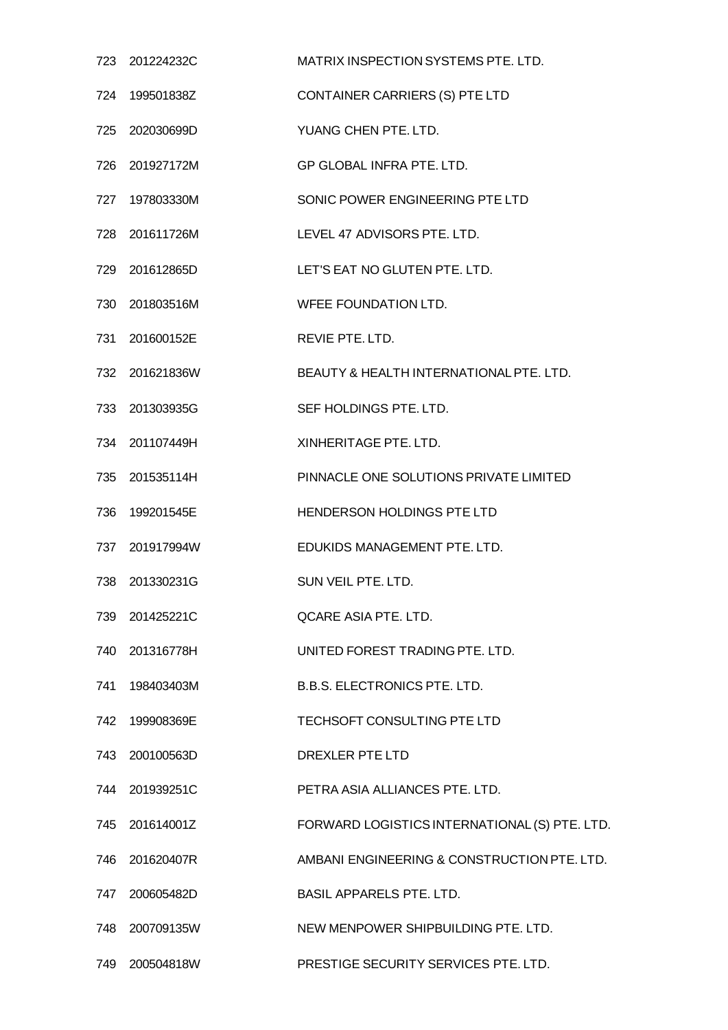| 723 201224232C | MATRIX INSPECTION SYSTEMS PTE. LTD.           |
|----------------|-----------------------------------------------|
| 724 199501838Z | CONTAINER CARRIERS (S) PTE LTD                |
| 725 202030699D | YUANG CHEN PTE. LTD.                          |
| 726 201927172M | GP GLOBAL INFRA PTE. LTD.                     |
| 727 197803330M | SONIC POWER ENGINEERING PTE LTD               |
| 728 201611726M | LEVEL 47 ADVISORS PTE. LTD.                   |
| 729 201612865D | LET'S EAT NO GLUTEN PTE. LTD.                 |
| 730 201803516M | WFEE FOUNDATION LTD.                          |
| 731 201600152E | REVIE PTE. LTD.                               |
| 732 201621836W | BEAUTY & HEALTH INTERNATIONAL PTE, LTD.       |
| 733 201303935G | SEF HOLDINGS PTE. LTD.                        |
| 734 201107449H | XINHERITAGE PTE. LTD.                         |
| 735 201535114H | PINNACLE ONE SOLUTIONS PRIVATE LIMITED        |
| 736 199201545E | HENDERSON HOLDINGS PTE LTD                    |
| 737 201917994W | EDUKIDS MANAGEMENT PTE, LTD.                  |
| 738 201330231G | SUN VEIL PTE. LTD.                            |
| 739 201425221C | <b>QCARE ASIA PTE. LTD.</b>                   |
| 740 201316778H | UNITED FOREST TRADING PTE. LTD.               |
| 741 198403403M | <b>B.B.S. ELECTRONICS PTE. LTD.</b>           |
| 742 199908369E | TECHSOFT CONSULTING PTE LTD                   |
| 743 200100563D | DREXLER PTE LTD                               |
| 744 201939251C | PETRA ASIA ALLIANCES PTE. LTD.                |
| 745 201614001Z | FORWARD LOGISTICS INTERNATIONAL (S) PTE. LTD. |
| 746 201620407R | AMBANI ENGINEERING & CONSTRUCTION PTE. LTD.   |
| 747 200605482D | <b>BASIL APPARELS PTE. LTD.</b>               |
| 748 200709135W | NEW MENPOWER SHIPBUILDING PTE. LTD.           |
| 749 200504818W | PRESTIGE SECURITY SERVICES PTE. LTD.          |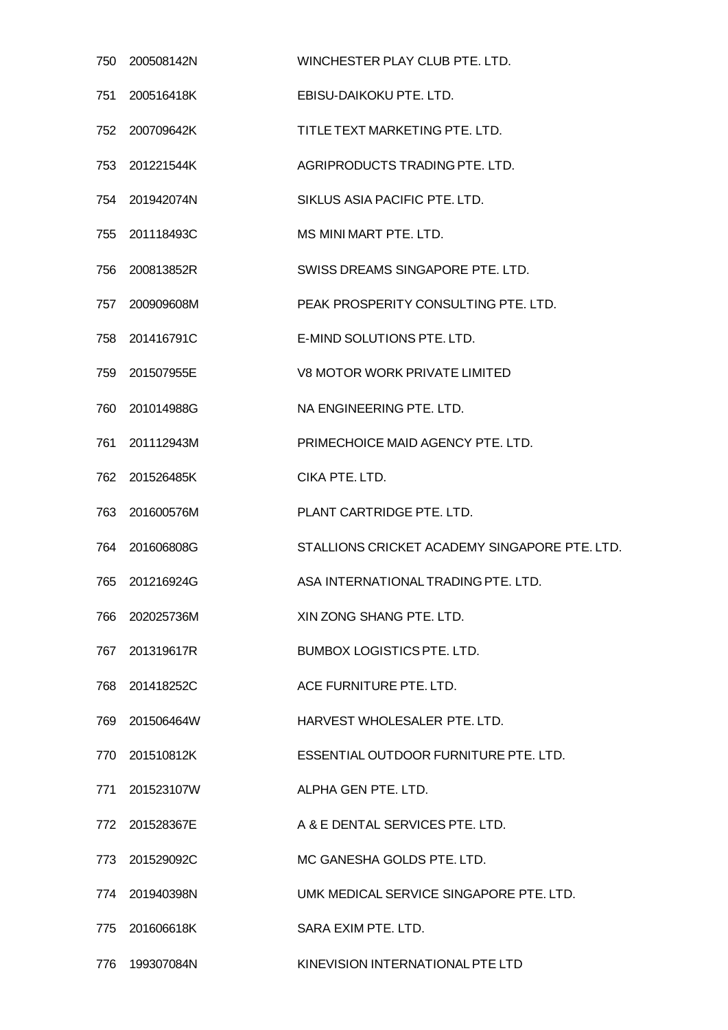| 750 | 200508142N     | WINCHESTER PLAY CLUB PTE. LTD.                |
|-----|----------------|-----------------------------------------------|
| 751 | 200516418K     | EBISU-DAIKOKU PTE. LTD.                       |
|     | 752 200709642K | TITLE TEXT MARKETING PTE. LTD.                |
| 753 | 201221544K     | AGRIPRODUCTS TRADING PTE. LTD.                |
|     | 754 201942074N | SIKLUS ASIA PACIFIC PTE. LTD.                 |
|     | 755 201118493C | MS MINI MART PTE. LTD.                        |
| 756 | 200813852R     | SWISS DREAMS SINGAPORE PTE. LTD.              |
|     | 757 200909608M | PEAK PROSPERITY CONSULTING PTE. LTD.          |
|     | 758 201416791C | E-MIND SOLUTIONS PTE. LTD.                    |
| 759 | 201507955E     | V8 MOTOR WORK PRIVATE LIMITED                 |
|     | 760 201014988G | NA ENGINEERING PTE. LTD.                      |
| 761 | 201112943M     | PRIMECHOICE MAID AGENCY PTE. LTD.             |
| 762 | 201526485K     | CIKA PTE. LTD.                                |
|     | 763 201600576M | PLANT CARTRIDGE PTE. LTD.                     |
|     | 764 201606808G | STALLIONS CRICKET ACADEMY SINGAPORE PTE. LTD. |
| 765 | 201216924G     | ASA INTERNATIONAL TRADING PTE. LTD.           |
| 766 | 202025736M     | XIN ZONG SHANG PTE. LTD.                      |
|     | 767 201319617R | <b>BUMBOX LOGISTICS PTE, LTD.</b>             |
|     | 768 201418252C | ACE FURNITURE PTE. LTD.                       |
|     | 769 201506464W | HARVEST WHOLESALER PTE. LTD.                  |
|     | 770 201510812K | ESSENTIAL OUTDOOR FURNITURE PTE. LTD.         |
| 771 | 201523107W     | ALPHA GEN PTE. LTD.                           |
|     | 772 201528367E | A & E DENTAL SERVICES PTE. LTD.               |
|     | 773 201529092C | MC GANESHA GOLDS PTE. LTD.                    |
| 774 | 201940398N     | UMK MEDICAL SERVICE SINGAPORE PTE, LTD.       |
|     | 775 201606618K | SARA EXIM PTE, LTD.                           |
| 776 | 199307084N     | KINEVISION INTERNATIONAL PTE LTD              |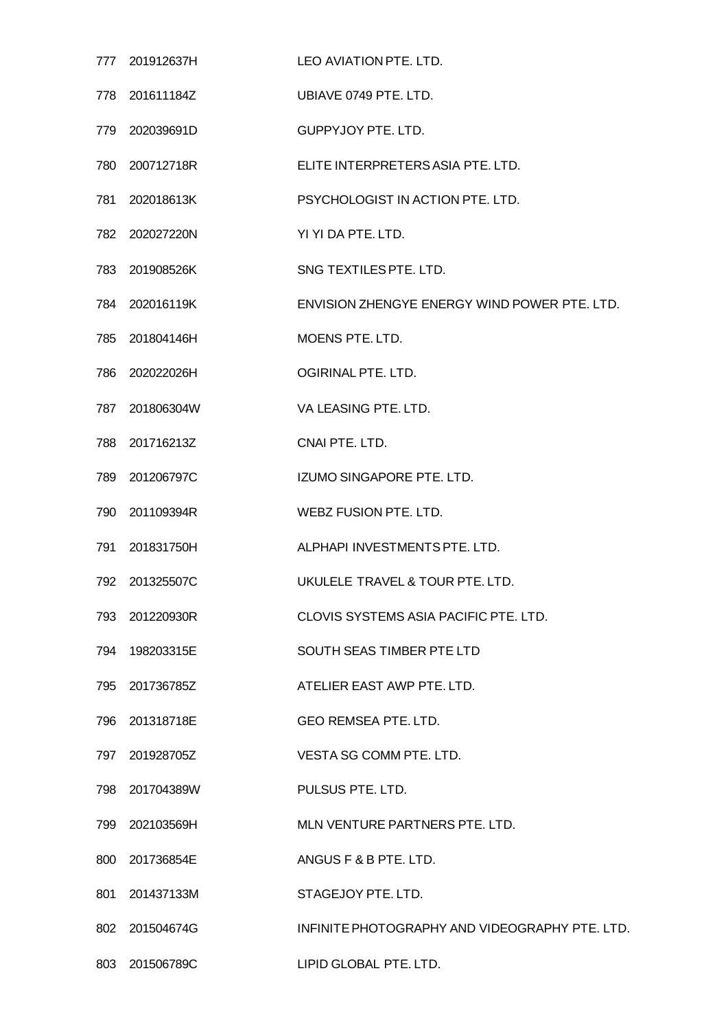|     | 777 201912637H | LEO AVIATION PTE. LTD.                         |
|-----|----------------|------------------------------------------------|
|     | 778 201611184Z | UBIAVE 0749 PTE, LTD.                          |
|     | 779 202039691D | <b>GUPPYJOY PTE. LTD.</b>                      |
|     | 780 200712718R | ELITE INTERPRETERS ASIA PTE. LTD.              |
|     | 781 202018613K | PSYCHOLOGIST IN ACTION PTE. LTD.               |
|     | 782 202027220N | YI YI DA PTE. LTD.                             |
|     | 783 201908526K | SNG TEXTILES PTE. LTD.                         |
|     | 784 202016119K | ENVISION ZHENGYE ENERGY WIND POWER PTE, LTD.   |
|     | 785 201804146H | <b>MOENS PTE, LTD.</b>                         |
|     | 786 202022026H | OGIRINAL PTE, LTD.                             |
|     | 787 201806304W | VA LEASING PTE. LTD.                           |
|     | 788 201716213Z | CNAI PTE. LTD.                                 |
|     | 789 201206797C | IZUMO SINGAPORE PTE. LTD.                      |
|     | 790 201109394R | WEBZ FUSION PTE. LTD.                          |
|     | 791 201831750H | ALPHAPI INVESTMENTS PTE, LTD.                  |
|     | 792 201325507C | UKULELE TRAVEL & TOUR PTE, LTD.                |
|     | 793 201220930R | CLOVIS SYSTEMS ASIA PACIFIC PTE. LTD.          |
|     | 794 198203315E | SOUTH SEAS TIMBER PTE LTD                      |
|     | 795 201736785Z | ATELIER EAST AWP PTE. LTD.                     |
|     | 796 201318718E | <b>GEO REMSEA PTE. LTD.</b>                    |
|     | 797 201928705Z | VESTA SG COMM PTE. LTD.                        |
|     | 798 201704389W | PULSUS PTE. LTD.                               |
|     | 799 202103569H | MLN VENTURE PARTNERS PTE. LTD.                 |
|     | 800 201736854E | ANGUS F & B PTE. LTD.                          |
| 801 | 201437133M     | STAGEJOY PTE. LTD.                             |
|     | 802 201504674G | INFINITE PHOTOGRAPHY AND VIDEOGRAPHY PTE. LTD. |
|     | 803 201506789C | LIPID GLOBAL PTE. LTD.                         |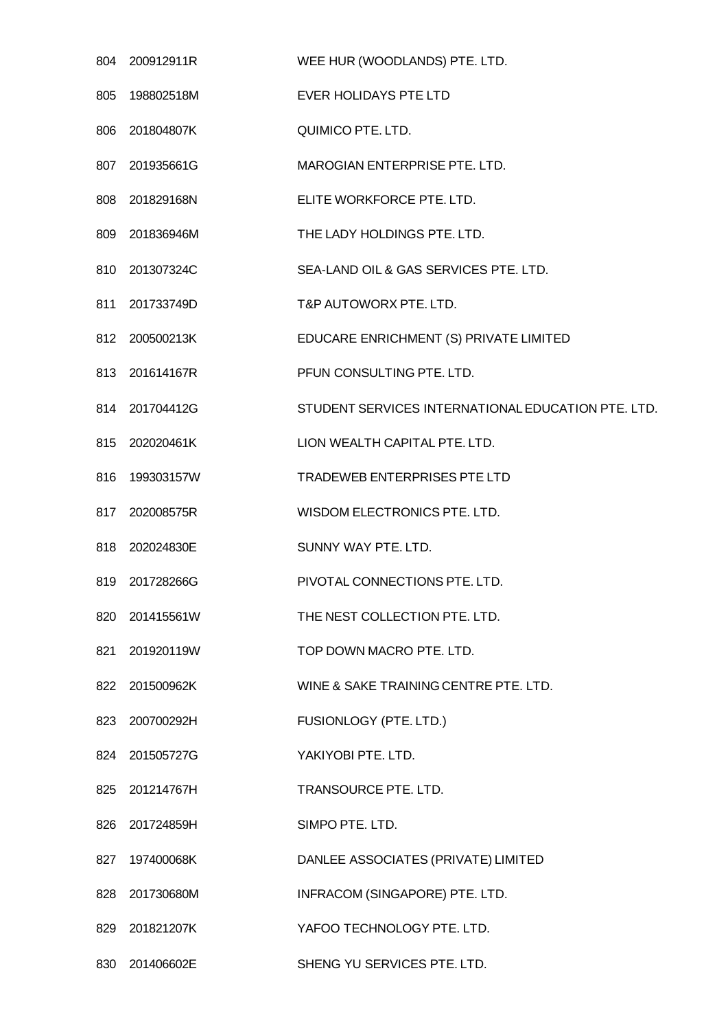| 804 | 200912911R     | WEE HUR (WOODLANDS) PTE. LTD.                      |
|-----|----------------|----------------------------------------------------|
| 805 | 198802518M     | <b>EVER HOLIDAYS PTE LTD</b>                       |
| 806 | 201804807K     | QUIMICO PTE. LTD.                                  |
|     | 807 201935661G | MAROGIAN ENTERPRISE PTE. LTD.                      |
| 808 | 201829168N     | ELITE WORKFORCE PTE. LTD.                          |
| 809 | 201836946M     | THE LADY HOLDINGS PTE. LTD.                        |
|     | 810 201307324C | SEA-LAND OIL & GAS SERVICES PTE. LTD.              |
| 811 | 201733749D     | T&P AUTOWORX PTE. LTD.                             |
|     | 812 200500213K | EDUCARE ENRICHMENT (S) PRIVATE LIMITED             |
|     | 813 201614167R | PFUN CONSULTING PTE. LTD.                          |
|     | 814 201704412G | STUDENT SERVICES INTERNATIONAL EDUCATION PTE. LTD. |
|     | 815 202020461K | LION WEALTH CAPITAL PTE. LTD.                      |
| 816 | 199303157W     | <b>TRADEWEB ENTERPRISES PTE LTD</b>                |
| 817 | 202008575R     | WISDOM ELECTRONICS PTE. LTD.                       |
|     | 818 202024830E | SUNNY WAY PTE. LTD.                                |
| 819 | 201728266G     | PIVOTAL CONNECTIONS PTE, LTD.                      |
| 820 | 201415561W     | THE NEST COLLECTION PTE. LTD.                      |
| 821 | 201920119W     | TOP DOWN MACRO PTE. LTD.                           |
|     | 822 201500962K | WINE & SAKE TRAINING CENTRE PTE. LTD.              |
| 823 | 200700292H     | FUSIONLOGY (PTE. LTD.)                             |
| 824 | 201505727G     | YAKIYOBI PTE. LTD.                                 |
|     | 825 201214767H | TRANSOURCE PTE. LTD.                               |
| 826 | 201724859H     | SIMPO PTE. LTD.                                    |
| 827 | 197400068K     | DANLEE ASSOCIATES (PRIVATE) LIMITED                |
| 828 | 201730680M     | INFRACOM (SINGAPORE) PTE. LTD.                     |
| 829 | 201821207K     | YAFOO TECHNOLOGY PTE. LTD.                         |
| 830 | 201406602E     | SHENG YU SERVICES PTE. LTD.                        |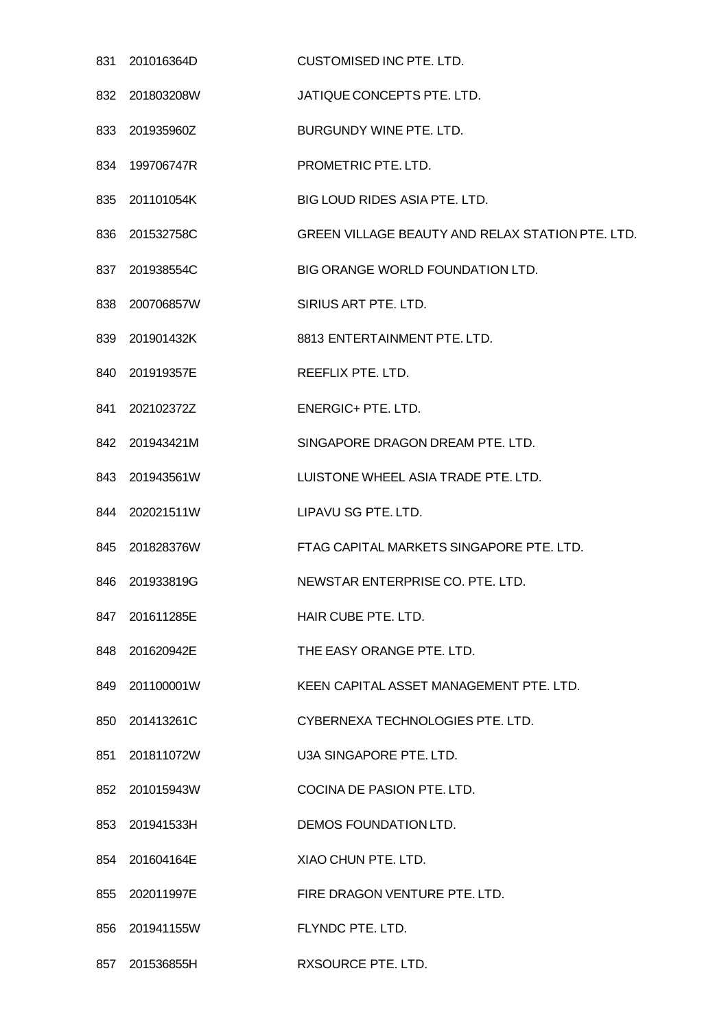| 831 | 201016364D     | <b>CUSTOMISED INC PTE. LTD.</b>                  |
|-----|----------------|--------------------------------------------------|
| 832 | 201803208W     | JATIQUE CONCEPTS PTE. LTD.                       |
|     | 833 201935960Z | BURGUNDY WINE PTE. LTD.                          |
|     | 834 199706747R | PROMETRIC PTE. LTD.                              |
| 835 | 201101054K     | BIG LOUD RIDES ASIA PTE. LTD.                    |
|     | 836 201532758C | GREEN VILLAGE BEAUTY AND RELAX STATION PTE. LTD. |
|     | 837 201938554C | BIG ORANGE WORLD FOUNDATION LTD.                 |
| 838 | 200706857W     | SIRIUS ART PTE. LTD.                             |
|     | 839 201901432K | 8813 ENTERTAINMENT PTE. LTD.                     |
| 840 | 201919357E     | REEFLIX PTE. LTD.                                |
|     | 841 202102372Z | <b>ENERGIC+ PTE. LTD.</b>                        |
|     | 842 201943421M | SINGAPORE DRAGON DREAM PTE. LTD.                 |
| 843 | 201943561W     | LUISTONE WHEEL ASIA TRADE PTE. LTD.              |
|     | 844 202021511W | LIPAVU SG PTE. LTD.                              |
| 845 | 201828376W     | FTAG CAPITAL MARKETS SINGAPORE PTE. LTD.         |
| 846 | 201933819G     | NEWSTAR ENTERPRISE CO. PTE. LTD.                 |
|     | 847 201611285E | HAIR CUBE PTE. LTD.                              |
|     | 848 201620942E | THE EASY ORANGE PTE. LTD.                        |
|     | 849 201100001W | KEEN CAPITAL ASSET MANAGEMENT PTE. LTD.          |
| 850 | 201413261C     | CYBERNEXA TECHNOLOGIES PTE. LTD.                 |
|     | 851 201811072W | U3A SINGAPORE PTE, LTD.                          |
|     | 852 201015943W | COCINA DE PASION PTE. LTD.                       |
|     | 853 201941533H | DEMOS FOUNDATION LTD.                            |
|     | 854 201604164E | XIAO CHUN PTE. LTD.                              |
| 855 | 202011997E     | FIRE DRAGON VENTURE PTE. LTD.                    |
|     | 856 201941155W | FLYNDC PTE. LTD.                                 |
| 857 | 201536855H     | RXSOURCE PTE. LTD.                               |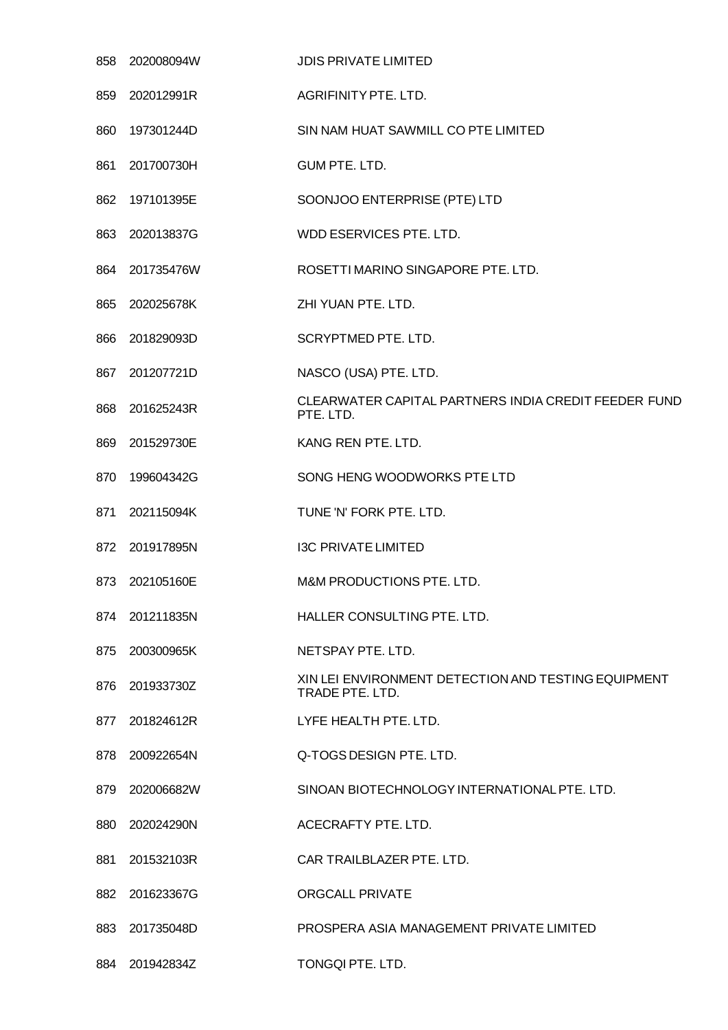|     | 858 202008094W | <b>JDIS PRIVATE LIMITED</b>                                            |
|-----|----------------|------------------------------------------------------------------------|
| 859 | 202012991R     | AGRIFINITY PTE. LTD.                                                   |
| 860 | 197301244D     | SIN NAM HUAT SAWMILL CO PTE LIMITED                                    |
| 861 | 201700730H     | GUM PTE. LTD.                                                          |
| 862 | 197101395E     | SOONJOO ENTERPRISE (PTE) LTD                                           |
|     | 863 202013837G | WDD ESERVICES PTE. LTD.                                                |
| 864 | 201735476W     | ROSETTI MARINO SINGAPORE PTE. LTD.                                     |
| 865 | 202025678K     | ZHI YUAN PTE. LTD.                                                     |
| 866 | 201829093D     | SCRYPTMED PTE. LTD.                                                    |
| 867 | 201207721D     | NASCO (USA) PTE. LTD.                                                  |
| 868 | 201625243R     | CLEARWATER CAPITAL PARTNERS INDIA CREDIT FEEDER FUND<br>PTE. LTD.      |
| 869 | 201529730E     | KANG REN PTE. LTD.                                                     |
| 870 | 199604342G     | SONG HENG WOODWORKS PTE LTD                                            |
| 871 | 202115094K     | TUNE 'N' FORK PTE. LTD.                                                |
|     | 872 201917895N | <b>I3C PRIVATE LIMITED</b>                                             |
| 873 | 202105160E     | M&M PRODUCTIONS PTE, LTD.                                              |
|     | 874 201211835N | HALLER CONSULTING PTE. LTD.                                            |
| 875 | 200300965K     | NETSPAY PTE, LTD.                                                      |
|     | 876 201933730Z | XIN LEI ENVIRONMENT DETECTION AND TESTING EQUIPMENT<br>TRADE PTE. LTD. |
| 877 | 201824612R     | LYFE HEALTH PTE. LTD.                                                  |
| 878 | 200922654N     | Q-TOGS DESIGN PTE. LTD.                                                |
| 879 | 202006682W     | SINOAN BIOTECHNOLOGY INTERNATIONAL PTE. LTD.                           |
| 880 | 202024290N     | ACECRAFTY PTE. LTD.                                                    |
| 881 | 201532103R     | CAR TRAILBLAZER PTE. LTD.                                              |
| 882 | 201623367G     | <b>ORGCALL PRIVATE</b>                                                 |
| 883 | 201735048D     | PROSPERA ASIA MANAGEMENT PRIVATE LIMITED                               |
| 884 | 201942834Z     | TONGQI PTE. LTD.                                                       |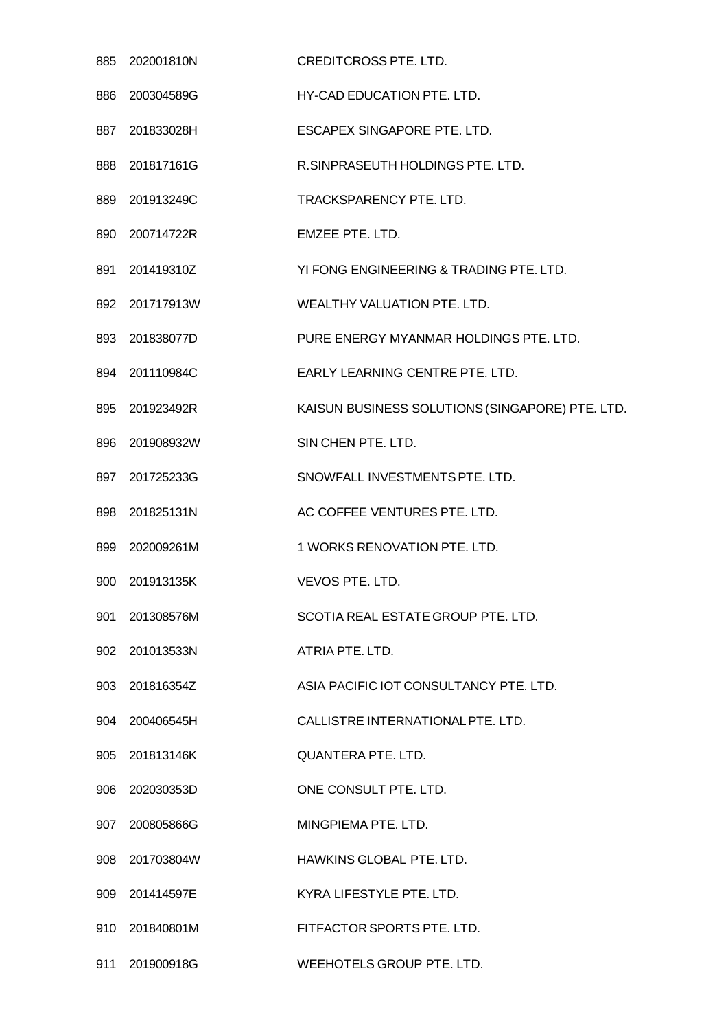| 885 | 202001810N     | <b>CREDITCROSS PTE. LTD.</b>                    |
|-----|----------------|-------------------------------------------------|
| 886 | 200304589G     | HY-CAD EDUCATION PTE. LTD.                      |
|     | 887 201833028H | ESCAPEX SINGAPORE PTE. LTD.                     |
|     | 888 201817161G | R.SINPRASEUTH HOLDINGS PTE. LTD.                |
| 889 | 201913249C     | <b>TRACKSPARENCY PTE, LTD.</b>                  |
|     | 890 200714722R | EMZEE PTE. LTD.                                 |
|     | 891 201419310Z | YI FONG ENGINEERING & TRADING PTE. LTD.         |
|     | 892 201717913W | <b>WEALTHY VALUATION PTE, LTD.</b>              |
|     | 893 201838077D | PURE ENERGY MYANMAR HOLDINGS PTE. LTD.          |
|     | 894 201110984C | EARLY LEARNING CENTRE PTE, LTD.                 |
| 895 | 201923492R     | KAISUN BUSINESS SOLUTIONS (SINGAPORE) PTE. LTD. |
|     | 896 201908932W | SIN CHEN PTE. LTD.                              |
| 897 | 201725233G     | SNOWFALL INVESTMENTS PTE. LTD.                  |
|     | 898 201825131N | AC COFFEE VENTURES PTE. LTD.                    |
| 899 | 202009261M     | 1 WORKS RENOVATION PTE. LTD.                    |
| 900 | 201913135K     | VEVOS PTE. LTD.                                 |
| 901 | 201308576M     | SCOTIA REAL ESTATE GROUP PTE. LTD.              |
|     | 902 201013533N | ATRIA PTE. LTD.                                 |
|     | 903 201816354Z | ASIA PACIFIC IOT CONSULTANCY PTE. LTD.          |
| 904 | 200406545H     | CALLISTRE INTERNATIONAL PTE. LTD.               |
|     | 905 201813146K | <b>QUANTERA PTE. LTD.</b>                       |
|     | 906 202030353D | ONE CONSULT PTE. LTD.                           |
|     | 907 200805866G | MINGPIEMA PTE, LTD.                             |
|     | 908 201703804W | HAWKINS GLOBAL PTE. LTD.                        |
|     | 909 201414597E | KYRA LIFESTYLE PTE. LTD.                        |
| 910 | 201840801M     | FITFACTOR SPORTS PTE. LTD.                      |
|     | 911 201900918G | WEEHOTELS GROUP PTE. LTD.                       |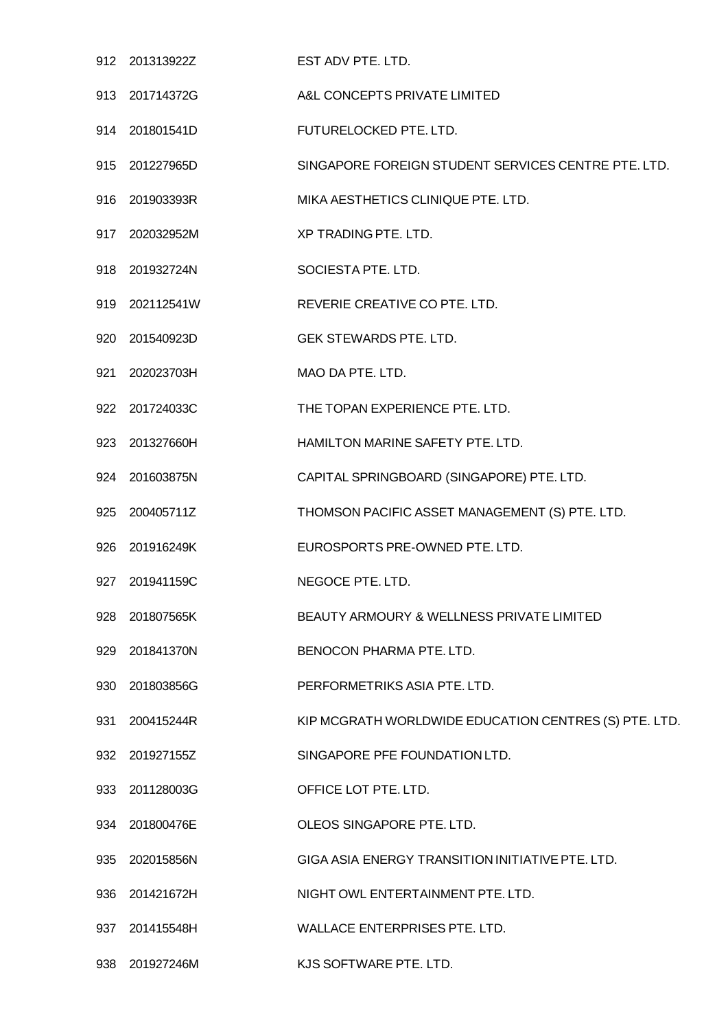|     | 912 201313922Z | EST ADV PTE. LTD.                                     |
|-----|----------------|-------------------------------------------------------|
|     | 913 201714372G | A&L CONCEPTS PRIVATE LIMITED                          |
|     | 914 201801541D | FUTURELOCKED PTE. LTD.                                |
|     | 915 201227965D | SINGAPORE FOREIGN STUDENT SERVICES CENTRE PTE. LTD.   |
|     | 916 201903393R | MIKA AESTHETICS CLINIQUE PTE. LTD.                    |
|     | 917 202032952M | XP TRADING PTE. LTD.                                  |
|     | 918 201932724N | SOCIESTA PTE. LTD.                                    |
|     | 919 202112541W | REVERIE CREATIVE CO PTE. LTD.                         |
|     | 920 201540923D | <b>GEK STEWARDS PTE. LTD.</b>                         |
| 921 | 202023703H     | MAO DA PTE. LTD.                                      |
|     | 922 201724033C | THE TOPAN EXPERIENCE PTE. LTD.                        |
|     | 923 201327660H | HAMILTON MARINE SAFETY PTE. LTD.                      |
|     | 924 201603875N | CAPITAL SPRINGBOARD (SINGAPORE) PTE. LTD.             |
| 925 | 200405711Z     | THOMSON PACIFIC ASSET MANAGEMENT (S) PTE. LTD.        |
|     | 926 201916249K | EUROSPORTS PRE-OWNED PTE. LTD.                        |
| 927 | 201941159C     | NEGOCE PTE. LTD.                                      |
| 928 | 201807565K     | BEAUTY ARMOURY & WELLNESS PRIVATE LIMITED             |
| 929 | 201841370N     | BENOCON PHARMA PTE. LTD.                              |
|     | 930 201803856G | PERFORMETRIKS ASIA PTE. LTD.                          |
| 931 | 200415244R     | KIP MCGRATH WORLDWIDE EDUCATION CENTRES (S) PTE. LTD. |
|     | 932 201927155Z | SINGAPORE PFE FOUNDATION LTD.                         |
|     | 933 201128003G | OFFICE LOT PTE. LTD.                                  |
| 934 | 201800476E     | OLEOS SINGAPORE PTE. LTD.                             |
|     | 935 202015856N | GIGA ASIA ENERGY TRANSITION INITIATIVE PTE. LTD.      |
| 936 | 201421672H     | NIGHT OWL ENTERTAINMENT PTE. LTD.                     |
| 937 | 201415548H     | WALLACE ENTERPRISES PTE. LTD.                         |
|     | 938 201927246M | KJS SOFTWARE PTE. LTD.                                |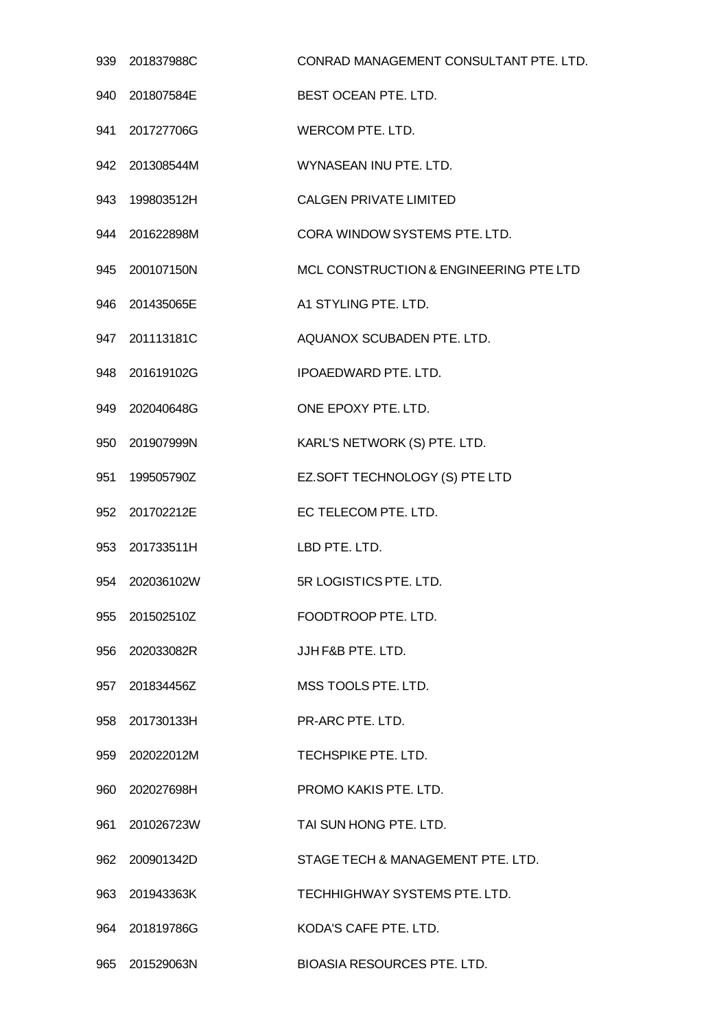|     | 939 201837988C | CONRAD MANAGEMENT CONSULTANT PTE. LTD. |
|-----|----------------|----------------------------------------|
|     | 940 201807584E | <b>BEST OCEAN PTE, LTD.</b>            |
|     | 941 201727706G | WERCOM PTE. LTD.                       |
|     | 942 201308544M | WYNASEAN INU PTE. LTD.                 |
|     | 943 199803512H | <b>CALGEN PRIVATE LIMITED</b>          |
|     | 944 201622898M | CORA WINDOW SYSTEMS PTE. LTD.          |
|     | 945 200107150N | MCL CONSTRUCTION & ENGINEERING PTE LTD |
|     | 946 201435065E | A1 STYLING PTE, LTD.                   |
|     | 947 201113181C | AQUANOX SCUBADEN PTE. LTD.             |
|     | 948 201619102G | <b>IPOAEDWARD PTE, LTD.</b>            |
|     | 949 202040648G | ONE EPOXY PTE. LTD.                    |
|     | 950 201907999N | KARL'S NETWORK (S) PTE. LTD.           |
| 951 | 199505790Z     | EZ.SOFT TECHNOLOGY (S) PTE LTD         |
|     | 952 201702212E | EC TELECOM PTE. LTD.                   |
|     | 953 201733511H | LBD PTE. LTD.                          |
|     | 954 202036102W | 5R LOGISTICS PTE. LTD.                 |
|     | 955 201502510Z | FOODTROOP PTE. LTD.                    |
|     | 956 202033082R | JJHF&B PTE. LTD.                       |
|     | 957 201834456Z | MSS TOOLS PTE. LTD.                    |
|     | 958 201730133H | PR-ARC PTE. LTD.                       |
|     | 959 202022012M | TECHSPIKE PTE. LTD.                    |
|     | 960 202027698H | PROMO KAKIS PTE. LTD.                  |
| 961 | 201026723W     | TAI SUN HONG PTE. LTD.                 |
|     | 962 200901342D | STAGE TECH & MANAGEMENT PTE. LTD.      |
|     | 963 201943363K | TECHHIGHWAY SYSTEMS PTE, LTD.          |
|     | 964 201819786G | KODA'S CAFE PTE. LTD.                  |
|     | 965 201529063N | <b>BIOASIA RESOURCES PTE. LTD.</b>     |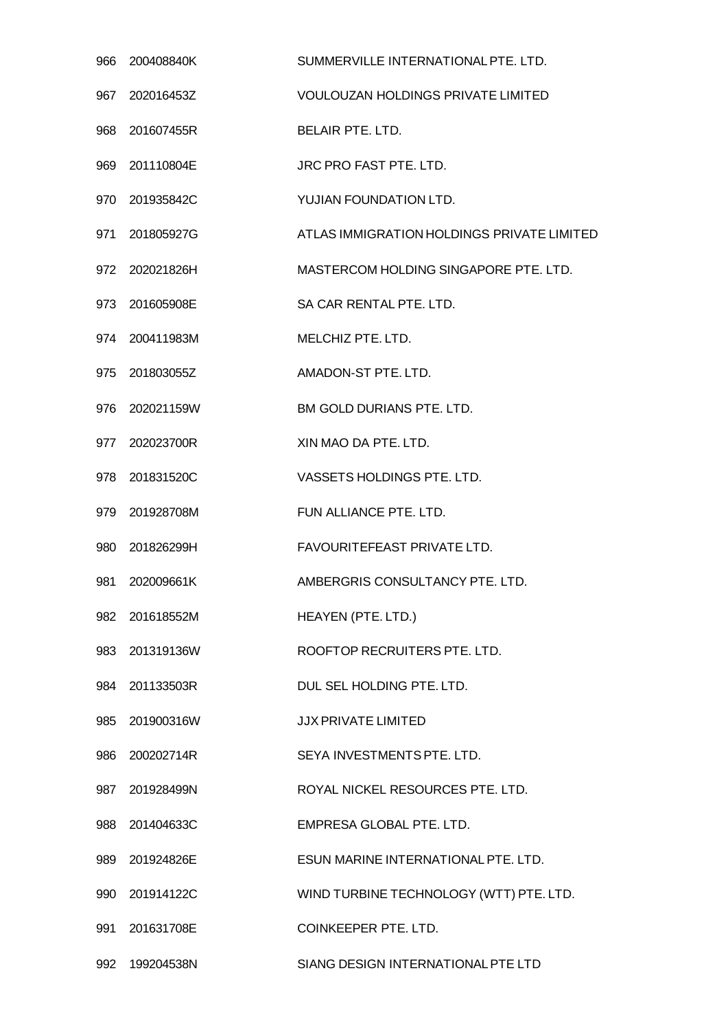| 966 | 200408840K     | SUMMERVILLE INTERNATIONAL PTE. LTD.        |
|-----|----------------|--------------------------------------------|
| 967 | 202016453Z     | <b>VOULOUZAN HOLDINGS PRIVATE LIMITED</b>  |
| 968 | 201607455R     | <b>BELAIR PTE, LTD.</b>                    |
|     | 969 201110804E | JRC PRO FAST PTE. LTD.                     |
| 970 | 201935842C     | YUJIAN FOUNDATION LTD.                     |
| 971 | 201805927G     | ATLAS IMMIGRATION HOLDINGS PRIVATE LIMITED |
|     | 972 202021826H | MASTERCOM HOLDING SINGAPORE PTE. LTD.      |
| 973 | 201605908E     | SA CAR RENTAL PTE. LTD.                    |
|     | 974 200411983M | MELCHIZ PTE. LTD.                          |
| 975 | 201803055Z     | AMADON-ST PTE, LTD.                        |
| 976 | 202021159W     | BM GOLD DURIANS PTE. LTD.                  |
|     | 977 202023700R | XIN MAO DA PTE. LTD.                       |
| 978 | 201831520C     | VASSETS HOLDINGS PTE. LTD.                 |
|     | 979 201928708M | FUN ALLIANCE PTE, LTD.                     |
| 980 | 201826299H     | FAVOURITEFEAST PRIVATE LTD.                |
| 981 | 202009661K     | AMBERGRIS CONSULTANCY PTE. LTD.            |
| 982 | 201618552M     | HEAYEN (PTE. LTD.)                         |
| 983 | 201319136W     | ROOFTOP RECRUITERS PTE. LTD.               |
|     | 984 201133503R | DUL SEL HOLDING PTE. LTD.                  |
| 985 | 201900316W     | <b>JJX PRIVATE LIMITED</b>                 |
|     | 986 200202714R | SEYA INVESTMENTS PTE. LTD.                 |
|     | 987 201928499N | ROYAL NICKEL RESOURCES PTE. LTD.           |
| 988 | 201404633C     | EMPRESA GLOBAL PTE. LTD.                   |
|     | 989 201924826E | ESUN MARINE INTERNATIONAL PTE. LTD.        |
| 990 | 201914122C     | WIND TURBINE TECHNOLOGY (WTT) PTE. LTD.    |
| 991 | 201631708E     | <b>COINKEEPER PTE. LTD.</b>                |
| 992 | 199204538N     | SIANG DESIGN INTERNATIONAL PTE LTD         |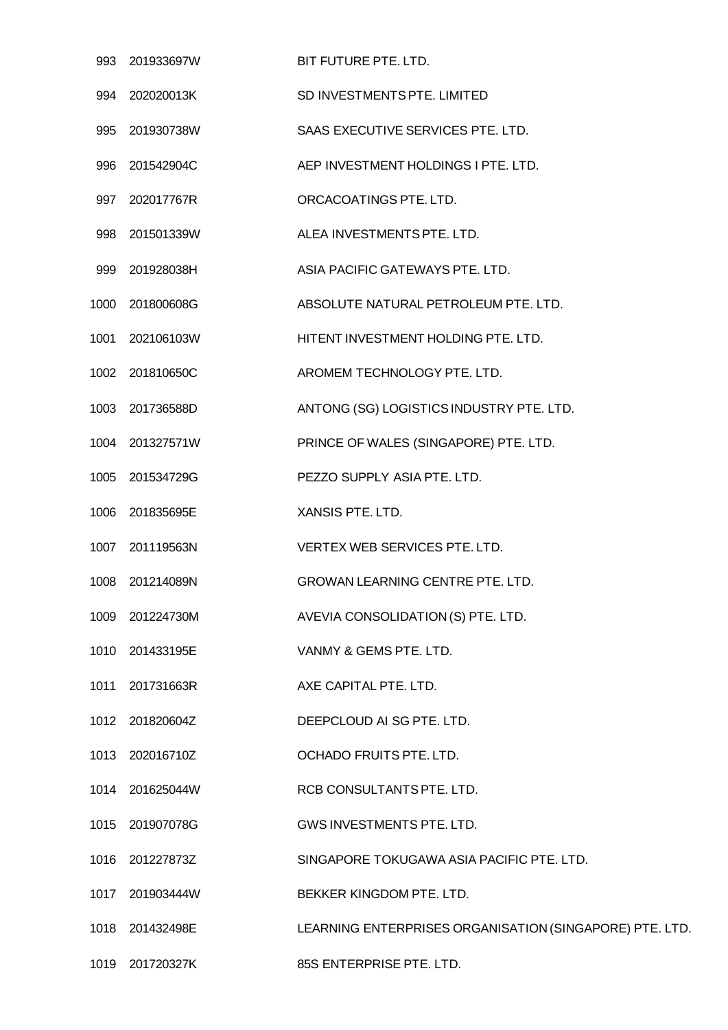|      | 993 201933697W  | BIT FUTURE PTE. LTD.                                    |
|------|-----------------|---------------------------------------------------------|
|      | 994 202020013K  | SD INVESTMENTS PTE, LIMITED                             |
|      | 995 201930738W  | SAAS EXECUTIVE SERVICES PTE. LTD.                       |
| 996  | 201542904C      | AEP INVESTMENT HOLDINGS I PTE. LTD.                     |
| 997  | 202017767R      | ORCACOATINGS PTE. LTD.                                  |
|      | 998 201501339W  | ALEA INVESTMENTS PTE. LTD.                              |
| 999  | 201928038H      | ASIA PACIFIC GATEWAYS PTE. LTD.                         |
|      | 1000 201800608G | ABSOLUTE NATURAL PETROLEUM PTE. LTD.                    |
|      | 1001 202106103W | HITENT INVESTMENT HOLDING PTE. LTD.                     |
|      | 1002 201810650C | AROMEM TECHNOLOGY PTE. LTD.                             |
|      | 1003 201736588D | ANTONG (SG) LOGISTICS INDUSTRY PTE. LTD.                |
|      | 1004 201327571W | PRINCE OF WALES (SINGAPORE) PTE. LTD.                   |
|      | 1005 201534729G | PEZZO SUPPLY ASIA PTE. LTD.                             |
|      | 1006 201835695E | XANSIS PTE. LTD.                                        |
| 1007 | 201119563N      | VERTEX WEB SERVICES PTE. LTD.                           |
|      | 1008 201214089N | <b>GROWAN LEARNING CENTRE PTE. LTD.</b>                 |
|      | 1009 201224730M | AVEVIA CONSOLIDATION (S) PTE. LTD.                      |
|      | 1010 201433195E | VANMY & GEMS PTE. LTD.                                  |
|      | 1011 201731663R | AXE CAPITAL PTE. LTD.                                   |
|      | 1012 201820604Z | DEEPCLOUD AI SG PTE. LTD.                               |
|      | 1013 202016710Z | OCHADO FRUITS PTE. LTD.                                 |
|      | 1014 201625044W | RCB CONSULTANTS PTE. LTD.                               |
|      | 1015 201907078G | GWS INVESTMENTS PTE. LTD.                               |
|      | 1016 201227873Z | SINGAPORE TOKUGAWA ASIA PACIFIC PTE. LTD.               |
| 1017 | 201903444W      | BEKKER KINGDOM PTE. LTD.                                |
|      | 1018 201432498E | LEARNING ENTERPRISES ORGANISATION (SINGAPORE) PTE. LTD. |
|      | 1019 201720327K | 85S ENTERPRISE PTE. LTD.                                |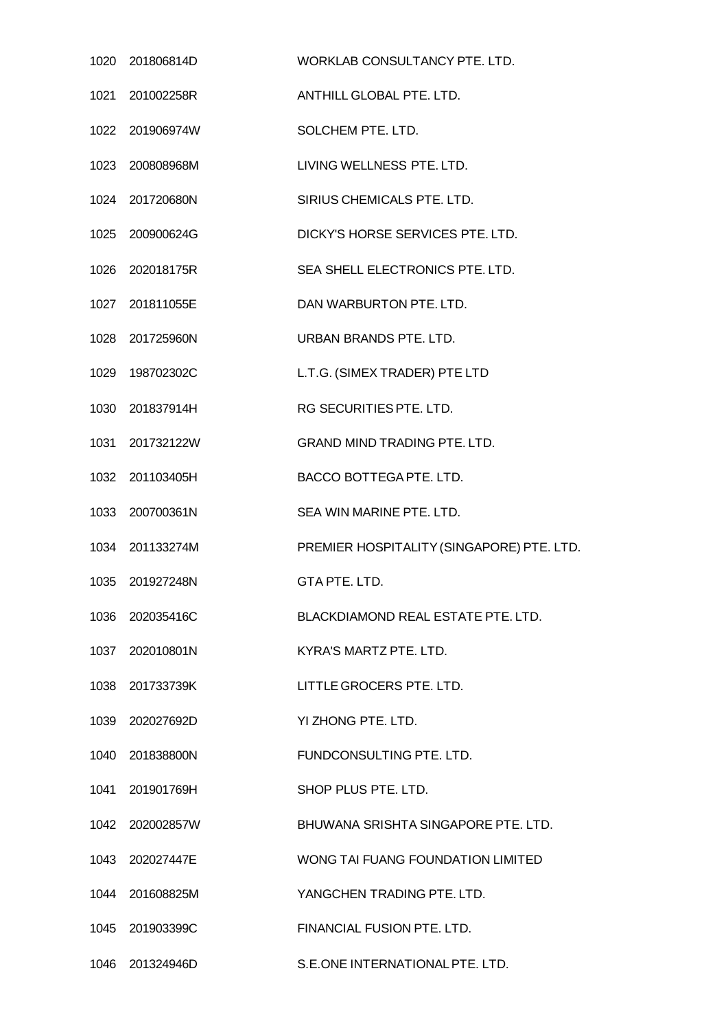| 1020 201806814D | WORKLAB CONSULTANCY PTE. LTD.             |
|-----------------|-------------------------------------------|
| 1021 201002258R | ANTHILL GLOBAL PTE, LTD.                  |
| 1022 201906974W | SOLCHEM PTE. LTD.                         |
| 1023 200808968M | LIVING WELLNESS PTE. LTD.                 |
| 1024 201720680N | SIRIUS CHEMICALS PTE. LTD.                |
| 1025 200900624G | DICKY'S HORSE SERVICES PTE. LTD.          |
| 1026 202018175R | SEA SHELL ELECTRONICS PTE. LTD.           |
| 1027 201811055E | DAN WARBURTON PTE. LTD.                   |
| 1028 201725960N | URBAN BRANDS PTE. LTD.                    |
| 1029 198702302C | L.T.G. (SIMEX TRADER) PTE LTD             |
| 1030 201837914H | RG SECURITIES PTE. LTD.                   |
| 1031 201732122W | <b>GRAND MIND TRADING PTE. LTD.</b>       |
| 1032 201103405H | BACCO BOTTEGA PTE. LTD.                   |
| 1033 200700361N | SEA WIN MARINE PTE, LTD.                  |
| 1034 201133274M | PREMIER HOSPITALITY (SINGAPORE) PTE. LTD. |
| 1035 201927248N | GTA PTE. LTD.                             |
| 1036 202035416C | BLACKDIAMOND REAL ESTATE PTE. LTD.        |
| 1037 202010801N | KYRA'S MARTZ PTE. LTD.                    |
| 1038 201733739K | LITTLE GROCERS PTE. LTD.                  |
| 1039 202027692D | YI ZHONG PTE, LTD.                        |
| 1040 201838800N | FUNDCONSULTING PTE. LTD.                  |
| 1041 201901769H | SHOP PLUS PTE. LTD.                       |
| 1042 202002857W | BHUWANA SRISHTA SINGAPORE PTE. LTD.       |
| 1043 202027447E | WONG TAI FUANG FOUNDATION LIMITED         |
| 1044 201608825M | YANGCHEN TRADING PTE, LTD.                |
| 1045 201903399C | FINANCIAL FUSION PTE. LTD.                |
| 1046 201324946D | S.E.ONE INTERNATIONAL PTE. LTD.           |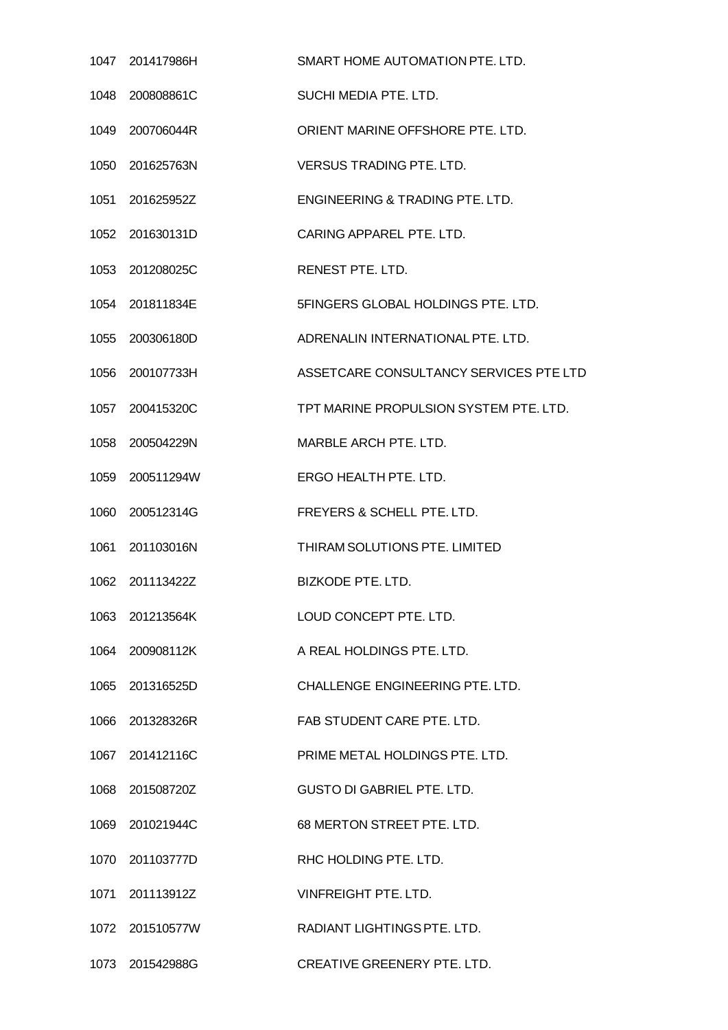| 1047 201417986H | SMART HOME AUTOMATION PTE. LTD.        |
|-----------------|----------------------------------------|
| 1048 200808861C | SUCHI MEDIA PTE. LTD.                  |
| 1049 200706044R | ORIENT MARINE OFFSHORE PTE. LTD.       |
| 1050 201625763N | <b>VERSUS TRADING PTE. LTD.</b>        |
| 1051 201625952Z | ENGINEERING & TRADING PTE, LTD.        |
| 1052 201630131D | CARING APPAREL PTE. LTD.               |
| 1053 201208025C | RENEST PTE. LTD.                       |
| 1054 201811834E | 5FINGERS GLOBAL HOLDINGS PTE. LTD.     |
| 1055 200306180D | ADRENALIN INTERNATIONAL PTE. LTD.      |
| 1056 200107733H | ASSETCARE CONSULTANCY SERVICES PTE LTD |
| 1057 200415320C | TPT MARINE PROPULSION SYSTEM PTE. LTD. |
| 1058 200504229N | MARBLE ARCH PTE. LTD.                  |
| 1059 200511294W | ERGO HEALTH PTE. LTD.                  |
| 1060 200512314G | FREYERS & SCHELL PTE. LTD.             |
| 1061 201103016N | THIRAM SOLUTIONS PTE. LIMITED          |
| 1062 201113422Z | BIZKODE PTE, LTD.                      |
| 1063 201213564K | LOUD CONCEPT PTE. LTD.                 |
| 1064 200908112K | A REAL HOLDINGS PTE, LTD.              |
| 1065 201316525D | CHALLENGE ENGINEERING PTE. LTD.        |
| 1066 201328326R | FAB STUDENT CARE PTE. LTD.             |
| 1067 201412116C | PRIME METAL HOLDINGS PTE. LTD.         |
| 1068 201508720Z | <b>GUSTO DI GABRIEL PTE. LTD.</b>      |
| 1069 201021944C | 68 MERTON STREET PTE. LTD.             |
| 1070 201103777D | RHC HOLDING PTE. LTD.                  |
| 1071 201113912Z | <b>VINFREIGHT PTE, LTD.</b>            |
| 1072 201510577W | RADIANT LIGHTINGS PTE, LTD.            |
| 1073 201542988G | CREATIVE GREENERY PTE. LTD.            |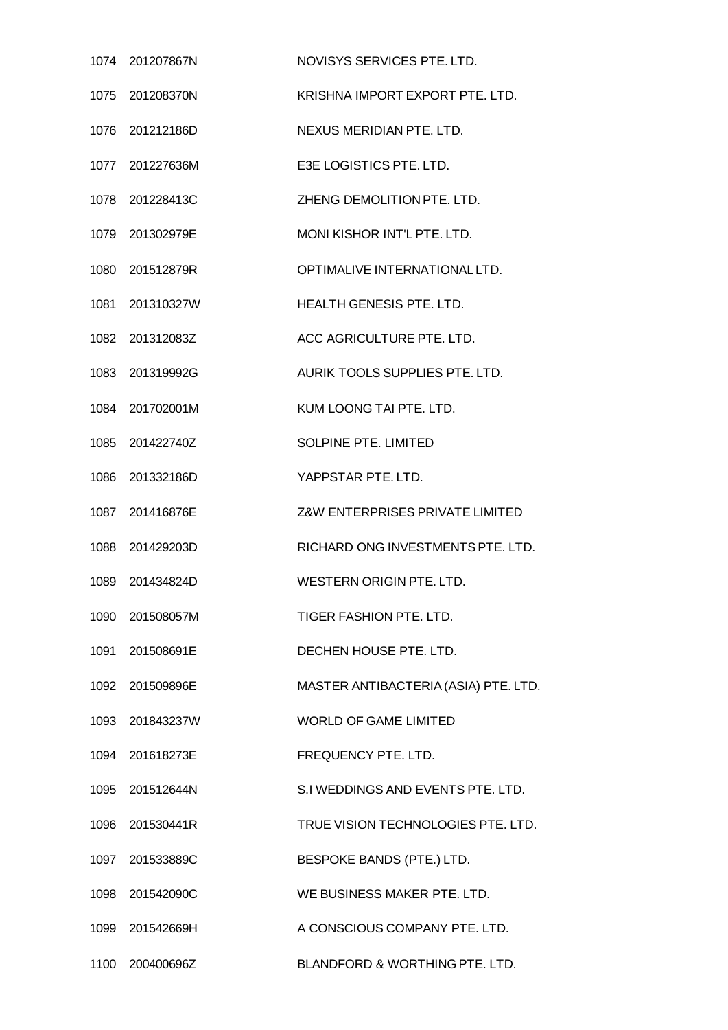|      | 1074 201207867N | NOVISYS SERVICES PTE. LTD.           |
|------|-----------------|--------------------------------------|
| 1075 | 201208370N      | KRISHNA IMPORT EXPORT PTE. LTD.      |
|      | 1076 201212186D | NEXUS MERIDIAN PTE. LTD.             |
| 1077 | 201227636M      | E3E LOGISTICS PTE. LTD.              |
| 1078 | 201228413C      | ZHENG DEMOLITION PTE. LTD.           |
|      | 1079 201302979E | MONI KISHOR INT'L PTE. LTD.          |
| 1080 | 201512879R      | OPTIMALIVE INTERNATIONAL LTD.        |
| 1081 | 201310327W      | <b>HEALTH GENESIS PTE, LTD.</b>      |
|      | 1082 201312083Z | ACC AGRICULTURE PTE. LTD.            |
| 1083 | 201319992G      | AURIK TOOLS SUPPLIES PTE. LTD.       |
| 1084 | 201702001M      | KUM LOONG TAI PTE. LTD.              |
| 1085 | 201422740Z      | <b>SOLPINE PTE, LIMITED</b>          |
| 1086 | 201332186D      | YAPPSTAR PTE, LTD.                   |
|      | 1087 201416876E | Z&W ENTERPRISES PRIVATE LIMITED      |
| 1088 | 201429203D      | RICHARD ONG INVESTMENTS PTE. LTD.    |
|      | 1089 201434824D | <b>WESTERN ORIGIN PTE, LTD.</b>      |
| 1090 | 201508057M      | TIGER FASHION PTE. LTD.              |
|      | 1091 201508691E | DECHEN HOUSE PTE. LTD.               |
|      | 1092 201509896E | MASTER ANTIBACTERIA (ASIA) PTE. LTD. |
| 1093 | 201843237W      | <b>WORLD OF GAME LIMITED</b>         |
|      | 1094 201618273E | FREQUENCY PTE. LTD.                  |
|      | 1095 201512644N | S.I WEDDINGS AND EVENTS PTE. LTD.    |
|      | 1096 201530441R | TRUE VISION TECHNOLOGIES PTE. LTD.   |
|      | 1097 201533889C | BESPOKE BANDS (PTE.) LTD.            |
|      | 1098 201542090C | WE BUSINESS MAKER PTE. LTD.          |
|      | 1099 201542669H | A CONSCIOUS COMPANY PTE. LTD.        |
|      | 1100 200400696Z | BLANDFORD & WORTHING PTE. LTD.       |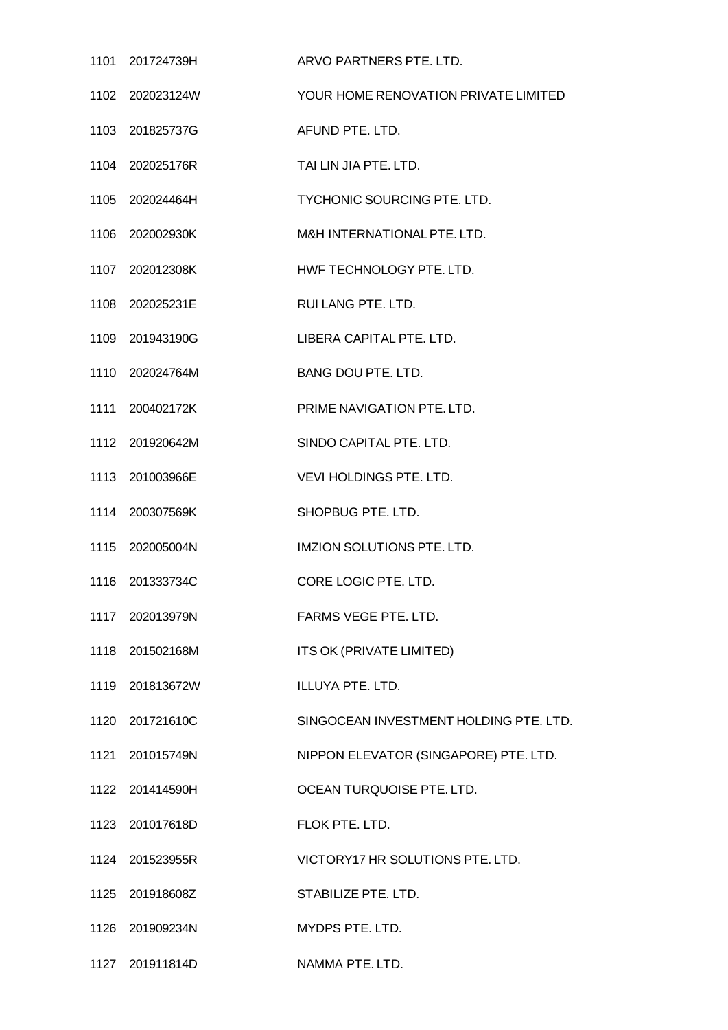| 1101 201724739H | ARVO PARTNERS PTE. LTD.                |
|-----------------|----------------------------------------|
| 1102 202023124W | YOUR HOME RENOVATION PRIVATE LIMITED   |
| 1103 201825737G | AFUND PTE. LTD.                        |
| 1104 202025176R | TAI LIN JIA PTE. LTD.                  |
| 1105 202024464H | TYCHONIC SOURCING PTE. LTD.            |
| 1106 202002930K | M&H INTERNATIONAL PTE. LTD.            |
| 1107 202012308K | HWF TECHNOLOGY PTE. LTD.               |
| 1108 202025231E | RUI LANG PTE. LTD.                     |
| 1109 201943190G | LIBERA CAPITAL PTE. LTD.               |
| 1110 202024764M | BANG DOU PTE. LTD.                     |
| 1111 200402172K | PRIME NAVIGATION PTE. LTD.             |
| 1112 201920642M | SINDO CAPITAL PTE. LTD.                |
| 1113 201003966E | VEVI HOLDINGS PTE. LTD.                |
| 1114 200307569K | SHOPBUG PTE. LTD.                      |
| 1115 202005004N | <b>IMZION SOLUTIONS PTE. LTD.</b>      |
| 1116 201333734C | CORE LOGIC PTE, LTD.                   |
| 1117 202013979N | FARMS VEGE PTE. LTD.                   |
| 1118 201502168M | ITS OK (PRIVATE LIMITED)               |
| 1119 201813672W | ILLUYA PTE. LTD.                       |
| 1120 201721610C | SINGOCEAN INVESTMENT HOLDING PTE, LTD. |
| 1121 201015749N | NIPPON ELEVATOR (SINGAPORE) PTE. LTD.  |
| 1122 201414590H | OCEAN TURQUOISE PTE. LTD.              |
| 1123 201017618D | FLOK PTE. LTD.                         |
| 1124 201523955R | VICTORY17 HR SOLUTIONS PTE. LTD.       |
| 1125 201918608Z | STABILIZE PTE. LTD.                    |
| 1126 201909234N | MYDPS PTE. LTD.                        |
| 1127 201911814D | NAMMA PTE. LTD.                        |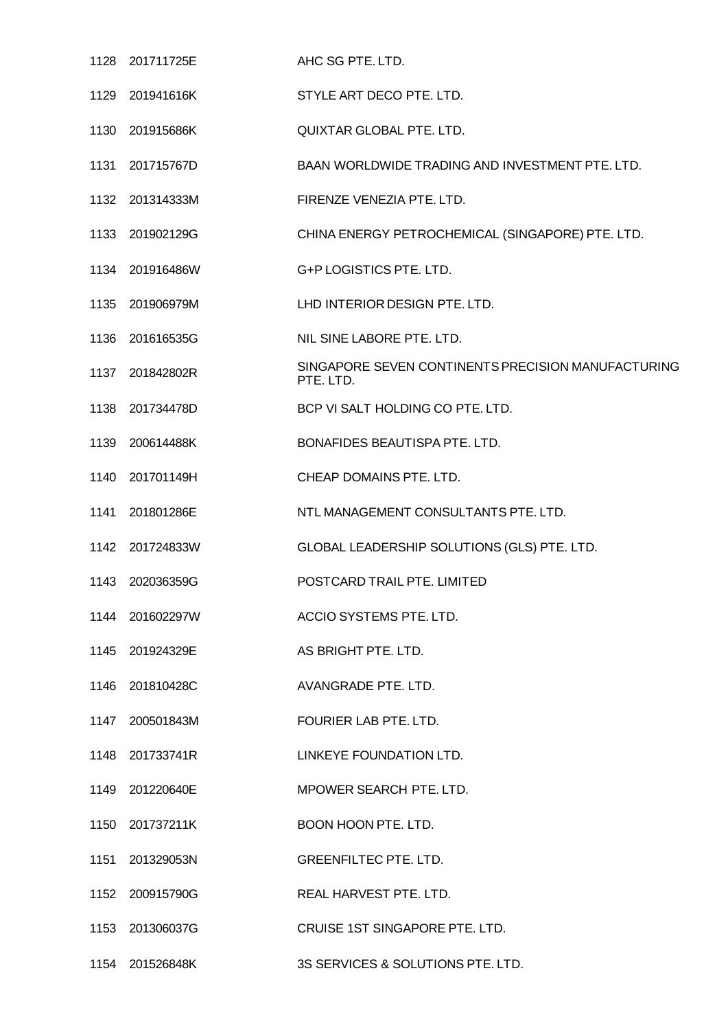|      | 1128 201711725E | AHC SG PTE. LTD.                                                |
|------|-----------------|-----------------------------------------------------------------|
|      | 1129 201941616K | STYLE ART DECO PTE. LTD.                                        |
|      | 1130 201915686K | QUIXTAR GLOBAL PTE. LTD.                                        |
|      | 1131 201715767D | BAAN WORLDWIDE TRADING AND INVESTMENT PTE. LTD.                 |
|      | 1132 201314333M | FIRENZE VENEZIA PTE. LTD.                                       |
|      | 1133 201902129G | CHINA ENERGY PETROCHEMICAL (SINGAPORE) PTE. LTD.                |
|      | 1134 201916486W | G+P LOGISTICS PTE. LTD.                                         |
| 1135 | 201906979M      | LHD INTERIOR DESIGN PTE, LTD.                                   |
|      | 1136 201616535G | NIL SINE LABORE PTE. LTD.                                       |
|      | 1137 201842802R | SINGAPORE SEVEN CONTINENTS PRECISION MANUFACTURING<br>PTE. LTD. |
|      | 1138 201734478D | BCP VI SALT HOLDING CO PTE. LTD.                                |
|      | 1139 200614488K | BONAFIDES BEAUTISPA PTE. LTD.                                   |
| 1140 | 201701149H      | CHEAP DOMAINS PTE. LTD.                                         |
|      | 1141 201801286E | NTL MANAGEMENT CONSULTANTS PTE. LTD.                            |
|      | 1142 201724833W | GLOBAL LEADERSHIP SOLUTIONS (GLS) PTE. LTD.                     |
|      | 1143 202036359G | POSTCARD TRAIL PTE. LIMITED                                     |
|      | 1144 201602297W | ACCIO SYSTEMS PTE. LTD.                                         |
|      | 1145 201924329E | AS BRIGHT PTE. LTD.                                             |
|      | 1146 201810428C | AVANGRADE PTE. LTD.                                             |
|      | 1147 200501843M | FOURIER LAB PTE. LTD.                                           |
|      | 1148 201733741R | LINKEYE FOUNDATION LTD.                                         |
|      | 1149 201220640E | MPOWER SEARCH PTE. LTD.                                         |
|      | 1150 201737211K | BOON HOON PTE. LTD.                                             |
|      | 1151 201329053N | <b>GREENFILTEC PTE. LTD.</b>                                    |
|      | 1152 200915790G | REAL HARVEST PTE. LTD.                                          |
|      | 1153 201306037G | CRUISE 1ST SINGAPORE PTE. LTD.                                  |
|      | 1154 201526848K | 3S SERVICES & SOLUTIONS PTE. LTD.                               |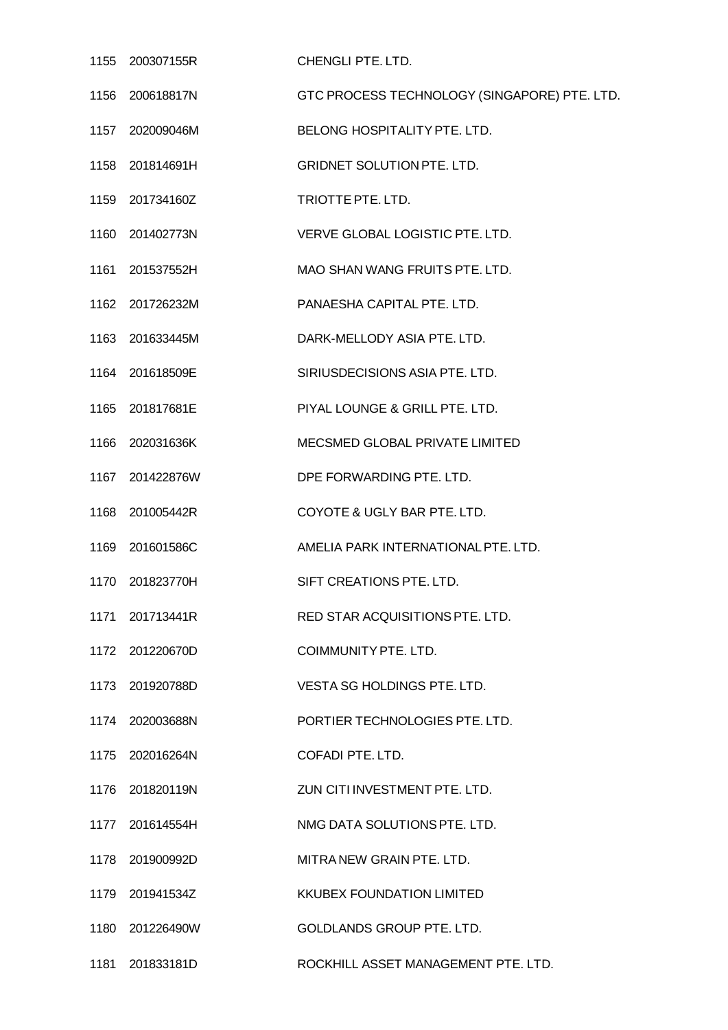| 1155 200307155R | CHENGLI PTE. LTD.                            |
|-----------------|----------------------------------------------|
| 1156 200618817N | GTC PROCESS TECHNOLOGY (SINGAPORE) PTE. LTD. |
| 1157 202009046M | BELONG HOSPITALITY PTE. LTD.                 |
| 1158 201814691H | <b>GRIDNET SOLUTION PTE. LTD.</b>            |
| 1159 201734160Z | TRIOTTE PTE. LTD.                            |
| 1160 201402773N | VERVE GLOBAL LOGISTIC PTE. LTD.              |
| 1161 201537552H | MAO SHAN WANG FRUITS PTE. LTD.               |
| 1162 201726232M | PANAESHA CAPITAL PTE. LTD.                   |
| 1163 201633445M | DARK-MELLODY ASIA PTE. LTD.                  |
| 1164 201618509E | SIRIUSDECISIONS ASIA PTE. LTD.               |
| 1165 201817681E | PIYAL LOUNGE & GRILL PTE. LTD.               |
| 1166 202031636K | MECSMED GLOBAL PRIVATE LIMITED               |
| 1167 201422876W | DPE FORWARDING PTE. LTD.                     |
| 1168 201005442R | COYOTE & UGLY BAR PTE. LTD.                  |
| 1169 201601586C | AMELIA PARK INTERNATIONAL PTE. LTD.          |
| 1170 201823770H | SIFT CREATIONS PTE. LTD.                     |
|                 | RED STAR ACQUISITIONS PTE. LTD.              |
| 1172 201220670D | COIMMUNITY PTE, LTD.                         |
| 1173 201920788D | VESTA SG HOLDINGS PTE. LTD.                  |
| 1174 202003688N | PORTIER TECHNOLOGIES PTE. LTD.               |
| 1175 202016264N | COFADI PTE, LTD.                             |
| 1176 201820119N | ZUN CITI INVESTMENT PTE. LTD.                |
| 1177 201614554H | NMG DATA SOLUTIONS PTE. LTD.                 |
| 1178 201900992D | MITRA NEW GRAIN PTE. LTD.                    |
| 1179 201941534Z | <b>KKUBEX FOUNDATION LIMITED</b>             |
| 1180 201226490W | <b>GOLDLANDS GROUP PTE, LTD.</b>             |
| 1181 201833181D | ROCKHILL ASSET MANAGEMENT PTE. LTD.          |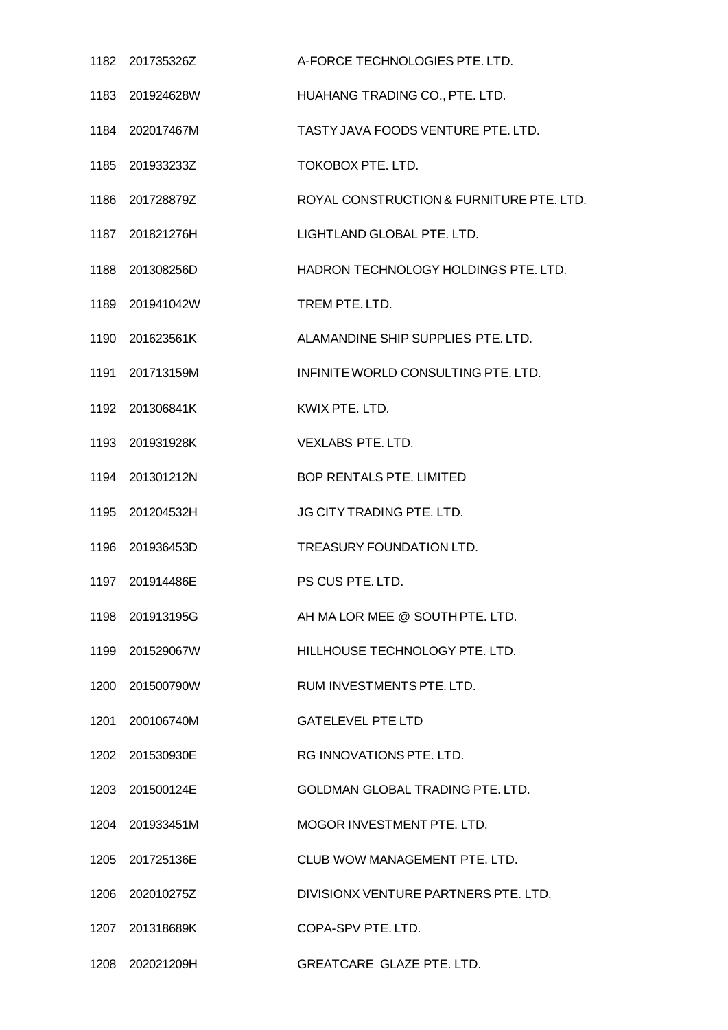| 1182 201735326Z | A-FORCE TECHNOLOGIES PTE. LTD.           |
|-----------------|------------------------------------------|
| 1183 201924628W | HUAHANG TRADING CO., PTE. LTD.           |
| 1184 202017467M | TASTY JAVA FOODS VENTURE PTE, LTD.       |
| 1185 201933233Z | TOKOBOX PTE. LTD.                        |
| 1186 201728879Z | ROYAL CONSTRUCTION & FURNITURE PTE. LTD. |
| 1187 201821276H | LIGHTLAND GLOBAL PTE. LTD.               |
| 1188 201308256D | HADRON TECHNOLOGY HOLDINGS PTE. LTD.     |
| 1189 201941042W | TREM PTE. LTD.                           |
| 1190 201623561K | ALAMANDINE SHIP SUPPLIES PTE, LTD.       |
| 1191 201713159M | INFINITE WORLD CONSULTING PTE. LTD.      |
| 1192 201306841K | KWIX PTE. LTD.                           |
| 1193 201931928K | <b>VEXLABS PTE. LTD.</b>                 |
| 1194 201301212N | <b>BOP RENTALS PTE. LIMITED</b>          |
| 1195 201204532H | JG CITY TRADING PTE. LTD.                |
| 1196 201936453D | TREASURY FOUNDATION LTD.                 |
| 1197 201914486E | PS CUS PTE, LTD.                         |
| 1198 201913195G | AH MA LOR MEE @ SOUTH PTE. LTD.          |
| 1199 201529067W | HILLHOUSE TECHNOLOGY PTE. LTD.           |
| 1200 201500790W | RUM INVESTMENTS PTE. LTD.                |
| 1201 200106740M | <b>GATELEVEL PTE LTD</b>                 |
| 1202 201530930E | RG INNOVATIONS PTE. LTD.                 |
| 1203 201500124E | GOLDMAN GLOBAL TRADING PTE. LTD.         |
| 1204 201933451M | MOGOR INVESTMENT PTE. LTD.               |
| 1205 201725136E | CLUB WOW MANAGEMENT PTE. LTD.            |
| 1206 202010275Z | DIVISIONX VENTURE PARTNERS PTE. LTD.     |
| 1207 201318689K | COPA-SPV PTE, LTD.                       |
| 1208 202021209H | GREATCARE GLAZE PTE. LTD.                |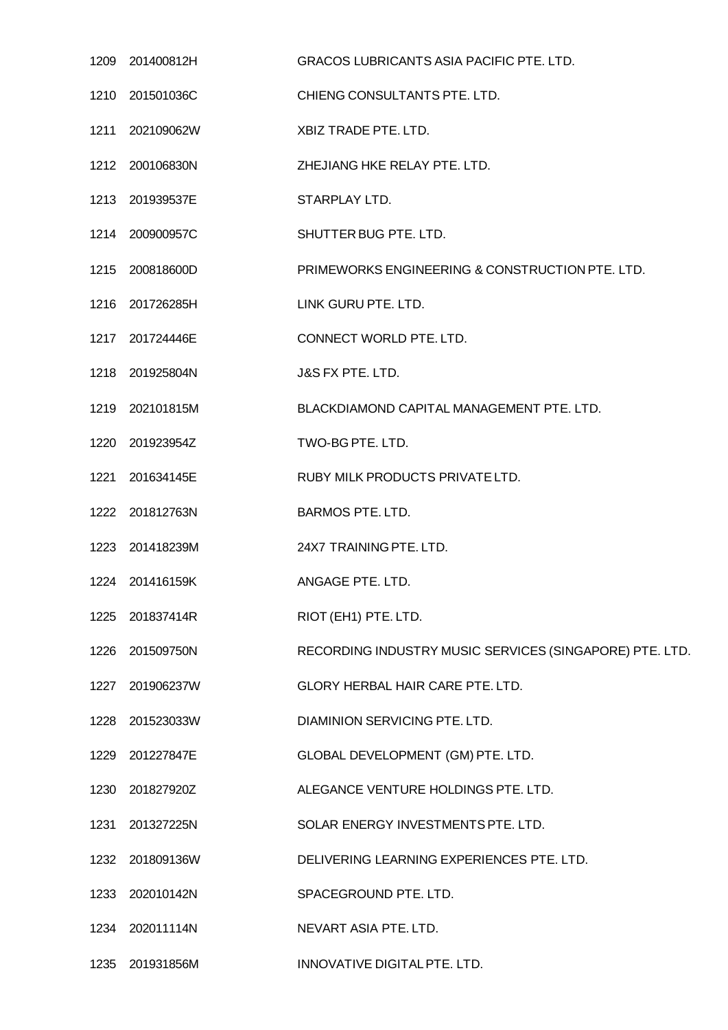| 1209 201400812H | <b>GRACOS LUBRICANTS ASIA PACIFIC PTE, LTD.</b>         |
|-----------------|---------------------------------------------------------|
| 1210 201501036C | CHIENG CONSULTANTS PTE. LTD.                            |
| 1211 202109062W | XBIZ TRADE PTE. LTD.                                    |
| 1212 200106830N | ZHEJIANG HKE RELAY PTE. LTD.                            |
| 1213 201939537E | STARPLAY LTD.                                           |
| 1214 200900957C | SHUTTER BUG PTE. LTD.                                   |
| 1215 200818600D | PRIMEWORKS ENGINEERING & CONSTRUCTION PTE. LTD.         |
| 1216 201726285H | LINK GURU PTE. LTD.                                     |
| 1217 201724446E | CONNECT WORLD PTE. LTD.                                 |
| 1218 201925804N | J&S FX PTE. LTD.                                        |
| 1219 202101815M | BLACKDIAMOND CAPITAL MANAGEMENT PTE. LTD.               |
| 1220 201923954Z | TWO-BG PTE. LTD.                                        |
| 1221 201634145E | RUBY MILK PRODUCTS PRIVATE LTD.                         |
| 1222 201812763N | <b>BARMOS PTE. LTD.</b>                                 |
| 1223 201418239M | 24X7 TRAINING PTE. LTD.                                 |
| 1224 201416159K | ANGAGE PTE. LTD.                                        |
| 1225 201837414R | RIOT (EH1) PTE. LTD.                                    |
| 1226 201509750N | RECORDING INDUSTRY MUSIC SERVICES (SINGAPORE) PTE. LTD. |
| 1227 201906237W | GLORY HERBAL HAIR CARE PTE. LTD.                        |
| 1228 201523033W | DIAMINION SERVICING PTE. LTD.                           |
| 1229 201227847E | GLOBAL DEVELOPMENT (GM) PTE. LTD.                       |
| 1230 201827920Z | ALEGANCE VENTURE HOLDINGS PTE. LTD.                     |
| 1231 201327225N | SOLAR ENERGY INVESTMENTS PTE. LTD.                      |
| 1232 201809136W | DELIVERING LEARNING EXPERIENCES PTE. LTD.               |
| 1233 202010142N | SPACEGROUND PTE. LTD.                                   |
| 1234 202011114N | NEVART ASIA PTE. LTD.                                   |
| 1235 201931856M | INNOVATIVE DIGITAL PTE. LTD.                            |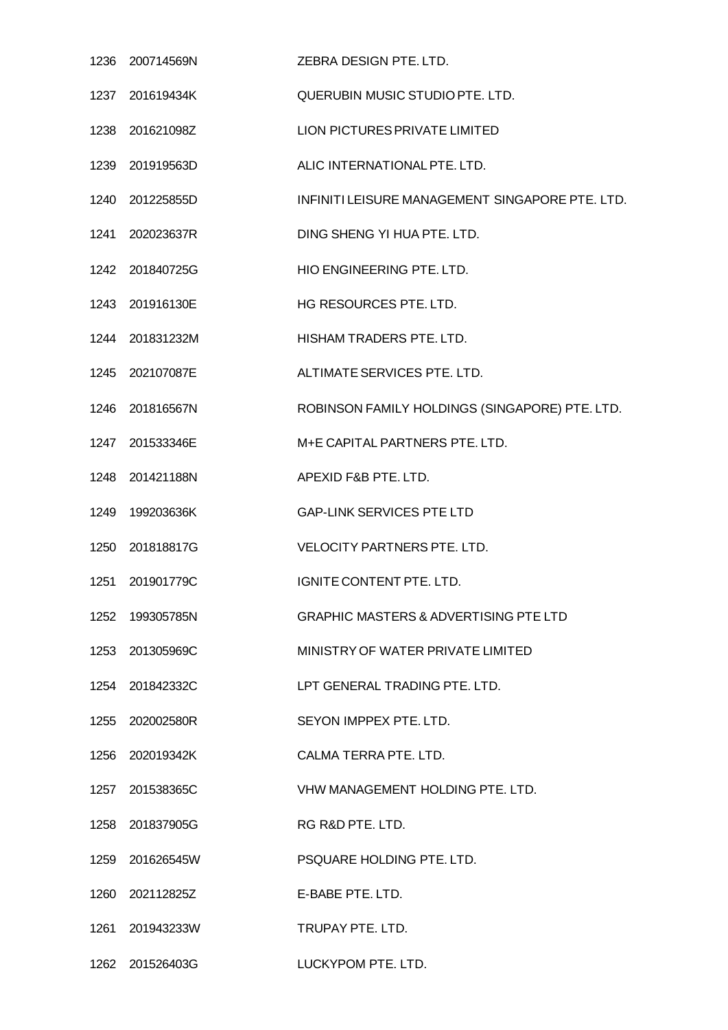| 1236 200714569N | ZEBRA DESIGN PTE. LTD.                           |
|-----------------|--------------------------------------------------|
| 1237 201619434K | QUERUBIN MUSIC STUDIO PTE. LTD.                  |
| 1238 201621098Z | LION PICTURES PRIVATE LIMITED                    |
| 1239 201919563D | ALIC INTERNATIONAL PTE. LTD.                     |
| 1240 201225855D | INFINITI LEISURE MANAGEMENT SINGAPORE PTE. LTD.  |
| 1241 202023637R | DING SHENG YI HUA PTE. LTD.                      |
| 1242 201840725G | HIO ENGINEERING PTE. LTD.                        |
| 1243 201916130E | HG RESOURCES PTE. LTD.                           |
| 1244 201831232M | HISHAM TRADERS PTE. LTD.                         |
| 1245 202107087E | ALTIMATE SERVICES PTE. LTD.                      |
| 1246 201816567N | ROBINSON FAMILY HOLDINGS (SINGAPORE) PTE. LTD.   |
| 1247 201533346E | M+E CAPITAL PARTNERS PTE. LTD.                   |
| 1248 201421188N | APEXID F&B PTE. LTD.                             |
| 1249 199203636K | <b>GAP-LINK SERVICES PTE LTD</b>                 |
| 1250 201818817G | <b>VELOCITY PARTNERS PTE. LTD.</b>               |
| 1251 201901779C | IGNITE CONTENT PTE. LTD.                         |
| 1252 199305785N | <b>GRAPHIC MASTERS &amp; ADVERTISING PTE LTD</b> |
| 1253 201305969C | MINISTRY OF WATER PRIVATE LIMITED                |
| 1254 201842332C | LPT GENERAL TRADING PTE. LTD.                    |
| 1255 202002580R | SEYON IMPPEX PTE. LTD.                           |
| 1256 202019342K | CALMA TERRA PTE. LTD.                            |
| 1257 201538365C | VHW MANAGEMENT HOLDING PTE. LTD.                 |
| 1258 201837905G | RG R&D PTE. LTD.                                 |
| 1259 201626545W | PSQUARE HOLDING PTE. LTD.                        |
| 1260 202112825Z | E-BABE PTE. LTD.                                 |
| 1261 201943233W | TRUPAY PTE. LTD.                                 |
| 1262 201526403G | LUCKYPOM PTE. LTD.                               |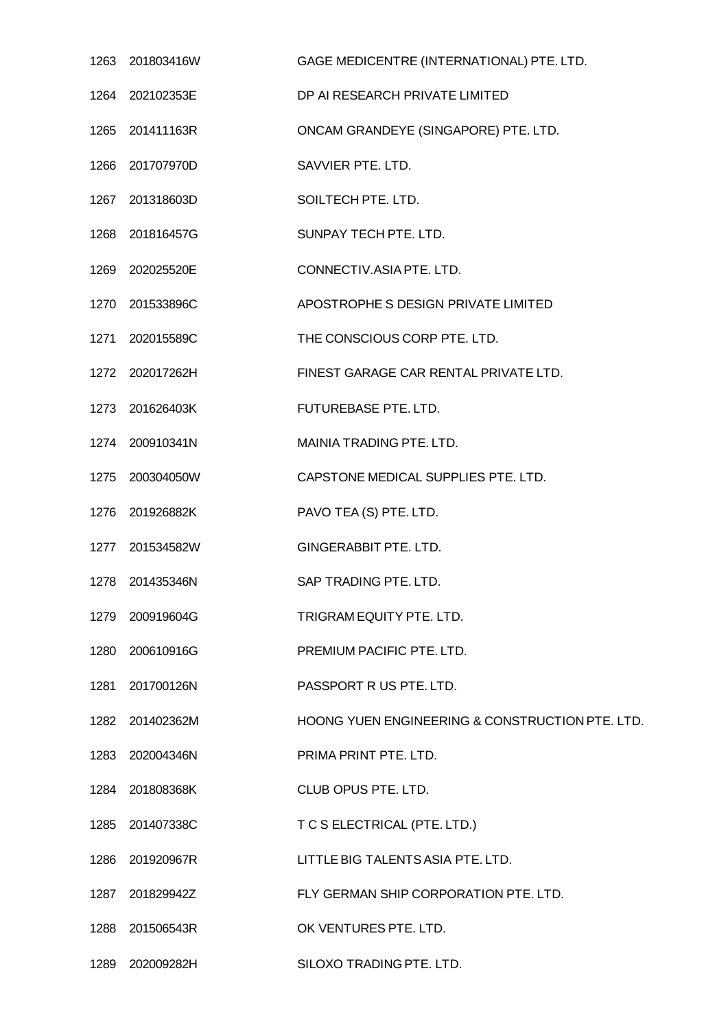| 1263 201803416W | GAGE MEDICENTRE (INTERNATIONAL) PTE. LTD.       |
|-----------------|-------------------------------------------------|
| 1264 202102353E | DP AI RESEARCH PRIVATE LIMITED                  |
| 1265 201411163R | ONCAM GRANDEYE (SINGAPORE) PTE. LTD.            |
| 1266 201707970D | SAVVIER PTE. LTD.                               |
| 1267 201318603D | SOILTECH PTE. LTD.                              |
| 1268 201816457G | SUNPAY TECH PTE. LTD.                           |
| 1269 202025520E | CONNECTIV.ASIA PTE. LTD.                        |
| 1270 201533896C | APOSTROPHE S DESIGN PRIVATE LIMITED             |
| 1271 202015589C | THE CONSCIOUS CORP PTE. LTD.                    |
| 1272 202017262H | FINEST GARAGE CAR RENTAL PRIVATE LTD.           |
| 1273 201626403K | FUTUREBASE PTE. LTD.                            |
| 1274 200910341N | MAINIA TRADING PTE. LTD.                        |
| 1275 200304050W | CAPSTONE MEDICAL SUPPLIES PTE. LTD.             |
| 1276 201926882K | PAVO TEA (S) PTE. LTD.                          |
| 1277 201534582W | GINGERABBIT PTE. LTD.                           |
| 1278 201435346N | SAP TRADING PTE, LTD.                           |
| 1279 200919604G | TRIGRAM EQUITY PTE. LTD.                        |
| 1280 200610916G | PREMIUM PACIFIC PTE. LTD.                       |
| 1281 201700126N | PASSPORT R US PTE. LTD.                         |
| 1282 201402362M | HOONG YUEN ENGINEERING & CONSTRUCTION PTE. LTD. |
| 1283 202004346N | PRIMA PRINT PTE. LTD.                           |
| 1284 201808368K | CLUB OPUS PTE. LTD.                             |
| 1285 201407338C | T C S ELECTRICAL (PTE. LTD.)                    |
| 1286 201920967R | LITTLE BIG TALENTS ASIA PTE. LTD.               |
| 1287 201829942Z | FLY GERMAN SHIP CORPORATION PTE. LTD.           |
| 1288 201506543R | OK VENTURES PTE. LTD.                           |
| 1289 202009282H | SILOXO TRADING PTE. LTD.                        |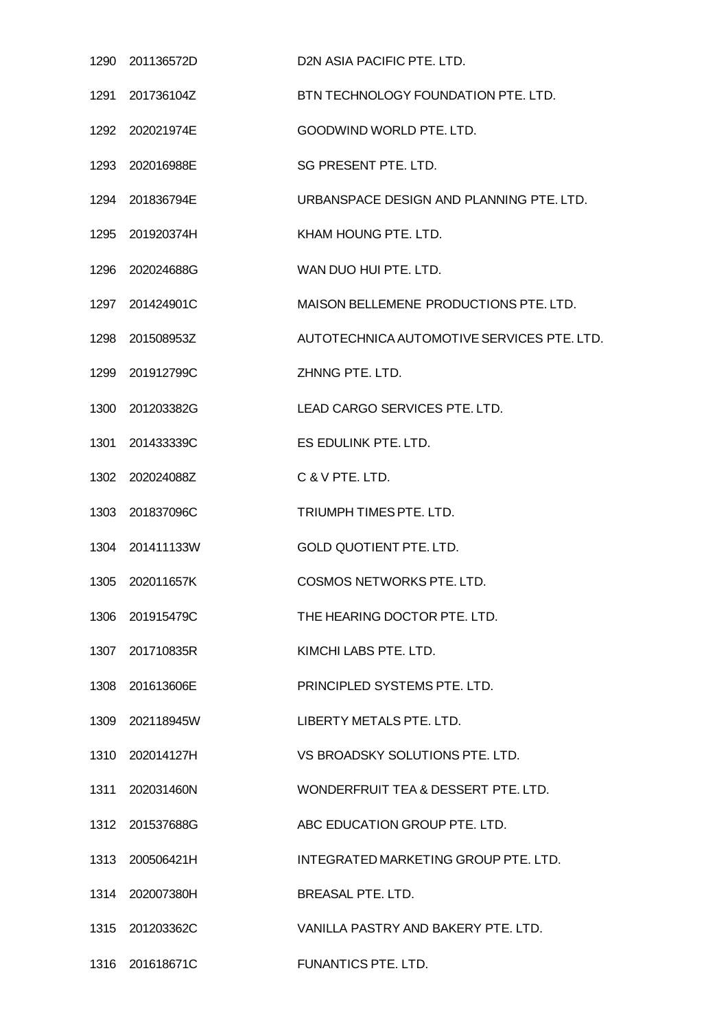| 1290 201136572D | D2N ASIA PACIFIC PTE. LTD.                 |
|-----------------|--------------------------------------------|
| 1291 201736104Z | BTN TECHNOLOGY FOUNDATION PTE. LTD.        |
| 1292 202021974E | GOODWIND WORLD PTE. LTD.                   |
| 1293 202016988E | SG PRESENT PTE. LTD.                       |
| 1294 201836794E | URBANSPACE DESIGN AND PLANNING PTE. LTD.   |
| 1295 201920374H | KHAM HOUNG PTE. LTD.                       |
| 1296 202024688G | WAN DUO HUI PTE. LTD.                      |
| 1297 201424901C | MAISON BELLEMENE PRODUCTIONS PTE. LTD.     |
| 1298 201508953Z | AUTOTECHNICA AUTOMOTIVE SERVICES PTE. LTD. |
| 1299 201912799C | ZHNNG PTE. LTD.                            |
| 1300 201203382G | LEAD CARGO SERVICES PTE. LTD.              |
| 1301 201433339C | ES EDULINK PTE. LTD.                       |
| 1302 202024088Z | C & V PTE, LTD.                            |
| 1303 201837096C | TRIUMPH TIMES PTE. LTD.                    |
| 1304 201411133W | <b>GOLD QUOTIENT PTE. LTD.</b>             |
| 1305 202011657K | <b>COSMOS NETWORKS PTE, LTD.</b>           |
| 1306 201915479C | THE HEARING DOCTOR PTE. LTD.               |
| 1307 201710835R | KIMCHI LABS PTE, LTD.                      |
| 1308 201613606E | PRINCIPLED SYSTEMS PTE. LTD.               |
| 1309 202118945W | LIBERTY METALS PTE. LTD.                   |
| 1310 202014127H | VS BROADSKY SOLUTIONS PTE. LTD.            |
| 1311 202031460N | WONDERFRUIT TEA & DESSERT PTE. LTD.        |
| 1312 201537688G | ABC EDUCATION GROUP PTE. LTD.              |
| 1313 200506421H | INTEGRATED MARKETING GROUP PTE. LTD.       |
| 1314 202007380H | <b>BREASAL PTE, LTD.</b>                   |
| 1315 201203362C | VANILLA PASTRY AND BAKERY PTE. LTD.        |
| 1316 201618671C | FUNANTICS PTE. LTD.                        |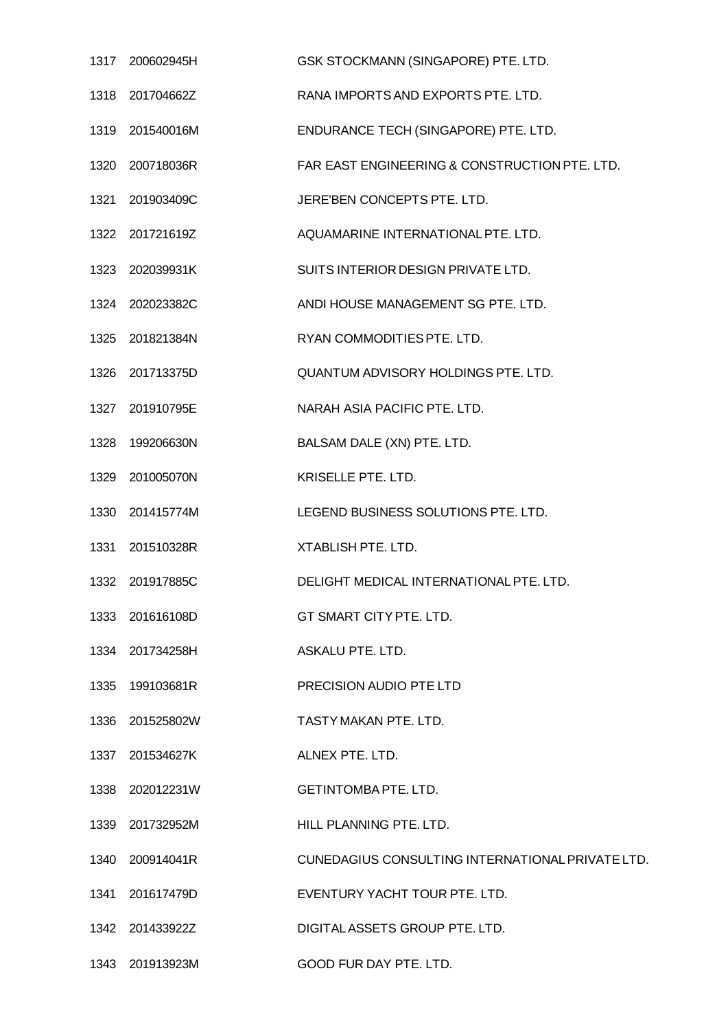| 1317 | 200602945H      | GSK STOCKMANN (SINGAPORE) PTE. LTD.              |
|------|-----------------|--------------------------------------------------|
|      | 1318 201704662Z | RANA IMPORTS AND EXPORTS PTE. LTD.               |
|      | 1319 201540016M | ENDURANCE TECH (SINGAPORE) PTE. LTD.             |
|      | 1320 200718036R | FAR EAST ENGINEERING & CONSTRUCTION PTE. LTD.    |
|      | 1321 201903409C | JERE'BEN CONCEPTS PTE. LTD.                      |
|      | 1322 201721619Z | AQUAMARINE INTERNATIONAL PTE. LTD.               |
|      | 1323 202039931K | SUITS INTERIOR DESIGN PRIVATE LTD.               |
|      | 1324 202023382C | ANDI HOUSE MANAGEMENT SG PTE. LTD.               |
|      | 1325 201821384N | RYAN COMMODITIES PTE. LTD.                       |
|      | 1326 201713375D | QUANTUM ADVISORY HOLDINGS PTE. LTD.              |
|      | 1327 201910795E | NARAH ASIA PACIFIC PTE. LTD.                     |
| 1328 | 199206630N      | BALSAM DALE (XN) PTE. LTD.                       |
| 1329 | 201005070N      | KRISELLE PTE. LTD.                               |
|      | 1330 201415774M | LEGEND BUSINESS SOLUTIONS PTE. LTD.              |
|      | 1331 201510328R | XTABLISH PTE. LTD.                               |
| 1332 | 201917885C      | DELIGHT MEDICAL INTERNATIONAL PTE. LTD.          |
|      | 1333 201616108D | GT SMART CITY PTE. LTD.                          |
|      | 1334 201734258H | ASKALU PTE. LTD.                                 |
|      | 1335 199103681R | PRECISION AUDIO PTE LTD                          |
|      | 1336 201525802W | TASTY MAKAN PTE. LTD.                            |
|      | 1337 201534627K | ALNEX PTE. LTD.                                  |
|      | 1338 202012231W | <b>GETINTOMBA PTE. LTD.</b>                      |
|      | 1339 201732952M | HILL PLANNING PTE. LTD.                          |
|      | 1340 200914041R | CUNEDAGIUS CONSULTING INTERNATIONAL PRIVATE LTD. |
|      | 1341 201617479D | EVENTURY YACHT TOUR PTE. LTD.                    |
|      | 1342 201433922Z | DIGITAL ASSETS GROUP PTE. LTD.                   |
|      | 1343 201913923M | GOOD FUR DAY PTE. LTD.                           |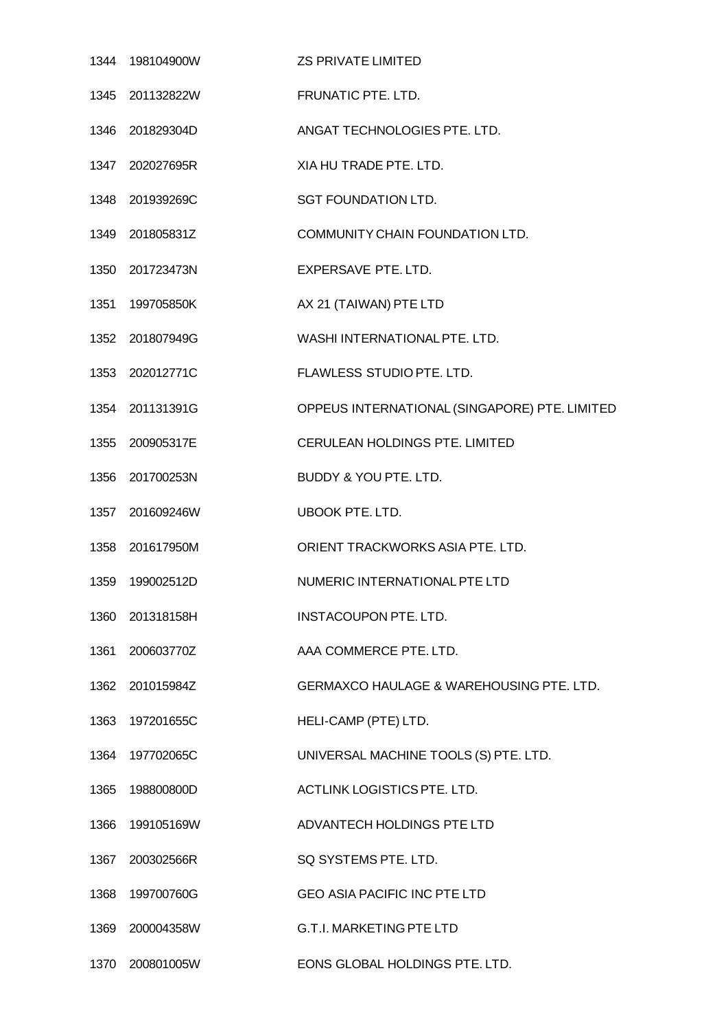|      | 1344  198104900W | <b>ZS PRIVATE LIMITED</b>                           |
|------|------------------|-----------------------------------------------------|
|      | 1345 201132822W  | <b>FRUNATIC PTE. LTD.</b>                           |
|      | 1346 201829304D  | ANGAT TECHNOLOGIES PTE. LTD.                        |
|      | 1347 202027695R  | XIA HU TRADE PTE. LTD.                              |
|      | 1348 201939269C  | <b>SGT FOUNDATION LTD.</b>                          |
|      | 1349 201805831Z  | COMMUNITY CHAIN FOUNDATION LTD.                     |
|      | 1350 201723473N  | EXPERSAVE PTE. LTD.                                 |
|      | 1351 199705850K  | AX 21 (TAIWAN) PTE LTD                              |
|      | 1352 201807949G  | WASHI INTERNATIONAL PTE. LTD.                       |
|      | 1353 202012771C  | FLAWLESS STUDIO PTE. LTD.                           |
|      | 1354 201131391G  | OPPEUS INTERNATIONAL (SINGAPORE) PTE. LIMITED       |
|      | 1355 200905317E  | CERULEAN HOLDINGS PTE. LIMITED                      |
|      | 1356 201700253N  | BUDDY & YOU PTE. LTD.                               |
|      | 1357 201609246W  | <b>UBOOK PTE. LTD.</b>                              |
|      | 1358 201617950M  | ORIENT TRACKWORKS ASIA PTE. LTD.                    |
| 1359 | 199002512D       | NUMERIC INTERNATIONAL PTE LTD                       |
| 1360 | 201318158H       | <b>INSTACOUPON PTE, LTD.</b>                        |
|      | 1361 200603770Z  | AAA COMMERCE PTE. LTD.                              |
|      | 1362 201015984Z  | <b>GERMAXCO HAULAGE &amp; WAREHOUSING PTE. LTD.</b> |
|      | 1363 197201655C  | HELI-CAMP (PTE) LTD.                                |
|      | 1364 197702065C  | UNIVERSAL MACHINE TOOLS (S) PTE. LTD.               |
|      | 1365 198800800D  | ACTLINK LOGISTICS PTE. LTD.                         |
| 1366 | 199105169W       | ADVANTECH HOLDINGS PTE LTD                          |
|      | 1367 200302566R  | SQ SYSTEMS PTE. LTD.                                |
|      | 1368 199700760G  | <b>GEO ASIA PACIFIC INC PTE LTD</b>                 |
|      | 1369 200004358W  | <b>G.T.I. MARKETING PTE LTD</b>                     |
| 1370 | 200801005W       | EONS GLOBAL HOLDINGS PTE. LTD.                      |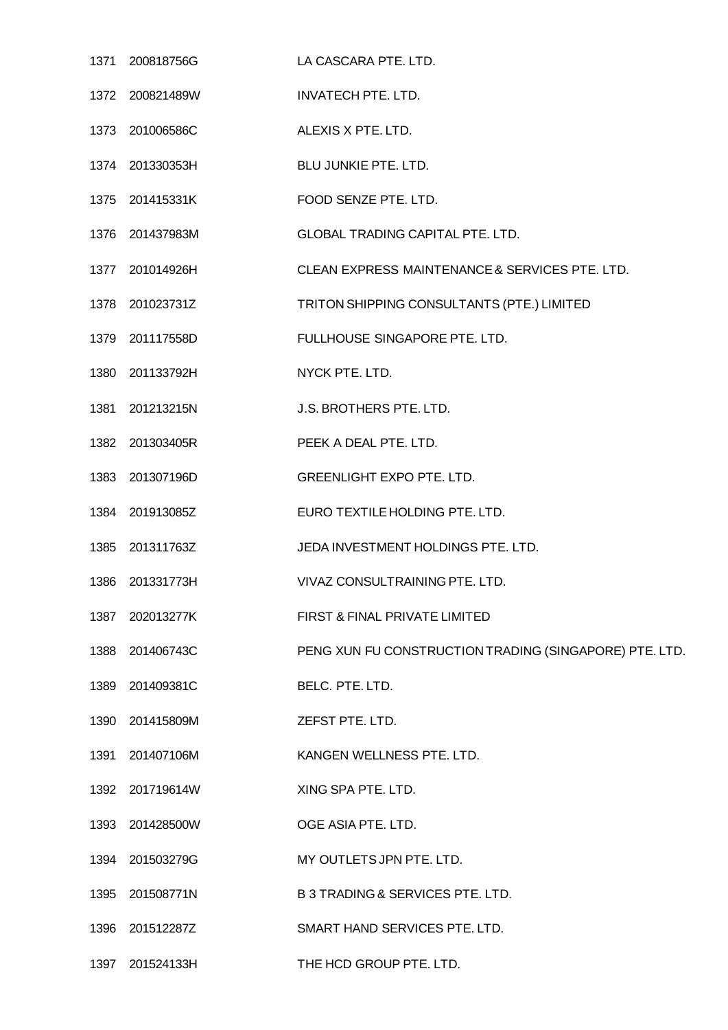|      | 1371 200818756G | LA CASCARA PTE. LTD.                                   |
|------|-----------------|--------------------------------------------------------|
|      | 1372 200821489W | <b>INVATECH PTE. LTD.</b>                              |
|      | 1373 201006586C | ALEXIS X PTE. LTD.                                     |
|      | 1374 201330353H | BLU JUNKIE PTE. LTD.                                   |
|      | 1375 201415331K | FOOD SENZE PTE. LTD.                                   |
|      | 1376 201437983M | <b>GLOBAL TRADING CAPITAL PTE. LTD.</b>                |
|      | 1377 201014926H | CLEAN EXPRESS MAINTENANCE & SERVICES PTE. LTD.         |
|      | 1378 201023731Z | TRITON SHIPPING CONSULTANTS (PTE.) LIMITED             |
|      | 1379 201117558D | FULLHOUSE SINGAPORE PTE. LTD.                          |
|      | 1380 201133792H | NYCK PTE. LTD.                                         |
|      | 1381 201213215N | J.S. BROTHERS PTE. LTD.                                |
|      | 1382 201303405R | PEEK A DEAL PTE. LTD.                                  |
|      | 1383 201307196D | <b>GREENLIGHT EXPO PTE. LTD.</b>                       |
|      | 1384 201913085Z | EURO TEXTILE HOLDING PTE. LTD.                         |
|      | 1385 201311763Z | JEDA INVESTMENT HOLDINGS PTE. LTD.                     |
| 1386 | 201331773H      | VIVAZ CONSULTRAINING PTE. LTD.                         |
| 1387 | 202013277K      | FIRST & FINAL PRIVATE LIMITED                          |
| 1388 | 201406743C      | PENG XUN FU CONSTRUCTION TRADING (SINGAPORE) PTE. LTD. |
|      | 1389 201409381C | BELC. PTE. LTD.                                        |
| 1390 | 201415809M      | ZEFST PTE. LTD.                                        |
|      | 1391 201407106M | KANGEN WELLNESS PTE. LTD.                              |
|      | 1392 201719614W | XING SPA PTE. LTD.                                     |
|      | 1393 201428500W | OGE ASIA PTE. LTD.                                     |
|      | 1394 201503279G | MY OUTLETS JPN PTE. LTD.                               |
| 1395 | 201508771N      | <b>B 3 TRADING &amp; SERVICES PTE. LTD.</b>            |
| 1396 | 201512287Z      | SMART HAND SERVICES PTE. LTD.                          |
| 1397 | 201524133H      | THE HCD GROUP PTE. LTD.                                |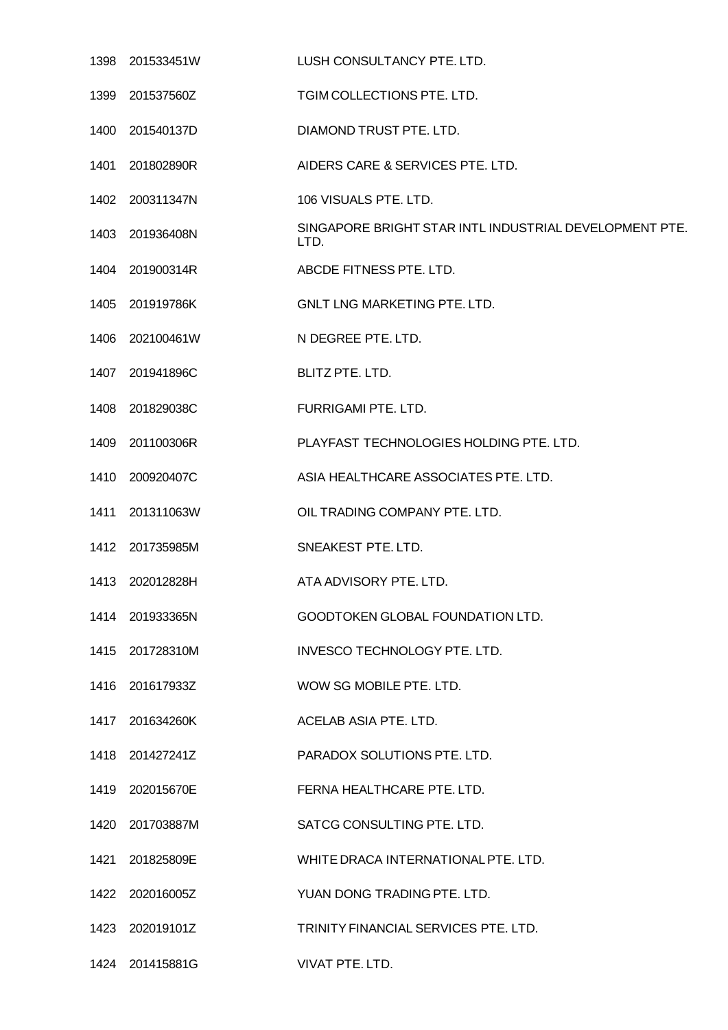| 1398 201533451W | LUSH CONSULTANCY PTE. LTD.                                     |
|-----------------|----------------------------------------------------------------|
| 1399 201537560Z | TGIM COLLECTIONS PTE. LTD.                                     |
| 1400 201540137D | DIAMOND TRUST PTE. LTD.                                        |
| 1401 201802890R | AIDERS CARE & SERVICES PTE. LTD.                               |
| 1402 200311347N | 106 VISUALS PTE, LTD.                                          |
| 1403 201936408N | SINGAPORE BRIGHT STAR INTL INDUSTRIAL DEVELOPMENT PTE.<br>LTD. |
| 1404 201900314R | ABCDE FITNESS PTE. LTD.                                        |
| 1405 201919786K | <b>GNLT LNG MARKETING PTE. LTD.</b>                            |
| 1406 202100461W | N DEGREE PTE. LTD.                                             |
| 1407 201941896C | BLITZ PTE. LTD.                                                |
| 1408 201829038C | FURRIGAMI PTE. LTD.                                            |
| 1409 201100306R | PLAYFAST TECHNOLOGIES HOLDING PTE. LTD.                        |
| 1410 200920407C | ASIA HEALTHCARE ASSOCIATES PTE. LTD.                           |
| 1411 201311063W | OIL TRADING COMPANY PTE. LTD.                                  |
| 1412 201735985M | SNEAKEST PTE. LTD.                                             |
| 1413 202012828H | ATA ADVISORY PTE. LTD.                                         |
| 1414 201933365N | GOODTOKEN GLOBAL FOUNDATION LTD.                               |
| 1415 201728310M | INVESCO TECHNOLOGY PTE. LTD.                                   |
| 1416 201617933Z | WOW SG MOBILE PTE. LTD.                                        |
| 1417 201634260K | ACELAB ASIA PTE. LTD.                                          |
| 1418 201427241Z | PARADOX SOLUTIONS PTE. LTD.                                    |
| 1419 202015670E | FERNA HEALTHCARE PTE. LTD.                                     |
| 1420 201703887M | SATCG CONSULTING PTE. LTD.                                     |
| 1421 201825809E | WHITE DRACA INTERNATIONAL PTE. LTD.                            |
| 1422 202016005Z | YUAN DONG TRADING PTE. LTD.                                    |
| 1423 202019101Z | TRINITY FINANCIAL SERVICES PTE. LTD.                           |
| 1424 201415881G | VIVAT PTE. LTD.                                                |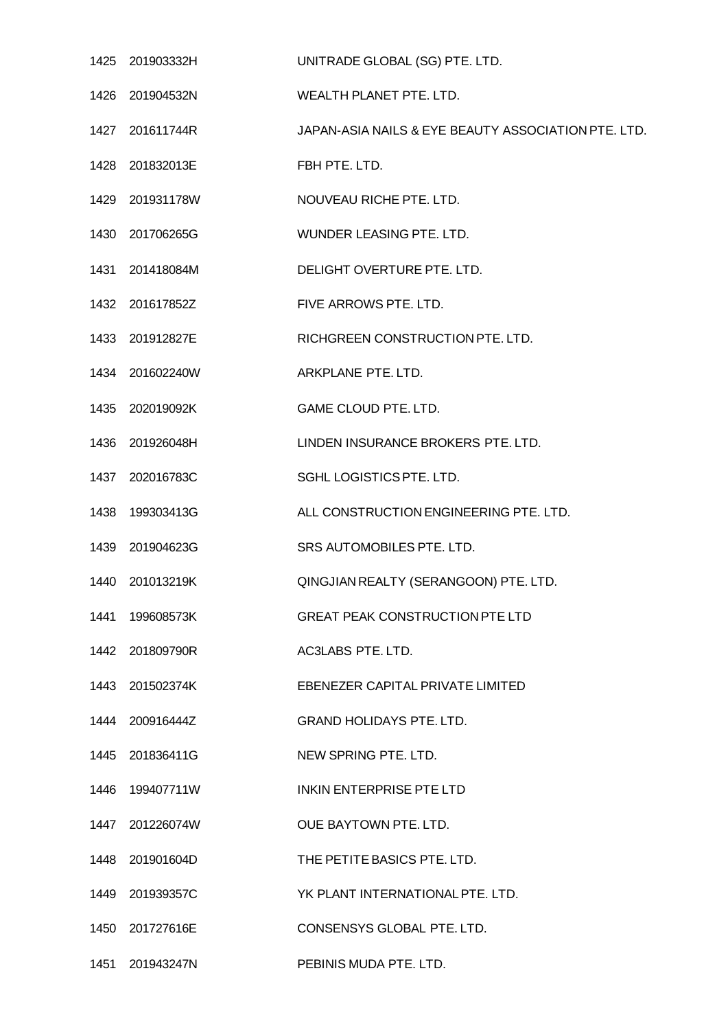|      | 1425 201903332H | UNITRADE GLOBAL (SG) PTE. LTD.                      |
|------|-----------------|-----------------------------------------------------|
|      | 1426 201904532N | WEALTH PLANET PTE. LTD.                             |
|      | 1427 201611744R | JAPAN-ASIA NAILS & EYE BEAUTY ASSOCIATION PTE. LTD. |
|      | 1428 201832013E | FBH PTE. LTD.                                       |
|      | 1429 201931178W | NOUVEAU RICHE PTE, LTD.                             |
|      | 1430 201706265G | WUNDER LEASING PTE. LTD.                            |
|      | 1431 201418084M | DELIGHT OVERTURE PTE. LTD.                          |
|      | 1432 201617852Z | FIVE ARROWS PTE. LTD.                               |
|      | 1433 201912827E | RICHGREEN CONSTRUCTION PTE. LTD.                    |
|      | 1434 201602240W | ARKPLANE PTE. LTD.                                  |
|      | 1435 202019092K | GAME CLOUD PTE. LTD.                                |
|      | 1436 201926048H | LINDEN INSURANCE BROKERS PTE. LTD.                  |
|      | 1437 202016783C | SGHL LOGISTICS PTE. LTD.                            |
|      | 1438 199303413G | ALL CONSTRUCTION ENGINEERING PTE. LTD.              |
|      | 1439 201904623G | SRS AUTOMOBILES PTE. LTD.                           |
|      | 1440 201013219K | QINGJIAN REALTY (SERANGOON) PTE. LTD.               |
| 1441 | 199608573K      | <b>GREAT PEAK CONSTRUCTION PTE LTD</b>              |
|      | 1442 201809790R | AC3LABS PTE. LTD.                                   |
|      | 1443 201502374K | EBENEZER CAPITAL PRIVATE LIMITED                    |
|      | 1444 200916444Z | <b>GRAND HOLIDAYS PTE, LTD.</b>                     |
|      | 1445 201836411G | NEW SPRING PTE. LTD.                                |
|      | 1446 199407711W | INKIN ENTERPRISE PTE LTD                            |
|      | 1447 201226074W | OUE BAYTOWN PTE. LTD.                               |
|      | 1448 201901604D | THE PETITE BASICS PTE. LTD.                         |
|      | 1449 201939357C | YK PLANT INTERNATIONAL PTE. LTD.                    |
|      | 1450 201727616E | CONSENSYS GLOBAL PTE. LTD.                          |
|      | 1451 201943247N | PEBINIS MUDA PTE. LTD.                              |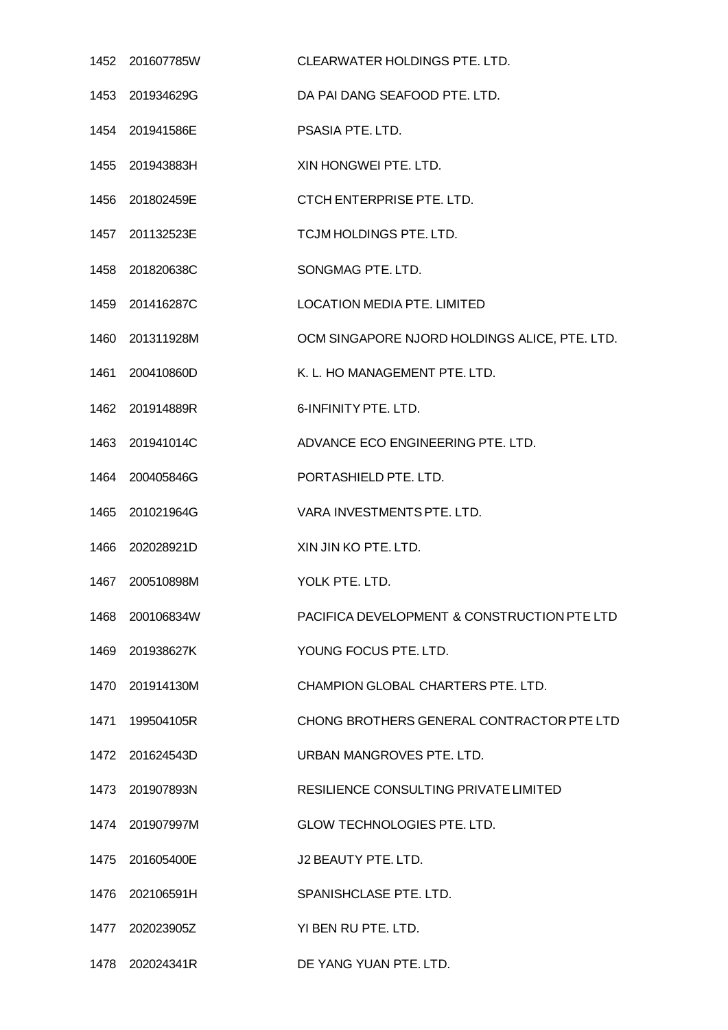|                                        | CLEARWATER HOLDINGS PTE. LTD.                 |
|----------------------------------------|-----------------------------------------------|
| 1453 201934629G                        | DA PAI DANG SEAFOOD PTE. LTD.                 |
| 1454 201941586E                        | PSASIA PTE. LTD.                              |
| 1455 201943883H                        | XIN HONGWEI PTE. LTD.                         |
| 1456 201802459E                        | <b>CTCH ENTERPRISE PTE, LTD.</b>              |
| 1457 201132523E                        | TCJM HOLDINGS PTE. LTD.                       |
| 1458 201820638C                        | SONGMAG PTE. LTD.                             |
| 1459 201416287C                        | <b>LOCATION MEDIA PTE. LIMITED</b>            |
| 1460 201311928M                        | OCM SINGAPORE NJORD HOLDINGS ALICE, PTE. LTD. |
| 1461 200410860D                        | K. L. HO MANAGEMENT PTE. LTD.                 |
| 1462 201914889R                        | 6-INFINITY PTE. LTD.                          |
| 1463 201941014C                        | ADVANCE ECO ENGINEERING PTE. LTD.             |
| 1464 200405846G                        | PORTASHIELD PTE. LTD.                         |
| 1465 201021964G                        | VARA INVESTMENTS PTE. LTD.                    |
| 1466 202028921D                        | XIN JIN KO PTE. LTD.                          |
| 1467 200510898M                        | YOLK PTE. LTD.                                |
| 1468 200106834W                        | PACIFICA DEVELOPMENT & CONSTRUCTION PTE LTD   |
| 1469 201938627K                        | YOUNG FOCUS PTE. LTD.                         |
| 1470 201914130M                        | CHAMPION GLOBAL CHARTERS PTE. LTD.            |
| 1471 199504105R                        | CHONG BROTHERS GENERAL CONTRACTOR PTE LTD     |
| 1472 201624543D                        | URBAN MANGROVES PTE. LTD.                     |
| 1473 201907893N                        | RESILIENCE CONSULTING PRIVATE LIMITED         |
| 1474 201907997M                        | <b>GLOW TECHNOLOGIES PTE. LTD.</b>            |
| 1475 201605400E                        | J2 BEAUTY PTE. LTD.                           |
| 1476 202106591H                        | SPANISHCLASE PTE. LTD.                        |
| 1477 202023905Z                        | YI BEN RU PTE. LTD.                           |
| 1478 202024341R DE YANG YUAN PTE. LTD. |                                               |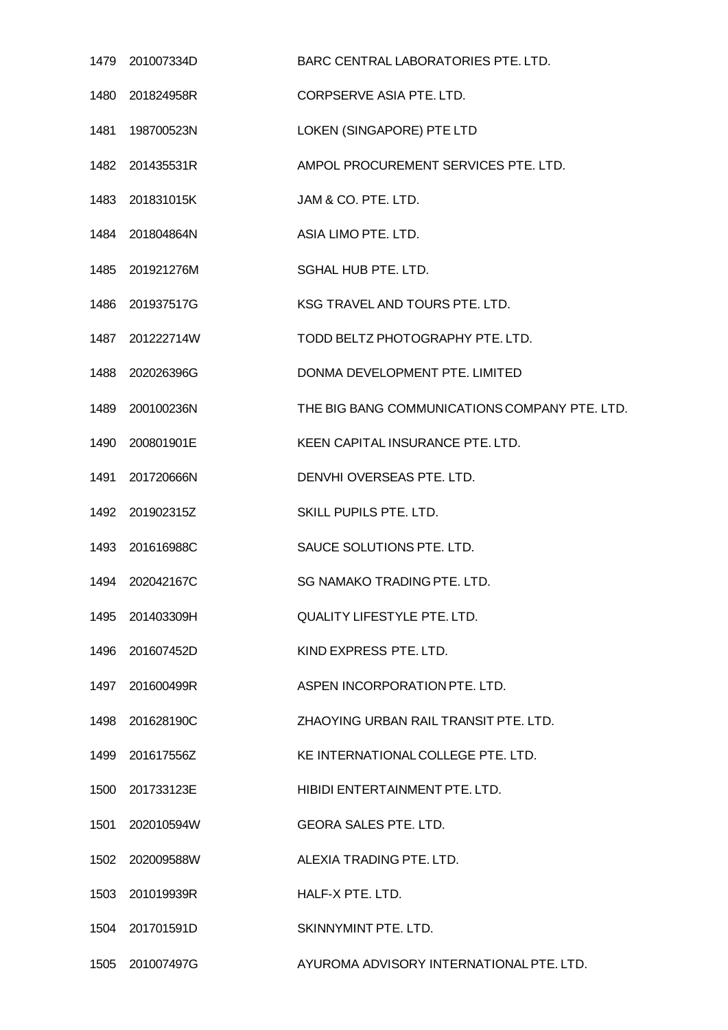| 1479 201007334D  | BARC CENTRAL LABORATORIES PTE. LTD.           |
|------------------|-----------------------------------------------|
| 1480 201824958R  | CORPSERVE ASIA PTE. LTD.                      |
| 1481  198700523N | LOKEN (SINGAPORE) PTE LTD                     |
| 1482 201435531R  | AMPOL PROCUREMENT SERVICES PTE. LTD.          |
| 1483 201831015K  | JAM & CO. PTE. LTD.                           |
| 1484 201804864N  | ASIA LIMO PTE. LTD.                           |
| 1485 201921276M  | SGHAL HUB PTE. LTD.                           |
| 1486 201937517G  | KSG TRAVEL AND TOURS PTE. LTD.                |
| 1487 201222714W  | TODD BELTZ PHOTOGRAPHY PTE. LTD.              |
| 1488 202026396G  | DONMA DEVELOPMENT PTE. LIMITED                |
| 1489 200100236N  | THE BIG BANG COMMUNICATIONS COMPANY PTE. LTD. |
| 1490 200801901E  | KEEN CAPITAL INSURANCE PTE. LTD.              |
| 1491 201720666N  | DENVHI OVERSEAS PTE. LTD.                     |
| 1492 201902315Z  | SKILL PUPILS PTE. LTD.                        |
| 1493 201616988C  | SAUCE SOLUTIONS PTE. LTD.                     |
| 1494 202042167C  | SG NAMAKO TRADING PTE, LTD.                   |
| 1495 201403309H  | <b>QUALITY LIFESTYLE PTE. LTD.</b>            |
| 1496 201607452D  | KIND EXPRESS PTE. LTD.                        |
| 1497 201600499R  | ASPEN INCORPORATION PTE. LTD.                 |
| 1498 201628190C  | ZHAOYING URBAN RAIL TRANSIT PTE. LTD.         |
| 1499 201617556Z  | KE INTERNATIONAL COLLEGE PTE. LTD.            |
| 1500 201733123E  | HIBIDI ENTERTAINMENT PTE. LTD.                |
| 1501 202010594W  | <b>GEORA SALES PTE. LTD.</b>                  |
| 1502 202009588W  | ALEXIA TRADING PTE. LTD.                      |
| 1503 201019939R  | HALF-X PTE, LTD.                              |
| 1504 201701591D  | SKINNYMINT PTE, LTD.                          |
| 1505 201007497G  | AYUROMA ADVISORY INTERNATIONAL PTE. LTD.      |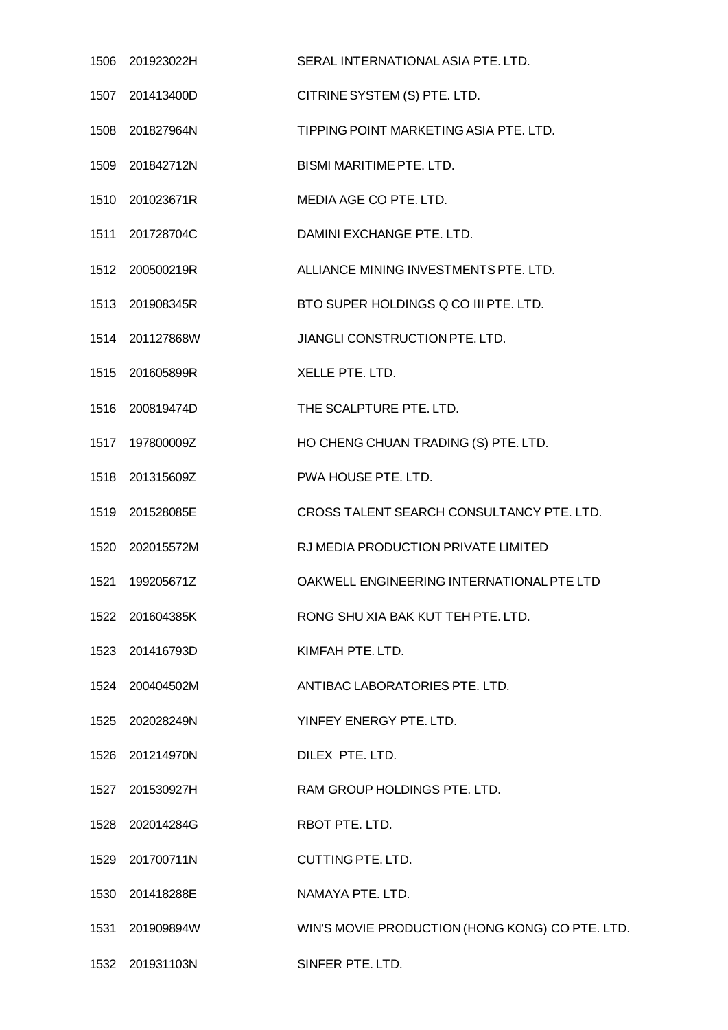|      | 1506 201923022H  | SERAL INTERNATIONAL ASIA PTE. LTD.              |
|------|------------------|-------------------------------------------------|
|      | 1507 201413400D  | CITRINE SYSTEM (S) PTE. LTD.                    |
|      | 1508 201827964N  | TIPPING POINT MARKETING ASIA PTE. LTD.          |
|      | 1509 201842712N  | <b>BISMI MARITIME PTE. LTD.</b>                 |
|      | 1510 201023671R  | MEDIA AGE CO PTE. LTD.                          |
|      | 1511 201728704C  | DAMINI EXCHANGE PTE. LTD.                       |
|      | 1512 200500219R  | ALLIANCE MINING INVESTMENTS PTE. LTD.           |
|      | 1513 201908345R  | BTO SUPER HOLDINGS Q CO III PTE. LTD.           |
|      | 1514 201127868W  | JIANGLI CONSTRUCTION PTE. LTD.                  |
|      | 1515 201605899R  | XELLE PTE, LTD.                                 |
|      | 1516 200819474D  | THE SCALPTURE PTE. LTD.                         |
|      | 1517  197800009Z | HO CHENG CHUAN TRADING (S) PTE. LTD.            |
|      | 1518 201315609Z  | PWA HOUSE PTE. LTD.                             |
|      | 1519 201528085E  | CROSS TALENT SEARCH CONSULTANCY PTE. LTD.       |
|      | 1520 202015572M  | RJ MEDIA PRODUCTION PRIVATE LIMITED             |
| 1521 | 199205671Z       | OAKWELL ENGINEERING INTERNATIONAL PTE LTD       |
|      | 1522 201604385K  | RONG SHU XIA BAK KUT TEH PTE. LTD.              |
|      | 1523 201416793D  | KIMFAH PTE, LTD.                                |
|      | 1524 200404502M  | ANTIBAC LABORATORIES PTE. LTD.                  |
|      | 1525 202028249N  | YINFEY ENERGY PTE. LTD.                         |
|      | 1526 201214970N  | DILEX PTE. LTD.                                 |
|      | 1527 201530927H  | RAM GROUP HOLDINGS PTE. LTD.                    |
|      | 1528 202014284G  | RBOT PTE. LTD.                                  |
|      | 1529 201700711N  | CUTTING PTE. LTD.                               |
|      | 1530 201418288E  | NAMAYA PTE. LTD.                                |
|      | 1531 201909894W  | WIN'S MOVIE PRODUCTION (HONG KONG) CO PTE. LTD. |
|      |                  | SINFER PTE. LTD.                                |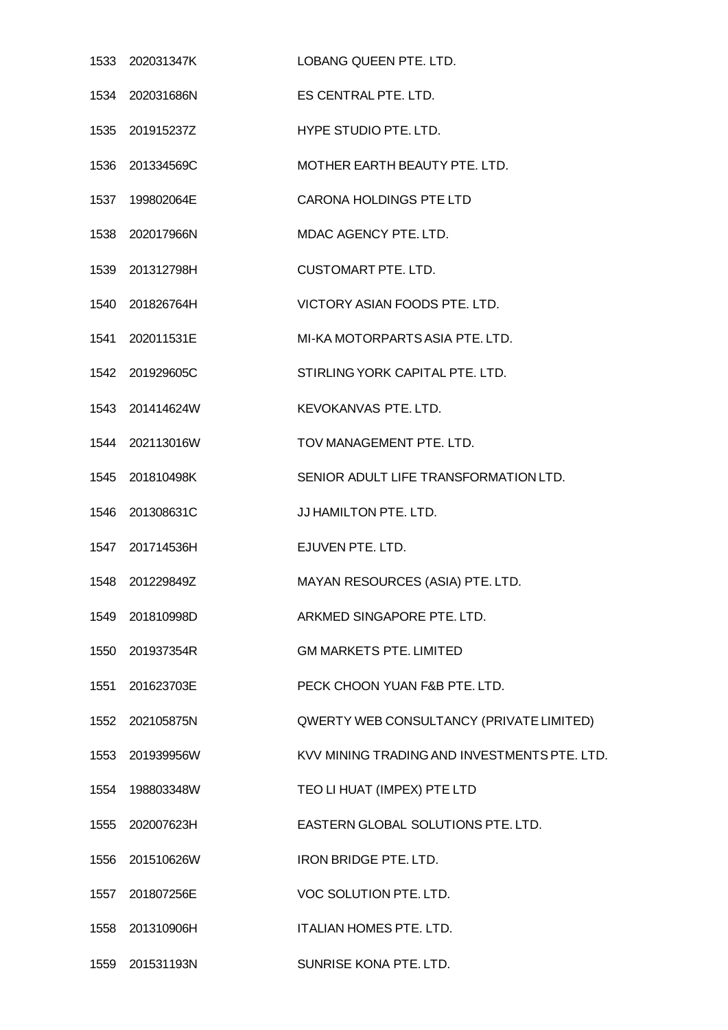| 1533 202031347K LOBANG QUEEN PTE. LTD. |                                              |
|----------------------------------------|----------------------------------------------|
| 1534 202031686N                        | ES CENTRAL PTE. LTD.                         |
| 1535 201915237Z                        | HYPE STUDIO PTE. LTD.                        |
| 1536 201334569C                        | MOTHER EARTH BEAUTY PTE. LTD.                |
| 1537 199802064E                        | <b>CARONA HOLDINGS PTE LTD</b>               |
| 1538 202017966N                        | MDAC AGENCY PTE. LTD.                        |
| 1539 201312798H                        | <b>CUSTOMART PTE. LTD.</b>                   |
| 1540 201826764H                        | VICTORY ASIAN FOODS PTE. LTD.                |
| 1541 202011531E                        | MI-KA MOTORPARTS ASIA PTE. LTD.              |
| 1542 201929605C                        | STIRLING YORK CAPITAL PTE. LTD.              |
| 1543 201414624W                        | KEVOKANVAS PTE. LTD.                         |
| 1544 202113016W                        | TOV MANAGEMENT PTE, LTD.                     |
| 1545 201810498K                        | SENIOR ADULT LIFE TRANSFORMATION LTD.        |
| 1546 201308631C                        | JJ HAMILTON PTE. LTD.                        |
| 1547 201714536H                        | EJUVEN PTE. LTD.                             |
| 1548 201229849Z                        | MAYAN RESOURCES (ASIA) PTE. LTD.             |
| 1549 201810998D                        | ARKMED SINGAPORE PTE. LTD.                   |
| 1550 201937354R                        | <b>GM MARKETS PTE. LIMITED</b>               |
| 1551 201623703E                        | PECK CHOON YUAN F&B PTE. LTD.                |
| 1552 202105875N                        | QWERTY WEB CONSULTANCY (PRIVATE LIMITED)     |
| 1553 201939956W                        | KVV MINING TRADING AND INVESTMENTS PTE. LTD. |
| 1554 198803348W                        | TEO LI HUAT (IMPEX) PTE LTD                  |
| 1555 202007623H                        | EASTERN GLOBAL SOLUTIONS PTE. LTD.           |
| 1556 201510626W                        | <b>IRON BRIDGE PTE. LTD.</b>                 |
| 1557 201807256E                        | VOC SOLUTION PTE. LTD.                       |
| 1558 201310906H                        | <b>ITALIAN HOMES PTE. LTD.</b>               |
| 1559 201531193N                        | SUNRISE KONA PTE. LTD.                       |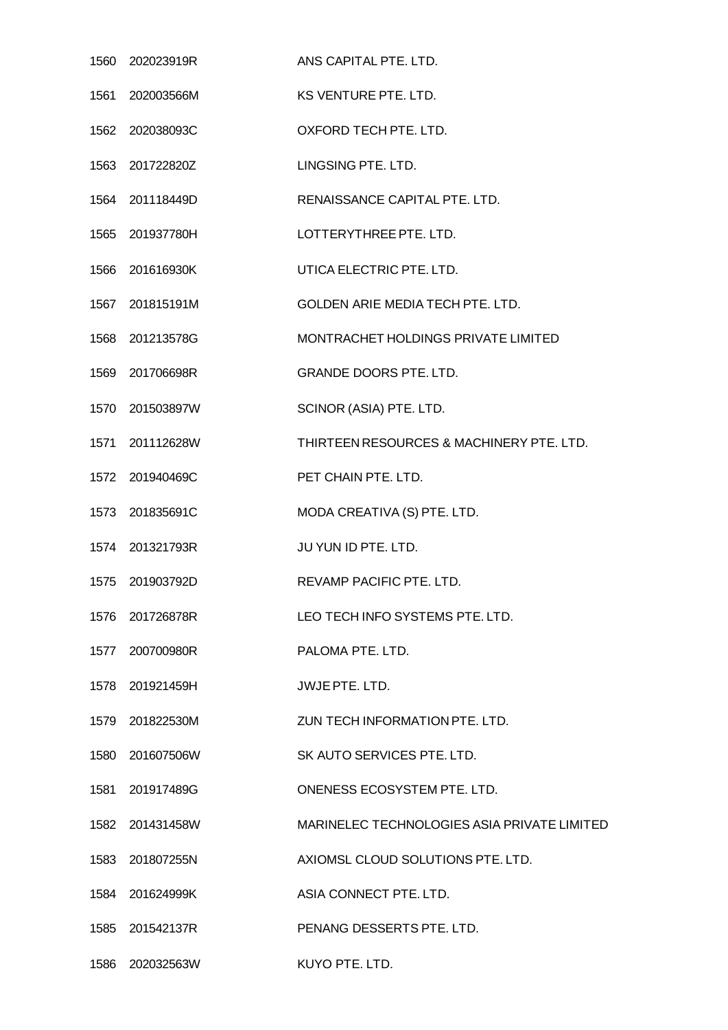| 1560 202023919R | ANS CAPITAL PTE. LTD.                       |
|-----------------|---------------------------------------------|
| 1561 202003566M | KS VENTURE PTE. LTD.                        |
| 1562 202038093C | OXFORD TECH PTE. LTD.                       |
| 1563 201722820Z | LINGSING PTE. LTD.                          |
| 1564 201118449D | RENAISSANCE CAPITAL PTE. LTD.               |
| 1565 201937780H | LOTTERYTHREE PTE. LTD.                      |
| 1566 201616930K | UTICA ELECTRIC PTE. LTD.                    |
| 1567 201815191M | GOLDEN ARIE MEDIA TECH PTE. LTD.            |
| 1568 201213578G | MONTRACHET HOLDINGS PRIVATE LIMITED         |
| 1569 201706698R | <b>GRANDE DOORS PTE. LTD.</b>               |
| 1570 201503897W | SCINOR (ASIA) PTE. LTD.                     |
| 1571 201112628W | THIRTEEN RESOURCES & MACHINERY PTE. LTD.    |
| 1572 201940469C | PET CHAIN PTE. LTD.                         |
| 1573 201835691C | MODA CREATIVA (S) PTE. LTD.                 |
| 1574 201321793R | JU YUN ID PTE. LTD.                         |
| 1575 201903792D | REVAMP PACIFIC PTE, LTD.                    |
| 1576 201726878R | LEO TECH INFO SYSTEMS PTE. LTD.             |
| 1577 200700980R | PALOMA PTE. LTD.                            |
| 1578 201921459H | JWJE PTE. LTD.                              |
| 1579 201822530M | ZUN TECH INFORMATION PTE, LTD.              |
| 1580 201607506W | SK AUTO SERVICES PTE. LTD.                  |
| 1581 201917489G | ONENESS ECOSYSTEM PTE. LTD.                 |
| 1582 201431458W | MARINELEC TECHNOLOGIES ASIA PRIVATE LIMITED |
| 1583 201807255N | AXIOMSL CLOUD SOLUTIONS PTE. LTD.           |
| 1584 201624999K | ASIA CONNECT PTE. LTD.                      |
| 1585 201542137R | PENANG DESSERTS PTE. LTD.                   |
|                 | KUYO PTE. LTD.                              |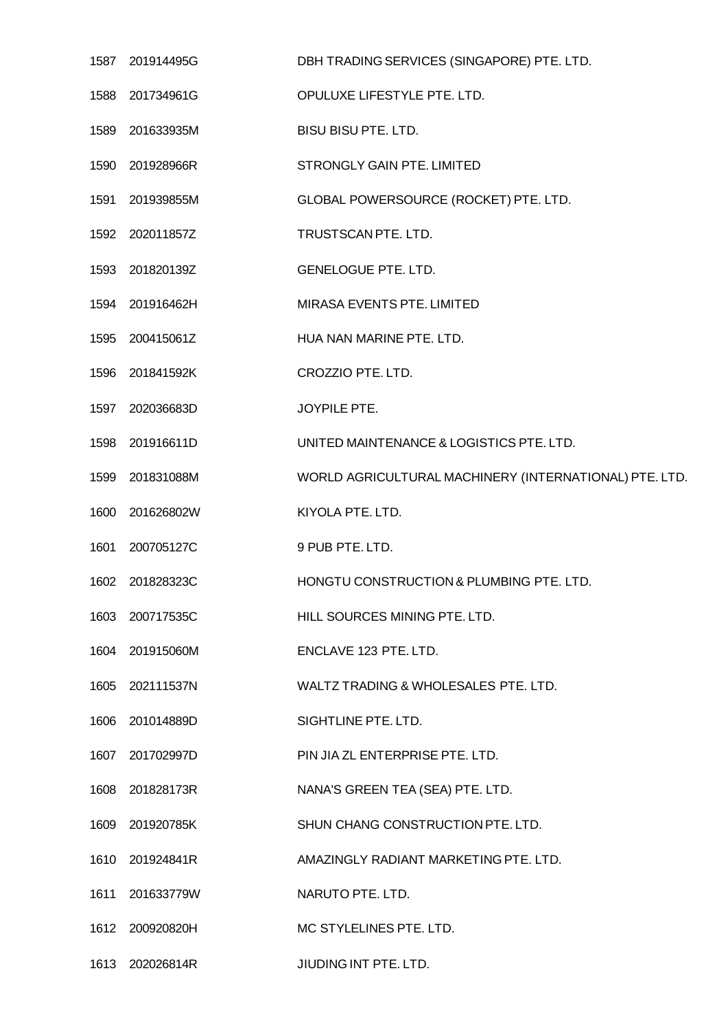| 1587 | 201914495G      | DBH TRADING SERVICES (SINGAPORE) PTE. LTD.             |
|------|-----------------|--------------------------------------------------------|
| 1588 | 201734961G      | OPULUXE LIFESTYLE PTE. LTD.                            |
|      | 1589 201633935M | BISU BISU PTE. LTD.                                    |
|      | 1590 201928966R | STRONGLY GAIN PTE. LIMITED                             |
| 1591 | 201939855M      | GLOBAL POWERSOURCE (ROCKET) PTE. LTD.                  |
|      | 1592 202011857Z | TRUSTSCAN PTE. LTD.                                    |
|      | 1593 201820139Z | <b>GENELOGUE PTE. LTD.</b>                             |
|      | 1594 201916462H | MIRASA EVENTS PTE. LIMITED                             |
|      | 1595 200415061Z | HUA NAN MARINE PTE. LTD.                               |
|      | 1596 201841592K | CROZZIO PTE. LTD.                                      |
|      | 1597 202036683D | JOYPILE PTE.                                           |
|      | 1598 201916611D | UNITED MAINTENANCE & LOGISTICS PTE. LTD.               |
| 1599 | 201831088M      | WORLD AGRICULTURAL MACHINERY (INTERNATIONAL) PTE. LTD. |
|      | 1600 201626802W | KIYOLA PTE. LTD.                                       |
| 1601 | 200705127C      | 9 PUB PTE. LTD.                                        |
|      | 1602 201828323C | HONGTU CONSTRUCTION & PLUMBING PTE. LTD.               |
|      | 1603 200717535C | HILL SOURCES MINING PTE. LTD.                          |
|      | 1604 201915060M | ENCLAVE 123 PTE. LTD.                                  |
|      | 1605 202111537N | WALTZ TRADING & WHOLESALES PTE. LTD.                   |
|      | 1606 201014889D | SIGHTLINE PTE. LTD.                                    |
|      | 1607 201702997D | PIN JIA ZL ENTERPRISE PTE. LTD.                        |
|      | 1608 201828173R | NANA'S GREEN TEA (SEA) PTE. LTD.                       |
|      | 1609 201920785K | SHUN CHANG CONSTRUCTION PTE. LTD.                      |
|      | 1610 201924841R | AMAZINGLY RADIANT MARKETING PTE. LTD.                  |
| 1611 | 201633779W      | NARUTO PTE. LTD.                                       |
|      | 1612 200920820H | MC STYLELINES PTE. LTD.                                |
|      | 1613 202026814R | JIUDING INT PTE. LTD.                                  |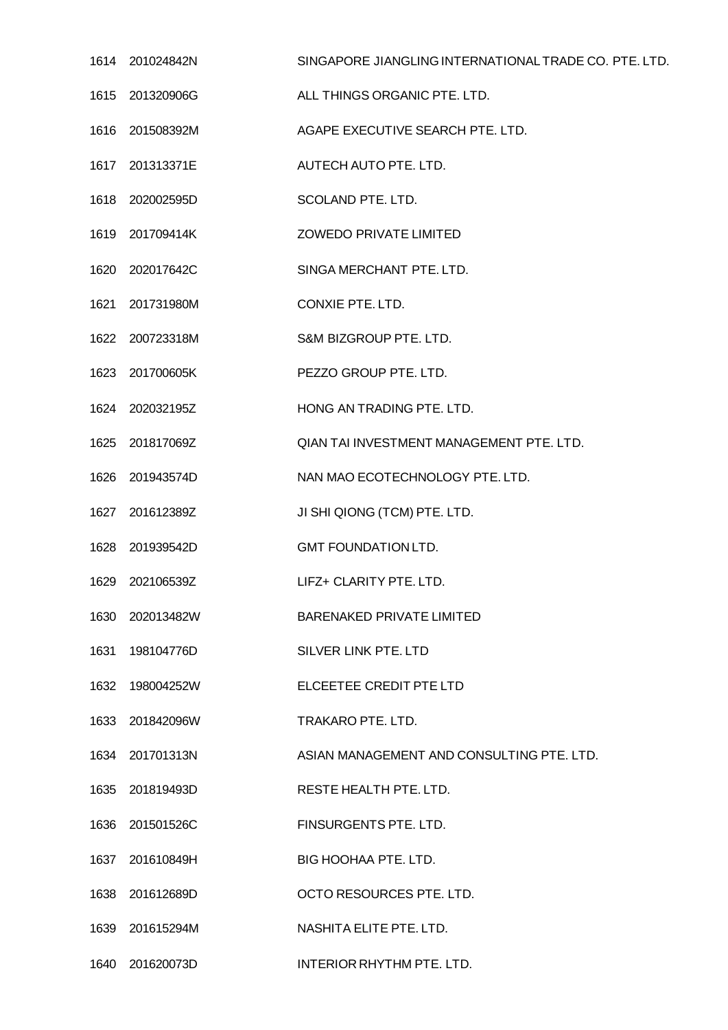|      | 1614 201024842N | SINGAPORE JIANGLING INTERNATIONAL TRADE CO. PTE. LTD. |
|------|-----------------|-------------------------------------------------------|
|      | 1615 201320906G | ALL THINGS ORGANIC PTE. LTD.                          |
|      | 1616 201508392M | AGAPE EXECUTIVE SEARCH PTE. LTD.                      |
|      | 1617 201313371E | AUTECH AUTO PTE. LTD.                                 |
|      | 1618 202002595D | SCOLAND PTE. LTD.                                     |
|      | 1619 201709414K | ZOWEDO PRIVATE LIMITED                                |
|      | 1620 202017642C | SINGA MERCHANT PTE. LTD.                              |
|      | 1621 201731980M | CONXIE PTE. LTD.                                      |
|      | 1622 200723318M | S&M BIZGROUP PTE. LTD.                                |
|      | 1623 201700605K | PEZZO GROUP PTE. LTD.                                 |
|      | 1624 202032195Z | HONG AN TRADING PTE, LTD.                             |
|      | 1625 201817069Z | QIAN TAI INVESTMENT MANAGEMENT PTE. LTD.              |
|      | 1626 201943574D | NAN MAO ECOTECHNOLOGY PTE. LTD.                       |
|      | 1627 201612389Z | JI SHI QIONG (TCM) PTE. LTD.                          |
|      | 1628 201939542D | <b>GMT FOUNDATION LTD.</b>                            |
| 1629 | 202106539Z      | LIFZ+ CLARITY PTE. LTD.                               |
|      | 1630 202013482W | <b>BARENAKED PRIVATE LIMITED</b>                      |
| 1631 | 198104776D      | SILVER LINK PTE. LTD                                  |
|      | 1632 198004252W | ELCEETEE CREDIT PTE LTD                               |
|      | 1633 201842096W | TRAKARO PTE. LTD.                                     |
|      | 1634 201701313N | ASIAN MANAGEMENT AND CONSULTING PTE. LTD.             |
|      | 1635 201819493D | RESTE HEALTH PTE. LTD.                                |
| 1636 | 201501526C      | FINSURGENTS PTE. LTD.                                 |
|      | 1637 201610849H | BIG HOOHAA PTE. LTD.                                  |
|      | 1638 201612689D | OCTO RESOURCES PTE. LTD.                              |
| 1639 | 201615294M      | NASHITA ELITE PTE. LTD.                               |
|      | 1640 201620073D | INTERIOR RHYTHM PTE. LTD.                             |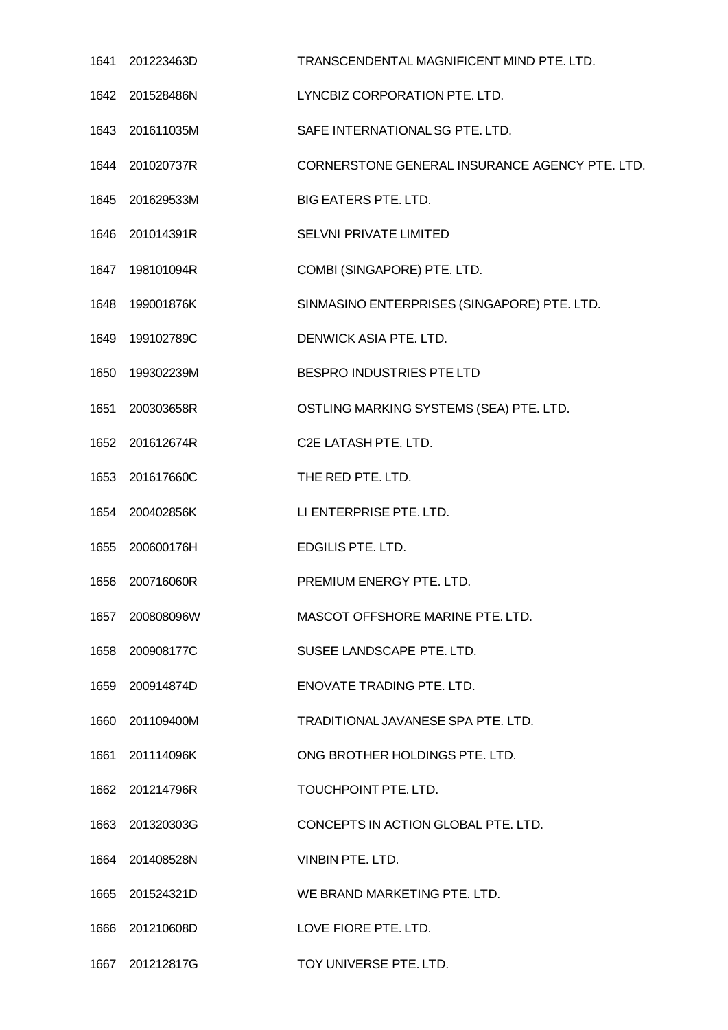|      | 1641 201223463D | TRANSCENDENTAL MAGNIFICENT MIND PTE. LTD.      |
|------|-----------------|------------------------------------------------|
|      | 1642 201528486N | LYNCBIZ CORPORATION PTE. LTD.                  |
|      | 1643 201611035M | SAFE INTERNATIONAL SG PTE. LTD.                |
|      | 1644 201020737R | CORNERSTONE GENERAL INSURANCE AGENCY PTE. LTD. |
|      | 1645 201629533M | <b>BIG EATERS PTE. LTD.</b>                    |
|      | 1646 201014391R | SELVNI PRIVATE LIMITED                         |
|      | 1647 198101094R | COMBI (SINGAPORE) PTE. LTD.                    |
|      | 1648 199001876K | SINMASINO ENTERPRISES (SINGAPORE) PTE. LTD.    |
|      | 1649 199102789C | DENWICK ASIA PTE. LTD.                         |
| 1650 | 199302239M      | BESPRO INDUSTRIES PTE LTD                      |
|      | 1651 200303658R | OSTLING MARKING SYSTEMS (SEA) PTE. LTD.        |
| 1652 | 201612674R      | C2E LATASH PTE. LTD.                           |
|      | 1653 201617660C | THE RED PTE. LTD.                              |
|      | 1654 200402856K | LI ENTERPRISE PTE. LTD.                        |
| 1655 | 200600176H      | EDGILIS PTE. LTD.                              |
| 1656 | 200716060R      | PREMIUM ENERGY PTE. LTD.                       |
| 1657 | 200808096W      | MASCOT OFFSHORE MARINE PTE. LTD.               |
|      | 1658 200908177C | SUSEE LANDSCAPE PTE. LTD.                      |
| 1659 | 200914874D      | ENOVATE TRADING PTE. LTD.                      |
| 1660 | 201109400M      | TRADITIONAL JAVANESE SPA PTE. LTD.             |
|      | 1661 201114096K | ONG BROTHER HOLDINGS PTE. LTD.                 |
| 1662 | 201214796R      | TOUCHPOINT PTE. LTD.                           |
|      | 1663 201320303G | CONCEPTS IN ACTION GLOBAL PTE. LTD.            |
|      | 1664 201408528N | VINBIN PTE. LTD.                               |
| 1665 | 201524321D      | WE BRAND MARKETING PTE, LTD.                   |
|      | 1666 201210608D | LOVE FIORE PTE. LTD.                           |
| 1667 | 201212817G      | TOY UNIVERSE PTE. LTD.                         |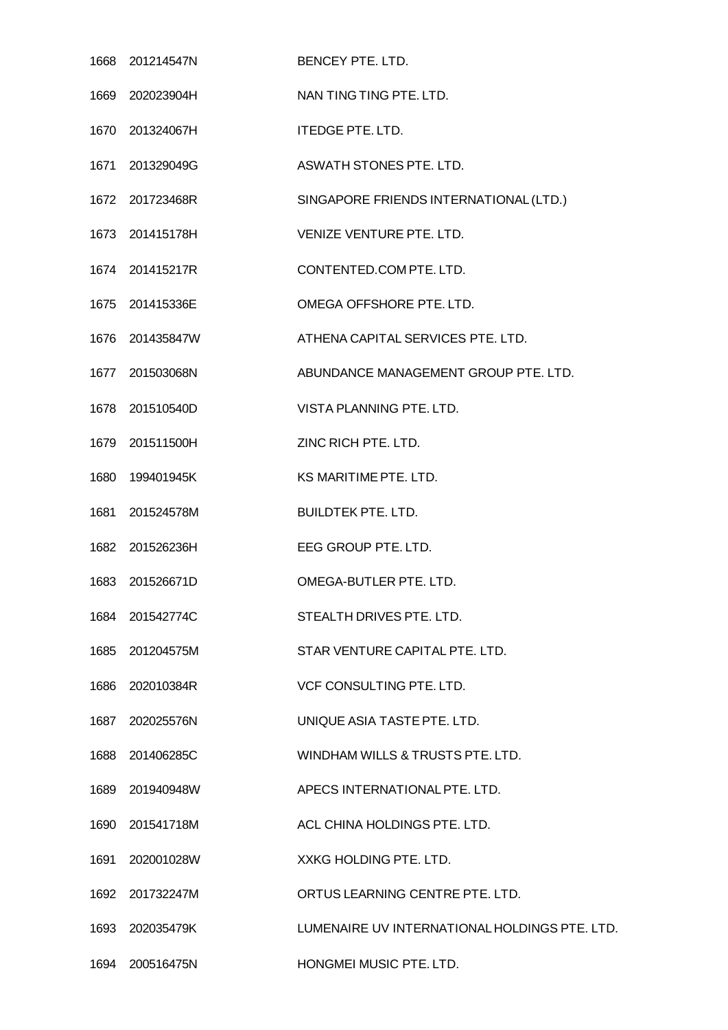| 1668 201214547N | BENCEY PTE. LTD.                              |
|-----------------|-----------------------------------------------|
| 1669 202023904H | NAN TING TING PTE. LTD.                       |
| 1670 201324067H | <b>ITEDGE PTE. LTD.</b>                       |
| 1671 201329049G | ASWATH STONES PTE. LTD.                       |
| 1672 201723468R | SINGAPORE FRIENDS INTERNATIONAL (LTD.)        |
| 1673 201415178H | VENIZE VENTURE PTE. LTD.                      |
| 1674 201415217R | CONTENTED.COM PTE. LTD.                       |
| 1675 201415336E | OMEGA OFFSHORE PTE, LTD.                      |
| 1676 201435847W | ATHENA CAPITAL SERVICES PTE, LTD.             |
| 1677 201503068N | ABUNDANCE MANAGEMENT GROUP PTE. LTD.          |
| 1678 201510540D | VISTA PLANNING PTE, LTD.                      |
| 1679 201511500H | ZINC RICH PTE, LTD.                           |
| 1680 199401945K | KS MARITIME PTE. LTD.                         |
| 1681 201524578M | <b>BUILDTEK PTE. LTD.</b>                     |
| 1682 201526236H | EEG GROUP PTE. LTD.                           |
| 1683 201526671D | OMEGA-BUTLER PTE. LTD.                        |
| 1684 201542774C | STEALTH DRIVES PTE, LTD.                      |
| 1685 201204575M | STAR VENTURE CAPITAL PTE. LTD.                |
| 1686 202010384R | VCF CONSULTING PTE. LTD.                      |
| 1687 202025576N | UNIQUE ASIA TASTE PTE, LTD.                   |
| 1688 201406285C | WINDHAM WILLS & TRUSTS PTE. LTD.              |
| 1689 201940948W | APECS INTERNATIONAL PTE. LTD.                 |
| 1690 201541718M | ACL CHINA HOLDINGS PTE. LTD.                  |
| 1691 202001028W | XXKG HOLDING PTE. LTD.                        |
| 1692 201732247M | ORTUS LEARNING CENTRE PTE. LTD.               |
| 1693 202035479K | LUMENAIRE UV INTERNATIONAL HOLDINGS PTE. LTD. |
| 1694 200516475N | HONGMEI MUSIC PTE. LTD.                       |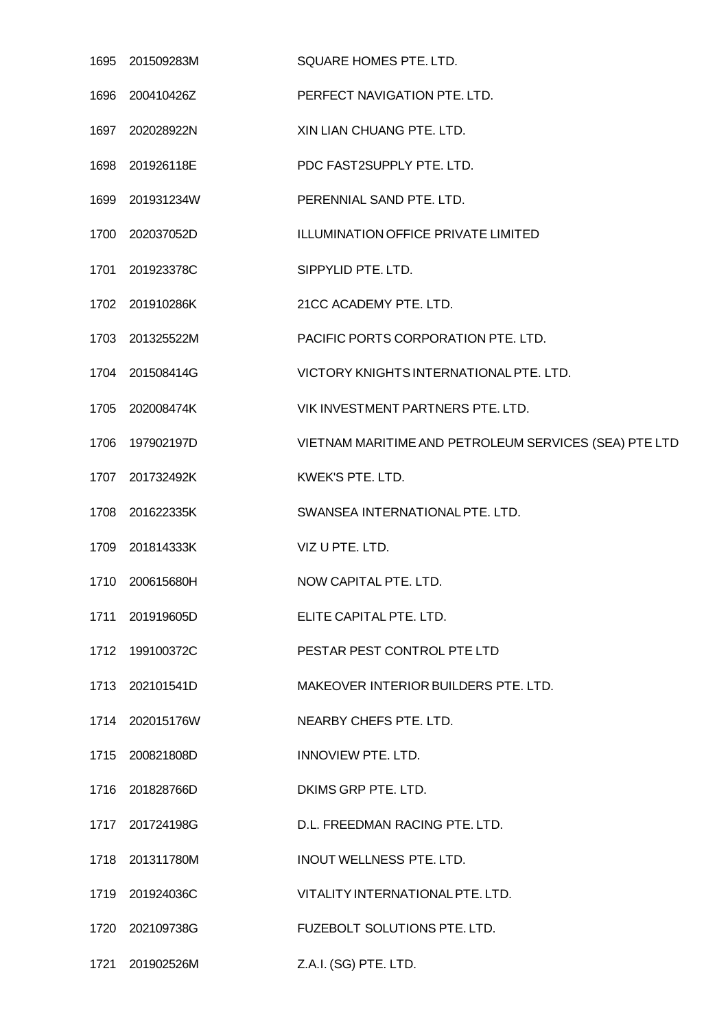| 1695 201509283M | SQUARE HOMES PTE. LTD.                                |
|-----------------|-------------------------------------------------------|
| 1696 200410426Z | PERFECT NAVIGATION PTE. LTD.                          |
| 1697 202028922N | XIN LIAN CHUANG PTE. LTD.                             |
| 1698 201926118E | PDC FAST2SUPPLY PTE. LTD.                             |
| 1699 201931234W | PERENNIAL SAND PTE, LTD.                              |
| 1700 202037052D | ILLUMINATION OFFICE PRIVATE LIMITED                   |
| 1701 201923378C | SIPPYLID PTE. LTD.                                    |
| 1702 201910286K | 21CC ACADEMY PTE. LTD.                                |
| 1703 201325522M | PACIFIC PORTS CORPORATION PTE. LTD.                   |
| 1704 201508414G | VICTORY KNIGHTS INTERNATIONAL PTE. LTD.               |
| 1705 202008474K | VIK INVESTMENT PARTNERS PTE. LTD.                     |
| 1706 197902197D | VIETNAM MARITIME AND PETROLEUM SERVICES (SEA) PTE LTD |
| 1707 201732492K | KWEK'S PTE. LTD.                                      |
| 1708 201622335K | SWANSEA INTERNATIONAL PTE. LTD.                       |
| 1709 201814333K | VIZ U PTE. LTD.                                       |
| 1710 200615680H | NOW CAPITAL PTE. LTD.                                 |
| 1711 201919605D | ELITE CAPITAL PTE. LTD.                               |
| 1712 199100372C | PESTAR PEST CONTROL PTE LTD                           |
| 1713 202101541D | MAKEOVER INTERIOR BUILDERS PTE, LTD.                  |
| 1714 202015176W | NEARBY CHEFS PTE. LTD.                                |
| 1715 200821808D | <b>INNOVIEW PTE. LTD.</b>                             |
| 1716 201828766D | DKIMS GRP PTE. LTD.                                   |
| 1717 201724198G | D.L. FREEDMAN RACING PTE. LTD.                        |
| 1718 201311780M | INOUT WELLNESS PTE. LTD.                              |
| 1719 201924036C | VITALITY INTERNATIONAL PTE. LTD.                      |
| 1720 202109738G | FUZEBOLT SOLUTIONS PTE. LTD.                          |
| 1721 201902526M | Z.A.I. (SG) PTE. LTD.                                 |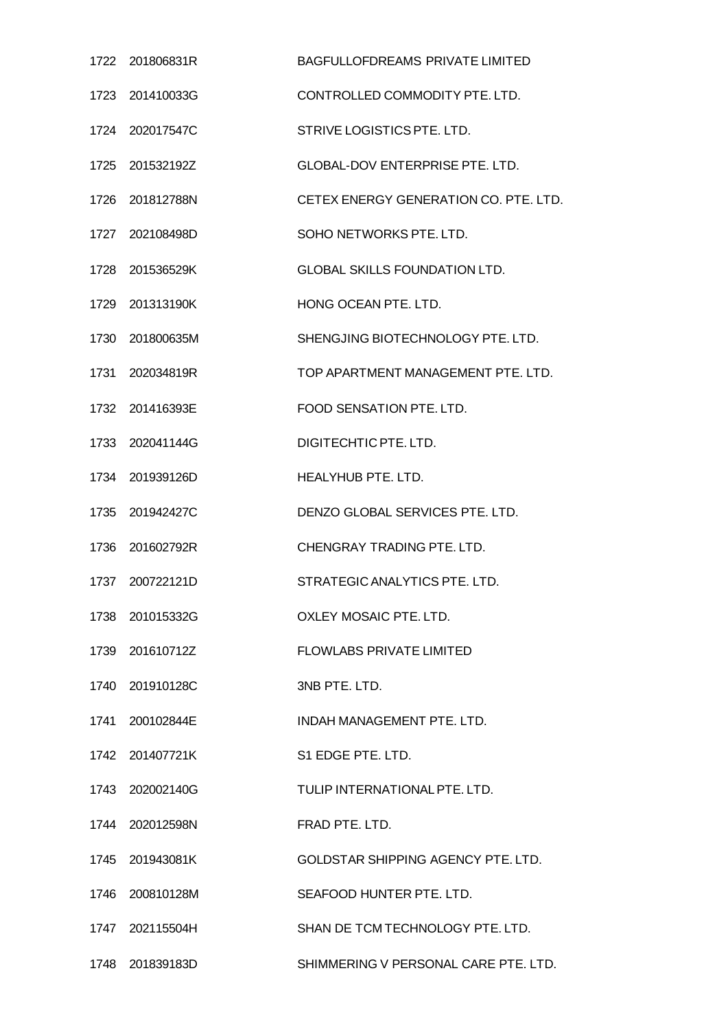|      | 1722 201806831R | <b>BAGFULLOFDREAMS PRIVATE LIMITED</b>    |
|------|-----------------|-------------------------------------------|
| 1723 | 201410033G      | CONTROLLED COMMODITY PTE. LTD.            |
|      | 1724 202017547C | STRIVE LOGISTICS PTE. LTD.                |
|      | 1725 201532192Z | GLOBAL-DOV ENTERPRISE PTE. LTD.           |
| 1726 | 201812788N      | CETEX ENERGY GENERATION CO. PTE. LTD.     |
|      | 1727 202108498D | SOHO NETWORKS PTE. LTD.                   |
|      | 1728 201536529K | <b>GLOBAL SKILLS FOUNDATION LTD.</b>      |
| 1729 | 201313190K      | HONG OCEAN PTE. LTD.                      |
|      | 1730 201800635M | SHENGJING BIOTECHNOLOGY PTE. LTD.         |
| 1731 | 202034819R      | TOP APARTMENT MANAGEMENT PTE. LTD.        |
|      | 1732 201416393E | FOOD SENSATION PTE, LTD.                  |
|      | 1733 202041144G | DIGITECHTIC PTE. LTD.                     |
| 1734 | 201939126D      | HEALYHUB PTE. LTD.                        |
|      | 1735 201942427C | DENZO GLOBAL SERVICES PTE. LTD.           |
| 1736 | 201602792R      | CHENGRAY TRADING PTE, LTD.                |
| 1737 | 200722121D      | STRATEGIC ANALYTICS PTE. LTD.             |
|      | 1738 201015332G | OXLEY MOSAIC PTE. LTD.                    |
|      | 1739 201610712Z | <b>FLOWLABS PRIVATE LIMITED</b>           |
|      | 1740 201910128C | 3NB PTE. LTD.                             |
|      | 1741 200102844E | INDAH MANAGEMENT PTE. LTD.                |
|      | 1742 201407721K | S1 EDGE PTE. LTD.                         |
|      | 1743 202002140G | TULIP INTERNATIONAL PTE. LTD.             |
| 1744 | 202012598N      | FRAD PTE. LTD.                            |
|      | 1745 201943081K | <b>GOLDSTAR SHIPPING AGENCY PTE, LTD.</b> |
|      | 1746 200810128M | SEAFOOD HUNTER PTE. LTD.                  |
|      | 1747 202115504H | SHAN DE TCM TECHNOLOGY PTE. LTD.          |
|      | 1748 201839183D | SHIMMERING V PERSONAL CARE PTE. LTD.      |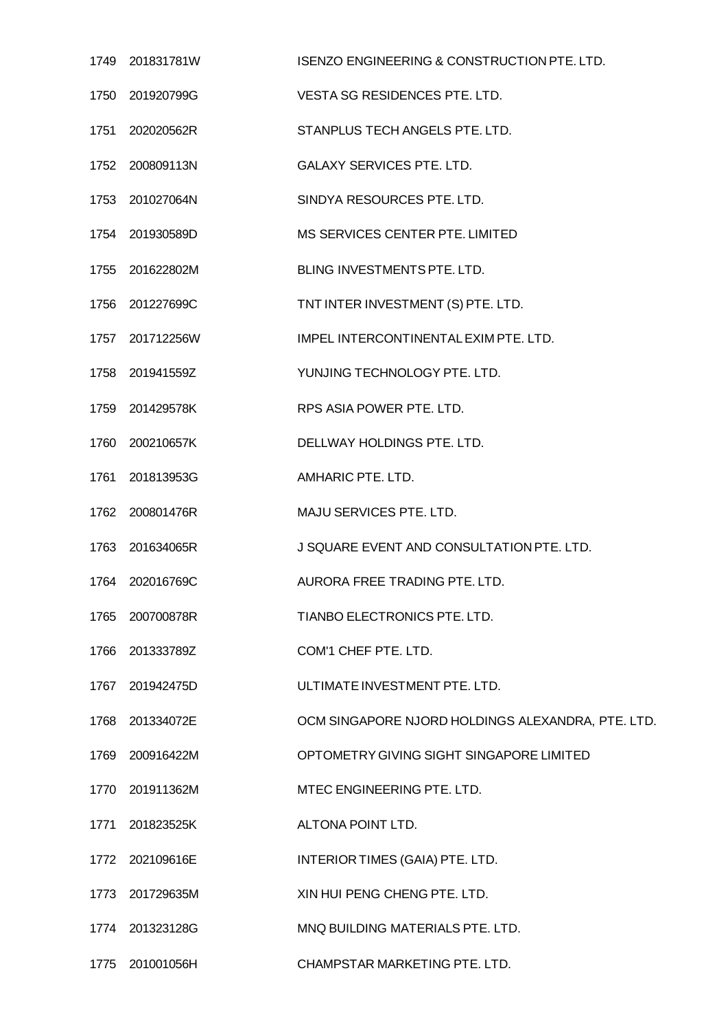|      | 1749 201831781W | ISENZO ENGINEERING & CONSTRUCTION PTE. LTD.       |
|------|-----------------|---------------------------------------------------|
|      | 1750 201920799G | VESTA SG RESIDENCES PTE. LTD.                     |
|      | 1751 202020562R | STANPLUS TECH ANGELS PTE. LTD.                    |
|      | 1752 200809113N | <b>GALAXY SERVICES PTE. LTD.</b>                  |
|      | 1753 201027064N | SINDYA RESOURCES PTE. LTD.                        |
|      | 1754 201930589D | MS SERVICES CENTER PTE. LIMITED                   |
|      | 1755 201622802M | BLING INVESTMENTS PTE. LTD.                       |
|      | 1756 201227699C | TNT INTER INVESTMENT (S) PTE. LTD.                |
|      | 1757 201712256W | IMPEL INTERCONTINENTAL EXIMPTE. LTD.              |
|      | 1758 201941559Z | YUNJING TECHNOLOGY PTE. LTD.                      |
|      | 1759 201429578K | RPS ASIA POWER PTE. LTD.                          |
|      | 1760 200210657K | DELLWAY HOLDINGS PTE. LTD.                        |
| 1761 | 201813953G      | AMHARIC PTE. LTD.                                 |
|      | 1762 200801476R | MAJU SERVICES PTE. LTD.                           |
| 1763 | 201634065R      | J SQUARE EVENT AND CONSULTATION PTE. LTD.         |
| 1764 | 202016769C      | AURORA FREE TRADING PTE. LTD.                     |
| 1765 | 200700878R      | TIANBO ELECTRONICS PTE. LTD.                      |
| 1766 | 201333789Z      | COM'1 CHEF PTE. LTD.                              |
|      | 1767 201942475D | ULTIMATE INVESTMENT PTE. LTD.                     |
|      | 1768 201334072E | OCM SINGAPORE NJORD HOLDINGS ALEXANDRA, PTE. LTD. |
|      | 1769 200916422M | OPTOMETRY GIVING SIGHT SINGAPORE LIMITED          |
|      | 1770 201911362M | MTEC ENGINEERING PTE. LTD.                        |
|      | 1771 201823525K | ALTONA POINT LTD.                                 |
|      | 1772 202109616E | INTERIOR TIMES (GAIA) PTE. LTD.                   |
| 1773 | 201729635M      | XIN HUI PENG CHENG PTE. LTD.                      |
|      | 1774 201323128G | MNQ BUILDING MATERIALS PTE. LTD.                  |
|      | 1775 201001056H | CHAMPSTAR MARKETING PTE. LTD.                     |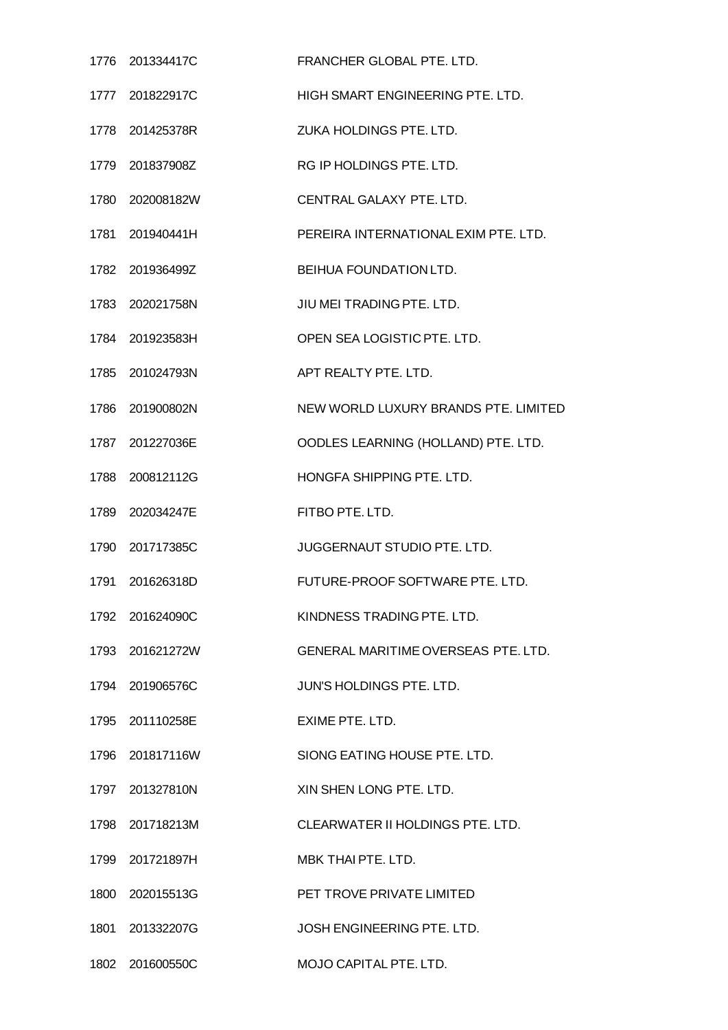|      | 1776 201334417C | FRANCHER GLOBAL PTE. LTD.                  |
|------|-----------------|--------------------------------------------|
|      | 1777 201822917C | HIGH SMART ENGINEERING PTE. LTD.           |
|      | 1778 201425378R | ZUKA HOLDINGS PTE, LTD.                    |
|      | 1779 201837908Z | RG IP HOLDINGS PTE. LTD.                   |
| 1780 | 202008182W      | CENTRAL GALAXY PTE, LTD.                   |
|      | 1781 201940441H | PEREIRA INTERNATIONAL EXIM PTE. LTD.       |
|      | 1782 201936499Z | BEIHUA FOUNDATION LTD.                     |
|      | 1783 202021758N | JIU MEI TRADING PTE. LTD.                  |
|      | 1784 201923583H | OPEN SEA LOGISTIC PTE. LTD.                |
|      | 1785 201024793N | APT REALTY PTE. LTD.                       |
|      | 1786 201900802N | NEW WORLD LUXURY BRANDS PTE. LIMITED       |
|      | 1787 201227036E | OODLES LEARNING (HOLLAND) PTE. LTD.        |
| 1788 | 200812112G      | HONGFA SHIPPING PTE, LTD.                  |
|      | 1789 202034247E | FITBO PTE. LTD.                            |
|      | 1790 201717385C | <b>JUGGERNAUT STUDIO PTE, LTD.</b>         |
|      | 1791 201626318D | FUTURE-PROOF SOFTWARE PTE. LTD.            |
|      | 1792 201624090C | KINDNESS TRADING PTE, LTD.                 |
|      | 1793 201621272W | <b>GENERAL MARITIME OVERSEAS PTE. LTD.</b> |
|      | 1794 201906576C | JUN'S HOLDINGS PTE. LTD.                   |
|      | 1795 201110258E | EXIME PTE. LTD.                            |
|      | 1796 201817116W | SIONG EATING HOUSE PTE, LTD.               |
|      | 1797 201327810N | XIN SHEN LONG PTE. LTD.                    |
|      | 1798 201718213M | CLEARWATER II HOLDINGS PTE. LTD.           |
|      | 1799 201721897H | <b>MBK THAI PTE, LTD.</b>                  |
|      | 1800 202015513G | PET TROVE PRIVATE LIMITED                  |
|      | 1801 201332207G | JOSH ENGINEERING PTE. LTD.                 |
|      | 1802 201600550C | MOJO CAPITAL PTE. LTD.                     |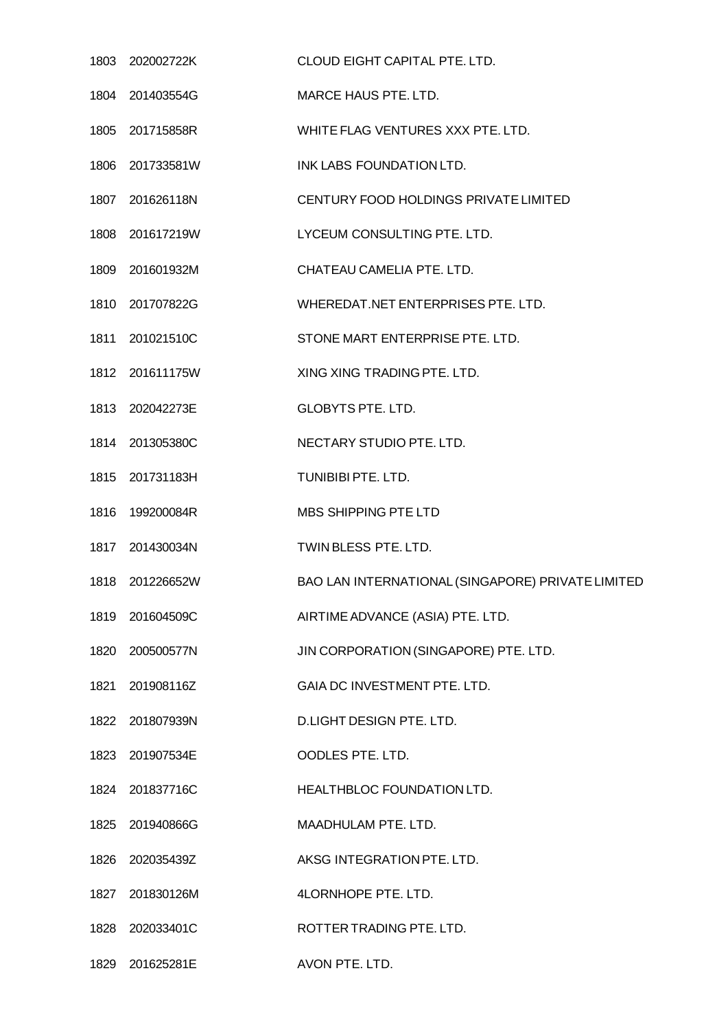|      | 1803 202002722K | CLOUD EIGHT CAPITAL PTE. LTD.                     |
|------|-----------------|---------------------------------------------------|
|      | 1804 201403554G | MARCE HAUS PTE. LTD.                              |
|      | 1805 201715858R | WHITE FLAG VENTURES XXX PTE. LTD.                 |
|      | 1806 201733581W | INK LABS FOUNDATION LTD.                          |
|      | 1807 201626118N | CENTURY FOOD HOLDINGS PRIVATE LIMITED             |
|      | 1808 201617219W | LYCEUM CONSULTING PTE. LTD.                       |
|      | 1809 201601932M | CHATEAU CAMELIA PTE. LTD.                         |
|      | 1810 201707822G | WHEREDAT.NET ENTERPRISES PTE. LTD.                |
|      | 1811 201021510C | STONE MART ENTERPRISE PTE. LTD.                   |
|      | 1812 201611175W | XING XING TRADING PTE. LTD.                       |
|      | 1813 202042273E | <b>GLOBYTS PTE. LTD.</b>                          |
|      | 1814 201305380C | NECTARY STUDIO PTE. LTD.                          |
|      | 1815 201731183H | TUNIBIBI PTE. LTD.                                |
|      | 1816 199200084R | MBS SHIPPING PTE LTD                              |
|      | 1817 201430034N | TWINBLESS PTE. LTD.                               |
| 1818 | 201226652W      | BAO LAN INTERNATIONAL (SINGAPORE) PRIVATE LIMITED |
|      | 1819 201604509C | AIRTIME ADVANCE (ASIA) PTE. LTD.                  |
|      | 1820 200500577N | JIN CORPORATION (SINGAPORE) PTE. LTD.             |
|      | 1821 201908116Z | GAIA DC INVESTMENT PTE. LTD.                      |
|      | 1822 201807939N | D.LIGHT DESIGN PTE. LTD.                          |
|      | 1823 201907534E | OODLES PTE. LTD.                                  |
|      | 1824 201837716C | HEALTHBLOC FOUNDATION LTD.                        |
|      | 1825 201940866G | MAADHULAM PTE. LTD.                               |
|      | 1826 202035439Z | AKSG INTEGRATION PTE. LTD.                        |
| 1827 | 201830126M      | 4LORNHOPE PTE. LTD.                               |
| 1828 | 202033401C      | ROTTER TRADING PTE. LTD.                          |
| 1829 | 201625281E      | AVON PTE. LTD.                                    |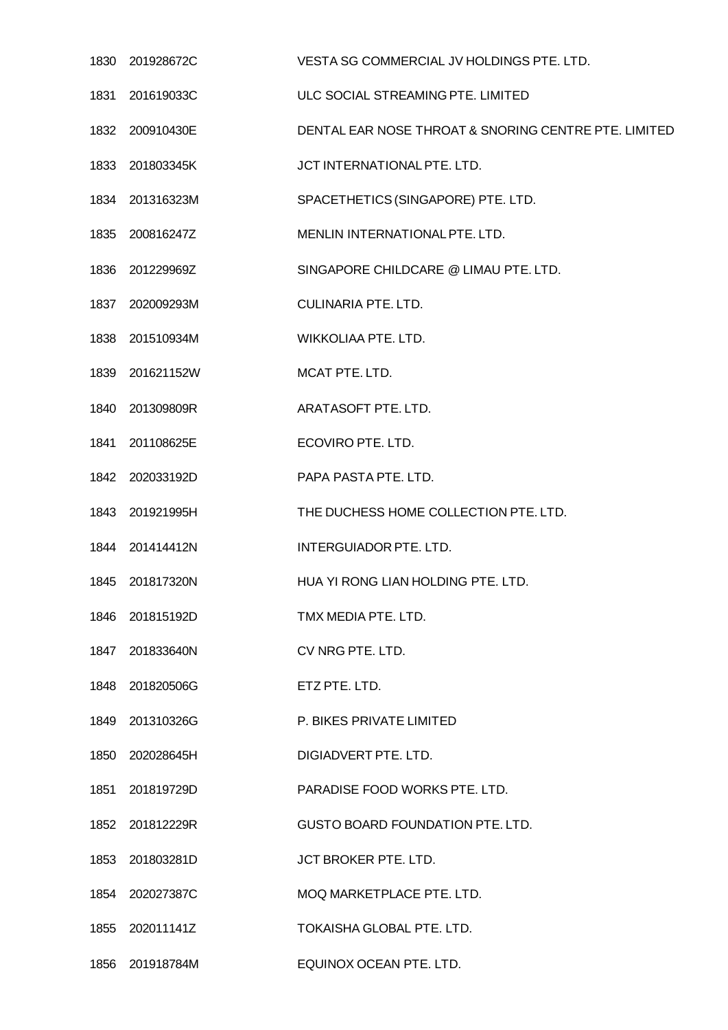| 1830 201928672C | VESTA SG COMMERCIAL JV HOLDINGS PTE. LTD.            |
|-----------------|------------------------------------------------------|
| 1831 201619033C | ULC SOCIAL STREAMING PTE. LIMITED                    |
| 1832 200910430E | DENTAL EAR NOSE THROAT & SNORING CENTRE PTE. LIMITED |
| 1833 201803345K | JCT INTERNATIONAL PTE. LTD.                          |
| 1834 201316323M | SPACETHETICS (SINGAPORE) PTE. LTD.                   |
| 1835 200816247Z | MENLIN INTERNATIONAL PTE. LTD.                       |
| 1836 201229969Z | SINGAPORE CHILDCARE @ LIMAU PTE. LTD.                |
| 1837 202009293M | <b>CULINARIA PTE. LTD.</b>                           |
| 1838 201510934M | WIKKOLIAA PTE. LTD.                                  |
| 1839 201621152W | MCAT PTE. LTD.                                       |
| 1840 201309809R | ARATASOFT PTE. LTD.                                  |
| 1841 201108625E | ECOVIRO PTE. LTD.                                    |
| 1842 202033192D | PAPA PASTA PTE. LTD.                                 |
| 1843 201921995H | THE DUCHESS HOME COLLECTION PTE. LTD.                |
| 1844 201414412N | <b>INTERGUIADOR PTE. LTD.</b>                        |
| 1845 201817320N | HUA YI RONG LIAN HOLDING PTE. LTD.                   |
| 1846 201815192D | TMX MEDIA PTE. LTD.                                  |
| 1847 201833640N | CV NRG PTE. LTD.                                     |
| 1848 201820506G | ETZ PTE. LTD.                                        |
| 1849 201310326G | P. BIKES PRIVATE LIMITED                             |
| 1850 202028645H | DIGIADVERT PTE. LTD.                                 |
| 1851 201819729D | PARADISE FOOD WORKS PTE. LTD.                        |
| 1852 201812229R | GUSTO BOARD FOUNDATION PTE. LTD.                     |
| 1853 201803281D | JCT BROKER PTE. LTD.                                 |
| 1854 202027387C | MOQ MARKETPLACE PTE. LTD.                            |
| 1855 202011141Z | TOKAISHA GLOBAL PTE. LTD.                            |
| 1856 201918784M | EQUINOX OCEAN PTE. LTD.                              |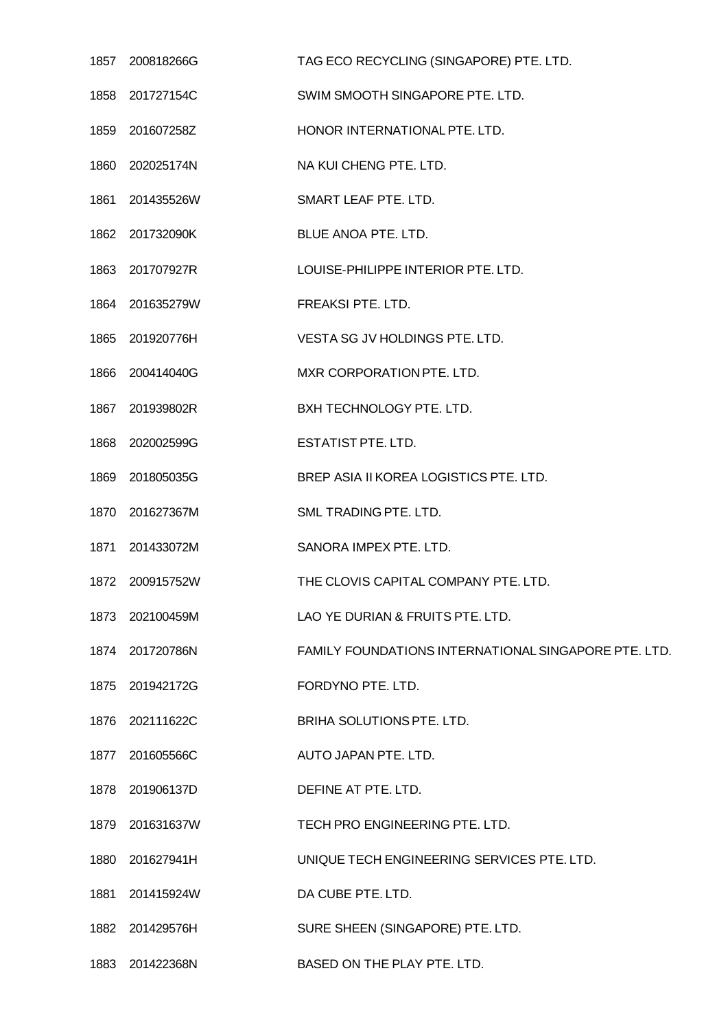|      | 1857 200818266G | TAG ECO RECYCLING (SINGAPORE) PTE. LTD.              |
|------|-----------------|------------------------------------------------------|
| 1858 | 201727154C      | SWIM SMOOTH SINGAPORE PTE. LTD.                      |
|      | 1859 201607258Z | HONOR INTERNATIONAL PTE. LTD.                        |
|      | 1860 202025174N | NA KUI CHENG PTE. LTD.                               |
| 1861 | 201435526W      | SMART LEAF PTE, LTD.                                 |
|      | 1862 201732090K | BLUE ANOA PTE. LTD.                                  |
|      | 1863 201707927R | LOUISE-PHILIPPE INTERIOR PTE. LTD.                   |
|      | 1864 201635279W | FREAKSI PTE. LTD.                                    |
|      | 1865 201920776H | VESTA SG JV HOLDINGS PTE. LTD.                       |
| 1866 | 200414040G      | MXR CORPORATION PTE. LTD.                            |
|      | 1867 201939802R | BXH TECHNOLOGY PTE. LTD.                             |
| 1868 | 202002599G      | <b>ESTATIST PTE. LTD.</b>                            |
| 1869 | 201805035G      | BREP ASIA II KOREA LOGISTICS PTE. LTD.               |
|      | 1870 201627367M | SML TRADING PTE. LTD.                                |
| 1871 | 201433072M      | SANORA IMPEX PTE. LTD.                               |
| 1872 | 200915752W      | THE CLOVIS CAPITAL COMPANY PTE. LTD.                 |
|      | 1873 202100459M | LAO YE DURIAN & FRUITS PTE. LTD.                     |
|      | 1874 201720786N | FAMILY FOUNDATIONS INTERNATIONAL SINGAPORE PTE. LTD. |
|      | 1875 201942172G | FORDYNO PTE. LTD.                                    |
|      | 1876 202111622C | BRIHA SOLUTIONS PTE. LTD.                            |
|      | 1877 201605566C | AUTO JAPAN PTE. LTD.                                 |
| 1878 | 201906137D      | DEFINE AT PTE. LTD.                                  |
|      | 1879 201631637W | TECH PRO ENGINEERING PTE. LTD.                       |
|      | 1880 201627941H | UNIQUE TECH ENGINEERING SERVICES PTE. LTD.           |
| 1881 | 201415924W      | DA CUBE PTE. LTD.                                    |
|      | 1882 201429576H | SURE SHEEN (SINGAPORE) PTE. LTD.                     |
|      | 1883 201422368N | BASED ON THE PLAY PTE. LTD.                          |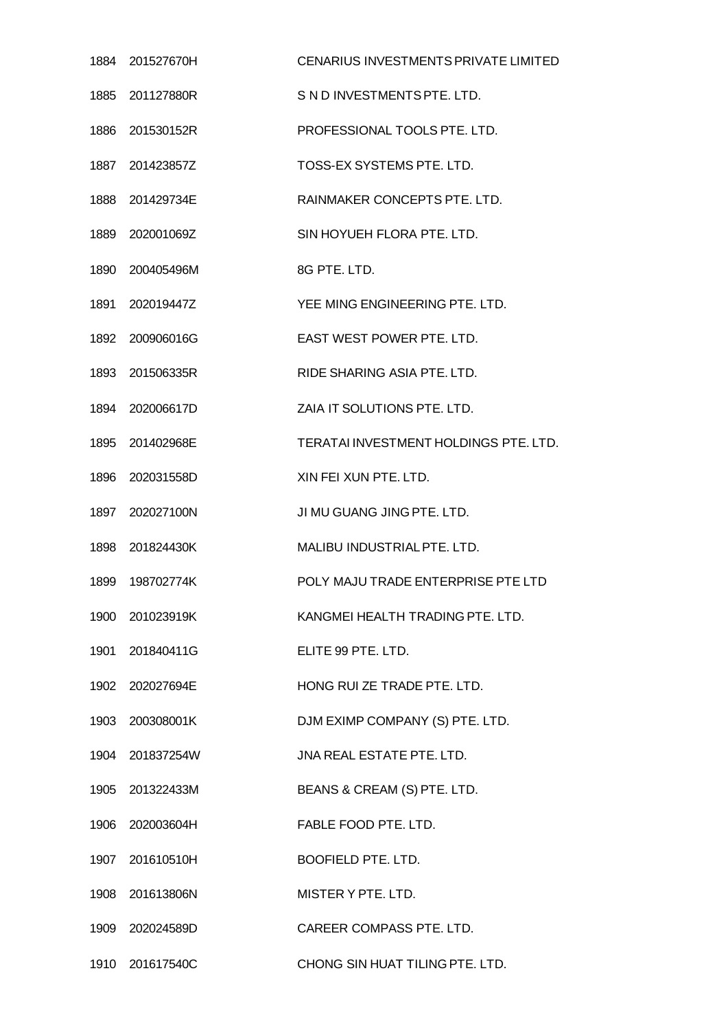| 1884 201527670H | CENARIUS INVESTMENTS PRIVATE LIMITED  |
|-----------------|---------------------------------------|
| 1885 201127880R | S N D INVESTMENTS PTE, LTD.           |
| 1886 201530152R | PROFESSIONAL TOOLS PTE. LTD.          |
| 1887 201423857Z | TOSS-EX SYSTEMS PTE. LTD.             |
| 1888 201429734E | RAINMAKER CONCEPTS PTE, LTD.          |
| 1889 202001069Z | SIN HOYUEH FLORA PTE. LTD.            |
| 1890 200405496M | 8G PTE. LTD.                          |
| 1891 202019447Z | YEE MING ENGINEERING PTE. LTD.        |
| 1892 200906016G | EAST WEST POWER PTE. LTD.             |
| 1893 201506335R | RIDE SHARING ASIA PTE, LTD.           |
| 1894 202006617D | ZAIA IT SOLUTIONS PTE. LTD.           |
| 1895 201402968E | TERATAI INVESTMENT HOLDINGS PTE. LTD. |
| 1896 202031558D | XIN FEI XUN PTE, LTD.                 |
| 1897 202027100N | JI MU GUANG JING PTE. LTD.            |
| 1898 201824430K | MALIBU INDUSTRIAL PTE. LTD.           |
| 1899 198702774K | POLY MAJU TRADE ENTERPRISE PTE LTD    |
| 1900 201023919K | KANGMEI HEALTH TRADING PTE. LTD.      |
| 1901 201840411G | ELITE 99 PTE. LTD.                    |
| 1902 202027694E | HONG RUI ZE TRADE PTE. LTD.           |
| 1903 200308001K | DJM EXIMP COMPANY (S) PTE. LTD.       |
| 1904 201837254W | JNA REAL ESTATE PTE. LTD.             |
| 1905 201322433M | BEANS & CREAM (S) PTE. LTD.           |
| 1906 202003604H | FABLE FOOD PTE. LTD.                  |
| 1907 201610510H | BOOFIELD PTE. LTD.                    |
| 1908 201613806N | MISTER Y PTE. LTD.                    |
| 1909 202024589D | CAREER COMPASS PTE. LTD.              |
| 1910 201617540C | CHONG SIN HUAT TILING PTE. LTD.       |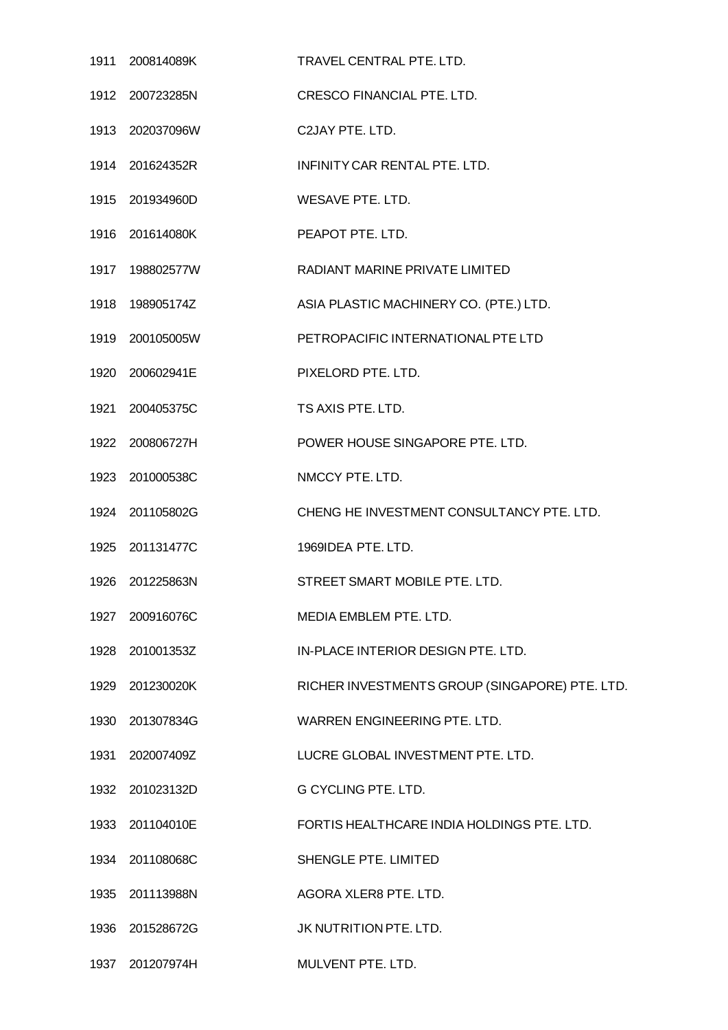|      | 1911 200814089K  | TRAVEL CENTRAL PTE. LTD.                       |
|------|------------------|------------------------------------------------|
|      | 1912 200723285N  | <b>CRESCO FINANCIAL PTE, LTD.</b>              |
|      | 1913 202037096W  | C2JAY PTE, LTD.                                |
|      | 1914 201624352R  | INFINITY CAR RENTAL PTE, LTD.                  |
|      | 1915 201934960D  | WESAVE PTE. LTD.                               |
|      |                  | PEAPOT PTE. LTD.                               |
|      | 1917  198802577W | RADIANT MARINE PRIVATE LIMITED                 |
|      | 1918  198905174Z | ASIA PLASTIC MACHINERY CO. (PTE.) LTD.         |
|      | 1919 200105005W  | PETROPACIFIC INTERNATIONAL PTE LTD             |
|      | 1920 200602941E  | PIXELORD PTE, LTD.                             |
|      | 1921 200405375C  | TS AXIS PTE. LTD.                              |
|      | 1922 200806727H  | POWER HOUSE SINGAPORE PTE. LTD.                |
|      | 1923 201000538C  | NMCCY PTE. LTD.                                |
|      | 1924 201105802G  | CHENG HE INVESTMENT CONSULTANCY PTE. LTD.      |
|      | 1925 201131477C  | 1969IDEA PTE, LTD.                             |
|      | 1926 201225863N  | STREET SMART MOBILE PTE, LTD.                  |
|      | 1927 200916076C  | MEDIA EMBLEM PTE. LTD.                         |
|      | 1928 201001353Z  | IN-PLACE INTERIOR DESIGN PTE. LTD.             |
|      | 1929 201230020K  | RICHER INVESTMENTS GROUP (SINGAPORE) PTE. LTD. |
|      | 1930 201307834G  | WARREN ENGINEERING PTE, LTD.                   |
|      | 1931 202007409Z  | LUCRE GLOBAL INVESTMENT PTE. LTD.              |
|      | 1932 201023132D  | <b>G CYCLING PTE. LTD.</b>                     |
|      | 1933 201104010E  | FORTIS HEALTHCARE INDIA HOLDINGS PTE. LTD.     |
|      | 1934 201108068C  | SHENGLE PTE. LIMITED                           |
|      | 1935 201113988N  | AGORA XLER8 PTE. LTD.                          |
|      | 1936 201528672G  | JK NUTRITION PTE. LTD.                         |
| 1937 | 201207974H       | MULVENT PTE. LTD.                              |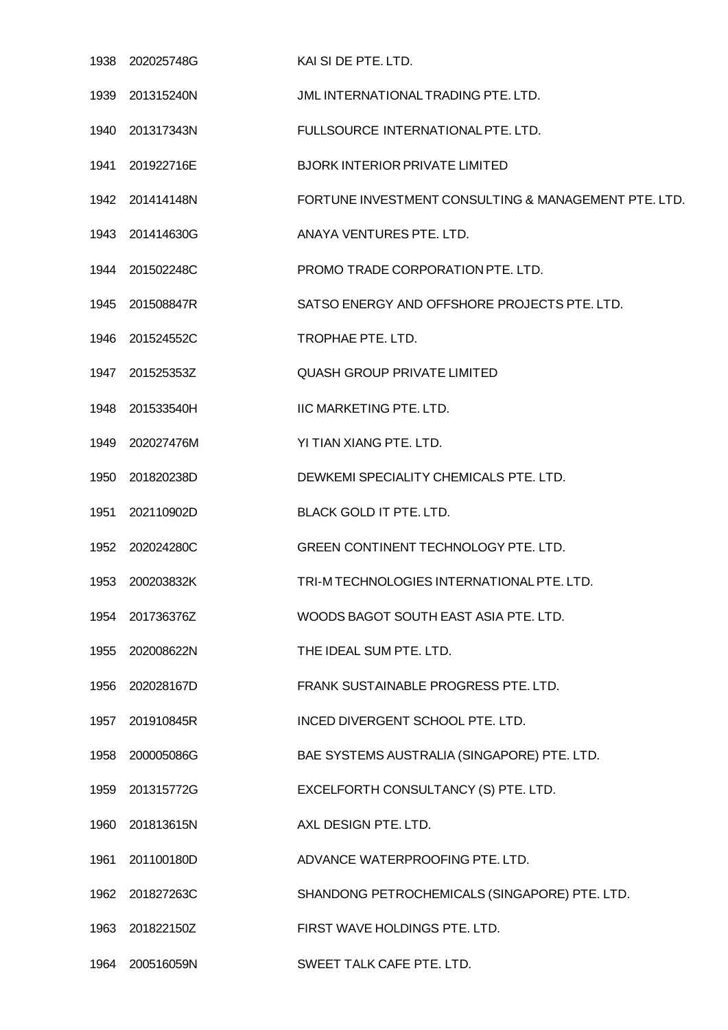|      | 1938 202025748G | KAI SI DE PTE. LTD.                                  |
|------|-----------------|------------------------------------------------------|
|      | 1939 201315240N | JML INTERNATIONAL TRADING PTE, LTD.                  |
|      | 1940 201317343N | FULLSOURCE INTERNATIONAL PTE. LTD.                   |
|      | 1941 201922716E | <b>BJORK INTERIOR PRIVATE LIMITED</b>                |
|      | 1942 201414148N | FORTUNE INVESTMENT CONSULTING & MANAGEMENT PTE, LTD. |
|      | 1943 201414630G | ANAYA VENTURES PTE. LTD.                             |
|      | 1944 201502248C | PROMO TRADE CORPORATION PTE. LTD.                    |
|      | 1945 201508847R | SATSO ENERGY AND OFFSHORE PROJECTS PTE. LTD.         |
|      | 1946 201524552C | TROPHAE PTE. LTD.                                    |
|      | 1947 201525353Z | <b>QUASH GROUP PRIVATE LIMITED</b>                   |
|      | 1948 201533540H | IIC MARKETING PTE. LTD.                              |
|      | 1949 202027476M | YI TIAN XIANG PTE. LTD.                              |
| 1950 | 201820238D      | DEWKEMI SPECIALITY CHEMICALS PTE. LTD.               |
|      | 1951 202110902D | BLACK GOLD IT PTE. LTD.                              |
|      | 1952 202024280C | GREEN CONTINENT TECHNOLOGY PTE. LTD.                 |
| 1953 | 200203832K      | TRI-M TECHNOLOGIES INTERNATIONAL PTE. LTD.           |
|      | 1954 201736376Z | WOODS BAGOT SOUTH EAST ASIA PTE. LTD.                |
| 1955 | 202008622N      | THE IDEAL SUM PTE. LTD.                              |
|      | 1956 202028167D | FRANK SUSTAINABLE PROGRESS PTE. LTD.                 |
| 1957 | 201910845R      | INCED DIVERGENT SCHOOL PTE. LTD.                     |
|      | 1958 200005086G | BAE SYSTEMS AUSTRALIA (SINGAPORE) PTE. LTD.          |
|      | 1959 201315772G | EXCELFORTH CONSULTANCY (S) PTE. LTD.                 |
| 1960 | 201813615N      | AXL DESIGN PTE. LTD.                                 |
|      | 1961 201100180D | ADVANCE WATERPROOFING PTE. LTD.                      |
| 1962 | 201827263C      | SHANDONG PETROCHEMICALS (SINGAPORE) PTE. LTD.        |
| 1963 | 201822150Z      | FIRST WAVE HOLDINGS PTE. LTD.                        |
|      | 1964 200516059N | SWEET TALK CAFE PTE. LTD.                            |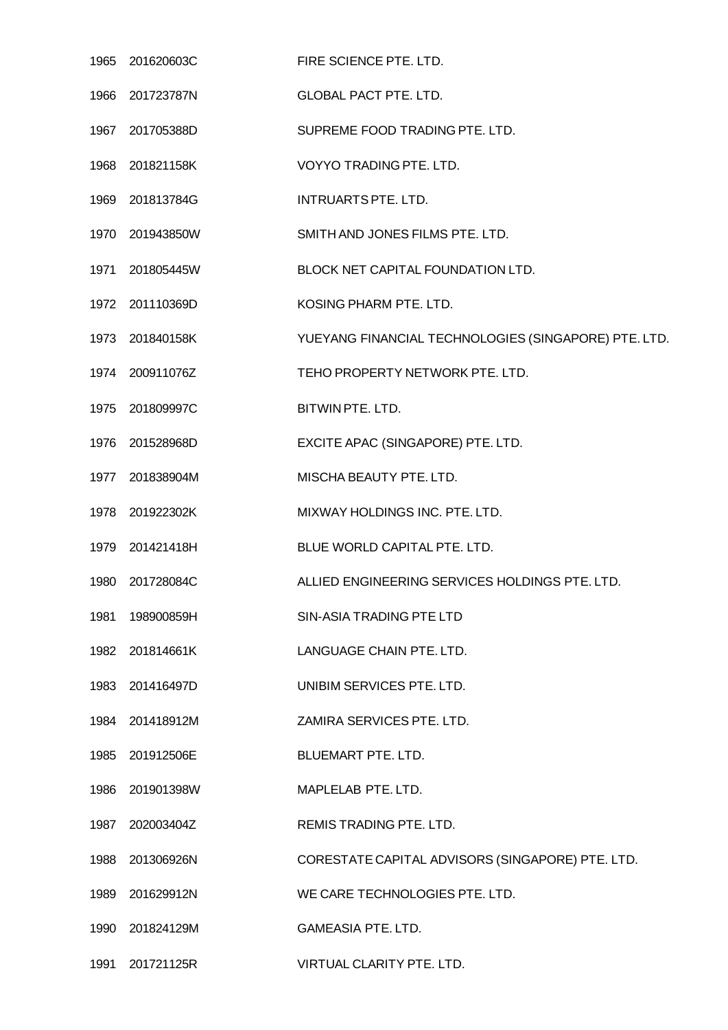| 1965 | 201620603C      | FIRE SCIENCE PTE. LTD.                               |
|------|-----------------|------------------------------------------------------|
| 1966 | 201723787N      | <b>GLOBAL PACT PTE, LTD.</b>                         |
|      | 1967 201705388D | SUPREME FOOD TRADING PTE. LTD.                       |
| 1968 | 201821158K      | VOYYO TRADING PTE. LTD.                              |
| 1969 | 201813784G      | INTRUARTS PTE. LTD.                                  |
|      | 1970 201943850W | SMITH AND JONES FILMS PTE. LTD.                      |
| 1971 | 201805445W      | BLOCK NET CAPITAL FOUNDATION LTD.                    |
|      | 1972 201110369D | KOSING PHARM PTE. LTD.                               |
|      | 1973 201840158K | YUEYANG FINANCIAL TECHNOLOGIES (SINGAPORE) PTE. LTD. |
| 1974 | 200911076Z      | TEHO PROPERTY NETWORK PTE. LTD.                      |
|      | 1975 201809997C | BITWIN PTE. LTD.                                     |
| 1976 | 201528968D      | EXCITE APAC (SINGAPORE) PTE. LTD.                    |
|      | 1977 201838904M | MISCHA BEAUTY PTE. LTD.                              |
|      | 1978 201922302K | MIXWAY HOLDINGS INC. PTE. LTD.                       |
|      | 1979 201421418H | BLUE WORLD CAPITAL PTE. LTD.                         |
| 1980 | 201728084C      | ALLIED ENGINEERING SERVICES HOLDINGS PTE. LTD.       |
| 1981 | 198900859H      | SIN-ASIA TRADING PTE LTD                             |
|      | 1982 201814661K | LANGUAGE CHAIN PTE. LTD.                             |
|      | 1983 201416497D | UNIBIM SERVICES PTE. LTD.                            |
|      | 1984 201418912M | ZAMIRA SERVICES PTE. LTD.                            |
|      | 1985 201912506E | BLUEMART PTE. LTD.                                   |
| 1986 | 201901398W      | MAPLELAB PTE. LTD.                                   |
| 1987 | 202003404Z      | REMIS TRADING PTE. LTD.                              |
|      | 1988 201306926N | CORESTATE CAPITAL ADVISORS (SINGAPORE) PTE. LTD.     |
| 1989 | 201629912N      | WE CARE TECHNOLOGIES PTE. LTD.                       |
|      | 1990 201824129M | <b>GAMEASIA PTE. LTD.</b>                            |
| 1991 | 201721125R      | VIRTUAL CLARITY PTE. LTD.                            |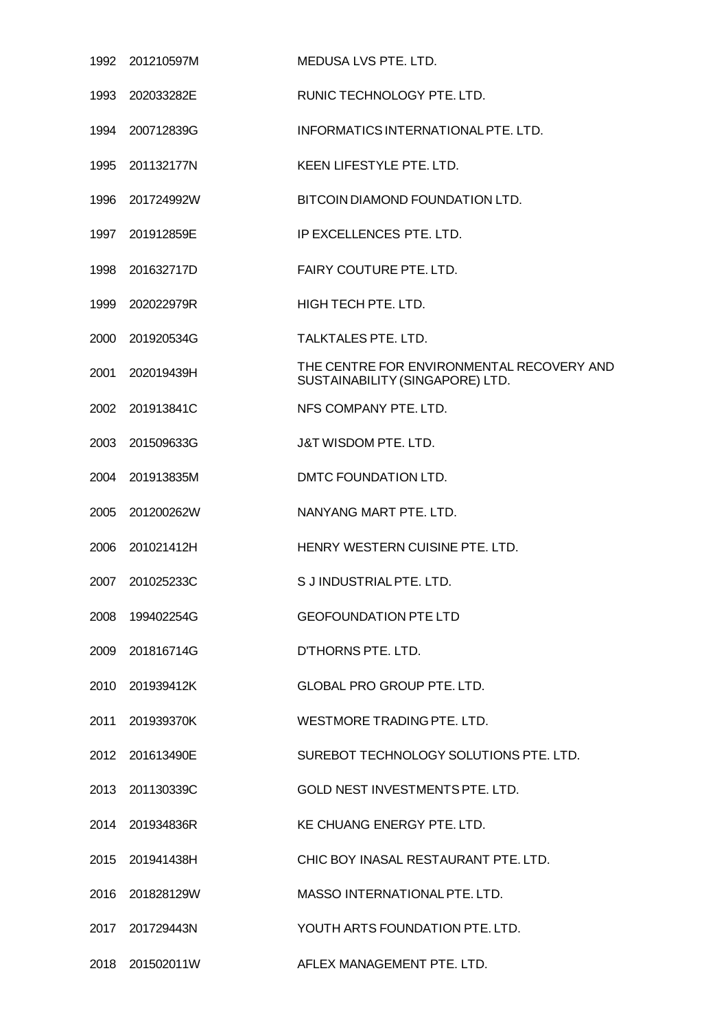|      | 1992 201210597M | MEDUSA LVS PTE. LTD.                                                         |
|------|-----------------|------------------------------------------------------------------------------|
| 1993 | 202033282E      | RUNIC TECHNOLOGY PTE. LTD.                                                   |
|      | 1994 200712839G | INFORMATICS INTERNATIONAL PTE. LTD.                                          |
|      | 1995 201132177N | KEEN LIFESTYLE PTE. LTD.                                                     |
| 1996 | 201724992W      | BITCOIN DIAMOND FOUNDATION LTD.                                              |
|      | 1997 201912859E | IP EXCELLENCES PTE. LTD.                                                     |
|      | 1998 201632717D | FAIRY COUTURE PTE. LTD.                                                      |
| 1999 | 202022979R      | HIGH TECH PTE. LTD.                                                          |
|      | 2000 201920534G | TALKTALES PTE, LTD.                                                          |
| 2001 | 202019439H      | THE CENTRE FOR ENVIRONMENTAL RECOVERY AND<br>SUSTAINABILITY (SINGAPORE) LTD. |
|      | 2002 201913841C | NFS COMPANY PTE. LTD.                                                        |
|      | 2003 201509633G | J&T WISDOM PTE. LTD.                                                         |
| 2004 | 201913835M      | DMTC FOUNDATION LTD.                                                         |
|      | 2005 201200262W | NANYANG MART PTE, LTD.                                                       |
| 2006 | 201021412H      | HENRY WESTERN CUISINE PTE, LTD.                                              |
| 2007 | 201025233C      | S J INDUSTRIAL PTE. LTD.                                                     |
|      | 2008 199402254G | <b>GEOFOUNDATION PTE LTD</b>                                                 |
|      | 2009 201816714G | D'THORNS PTE. LTD.                                                           |
|      | 2010 201939412K | <b>GLOBAL PRO GROUP PTE. LTD.</b>                                            |
|      | 2011 201939370K | WESTMORE TRADING PTE, LTD.                                                   |
|      | 2012 201613490E | SUREBOT TECHNOLOGY SOLUTIONS PTE. LTD.                                       |
|      | 2013 201130339C | GOLD NEST INVESTMENTS PTE. LTD.                                              |
|      | 2014 201934836R | KE CHUANG ENERGY PTE. LTD.                                                   |
|      | 2015 201941438H | CHIC BOY INASAL RESTAURANT PTE. LTD.                                         |
|      | 2016 201828129W | MASSO INTERNATIONAL PTE. LTD.                                                |
|      | 2017 201729443N | YOUTH ARTS FOUNDATION PTE. LTD.                                              |
|      | 2018 201502011W | AFLEX MANAGEMENT PTE. LTD.                                                   |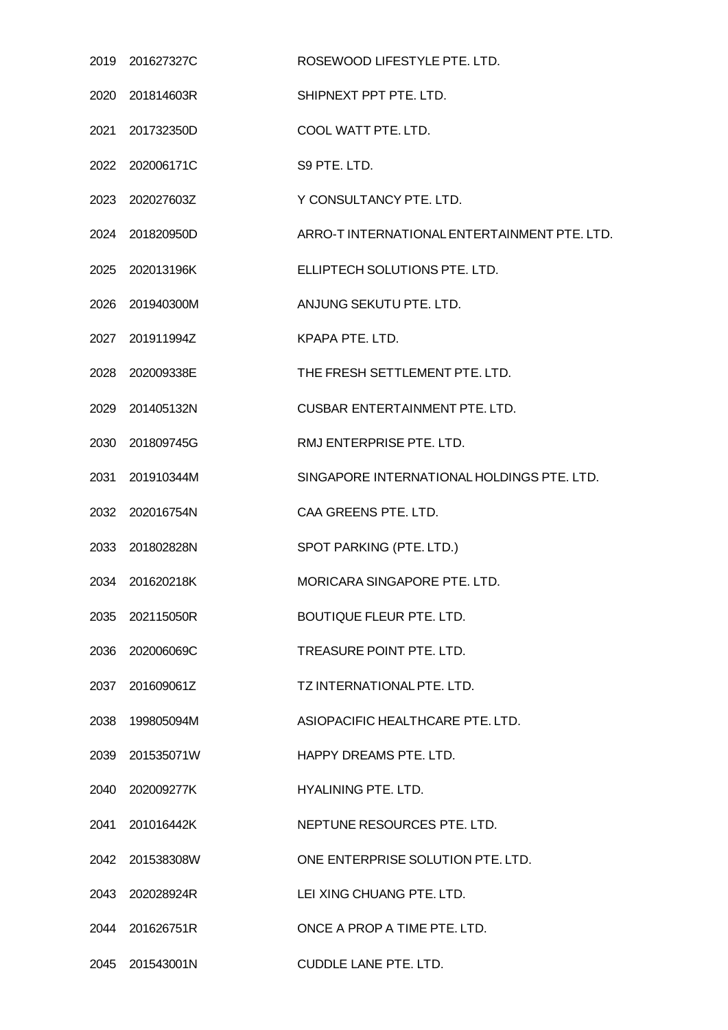| 2019 201627327C | ROSEWOOD LIFESTYLE PTE. LTD.                 |
|-----------------|----------------------------------------------|
| 2020 201814603R | SHIPNEXT PPT PTE, LTD.                       |
| 2021 201732350D | COOL WATT PTE. LTD.                          |
| 2022 202006171C | S9 PTE. LTD.                                 |
| 2023 202027603Z | Y CONSULTANCY PTE. LTD.                      |
| 2024 201820950D | ARRO-T INTERNATIONAL ENTERTAINMENT PTE. LTD. |
| 2025 202013196K | ELLIPTECH SOLUTIONS PTE. LTD.                |
| 2026 201940300M | ANJUNG SEKUTU PTE. LTD.                      |
| 2027 201911994Z | KPAPA PTE. LTD.                              |
| 2028 202009338E | THE FRESH SETTLEMENT PTE. LTD.               |
| 2029 201405132N | <b>CUSBAR ENTERTAINMENT PTE. LTD.</b>        |
| 2030 201809745G | RMJ ENTERPRISE PTE. LTD.                     |
| 2031 201910344M | SINGAPORE INTERNATIONAL HOLDINGS PTE. LTD.   |
| 2032 202016754N | CAA GREENS PTE. LTD.                         |
| 2033 201802828N | SPOT PARKING (PTE. LTD.)                     |
| 2034 201620218K | MORICARA SINGAPORE PTE. LTD.                 |
| 2035 202115050R | <b>BOUTIQUE FLEUR PTE, LTD.</b>              |
| 2036 202006069C | TREASURE POINT PTE, LTD.                     |
| 2037 201609061Z | TZ INTERNATIONAL PTE. LTD.                   |
| 2038 199805094M | ASIOPACIFIC HEALTHCARE PTE. LTD.             |
| 2039 201535071W | HAPPY DREAMS PTE. LTD.                       |
| 2040 202009277K | HYALINING PTE. LTD.                          |
| 2041 201016442K | NEPTUNE RESOURCES PTE. LTD.                  |
| 2042 201538308W | ONE ENTERPRISE SOLUTION PTE. LTD.            |
| 2043 202028924R | LEI XING CHUANG PTE. LTD.                    |
| 2044 201626751R | ONCE A PROP A TIME PTE, LTD.                 |
| 2045 201543001N | <b>CUDDLE LANE PTE. LTD.</b>                 |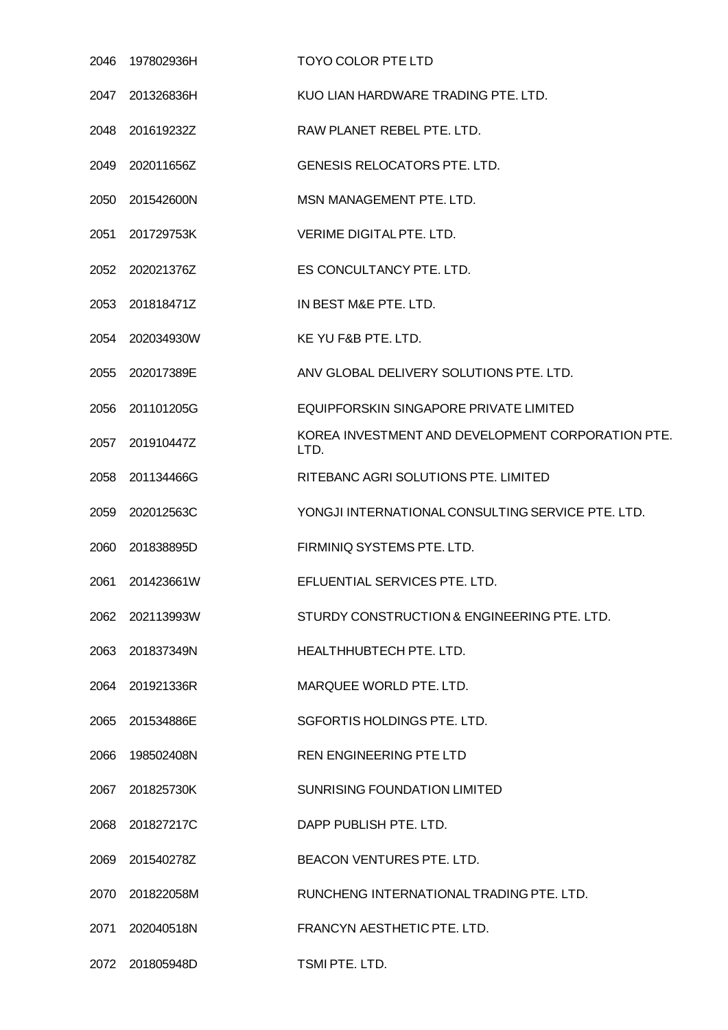| 2046 | 197802936H      | TOYO COLOR PTE LTD                                        |
|------|-----------------|-----------------------------------------------------------|
| 2047 | 201326836H      | KUO LIAN HARDWARE TRADING PTE. LTD.                       |
|      | 2048 201619232Z | RAW PLANET REBEL PTE. LTD.                                |
|      | 2049 202011656Z | <b>GENESIS RELOCATORS PTE. LTD.</b>                       |
| 2050 | 201542600N      | MSN MANAGEMENT PTE, LTD.                                  |
|      | 2051 201729753K | VERIME DIGITAL PTE. LTD.                                  |
|      | 2052 202021376Z | ES CONCULTANCY PTE. LTD.                                  |
| 2053 | 201818471Z      | IN BEST M&E PTE. LTD.                                     |
|      | 2054 202034930W | KE YU F&B PTE. LTD.                                       |
| 2055 | 202017389E      | ANV GLOBAL DELIVERY SOLUTIONS PTE. LTD.                   |
|      | 2056 201101205G | EQUIPFORSKIN SINGAPORE PRIVATE LIMITED                    |
|      | 2057 201910447Z | KOREA INVESTMENT AND DEVELOPMENT CORPORATION PTE.<br>LTD. |
| 2058 | 201134466G      | RITEBANC AGRI SOLUTIONS PTE. LIMITED                      |
|      | 2059 202012563C | YONGJI INTERNATIONAL CONSULTING SERVICE PTE. LTD.         |
| 2060 | 201838895D      | FIRMINIQ SYSTEMS PTE. LTD.                                |
| 2061 | 201423661W      | EFLUENTIAL SERVICES PTE. LTD.                             |
|      | 2062 202113993W | STURDY CONSTRUCTION & ENGINEERING PTE. LTD.               |
|      | 2063 201837349N | HEALTHHUBTECH PTE. LTD.                                   |
|      | 2064 201921336R | MARQUEE WORLD PTE. LTD.                                   |
| 2065 | 201534886E      | SGFORTIS HOLDINGS PTE. LTD.                               |
| 2066 | 198502408N      | REN ENGINEERING PTE LTD                                   |
| 2067 | 201825730K      | <b>SUNRISING FOUNDATION LIMITED</b>                       |
| 2068 | 201827217C      | DAPP PUBLISH PTE. LTD.                                    |
|      | 2069 201540278Z | BEACON VENTURES PTE. LTD.                                 |
| 2070 | 201822058M      | RUNCHENG INTERNATIONAL TRADING PTE. LTD.                  |
| 2071 | 202040518N      | FRANCYN AESTHETIC PTE. LTD.                               |
|      | 2072 201805948D | TSMI PTE. LTD.                                            |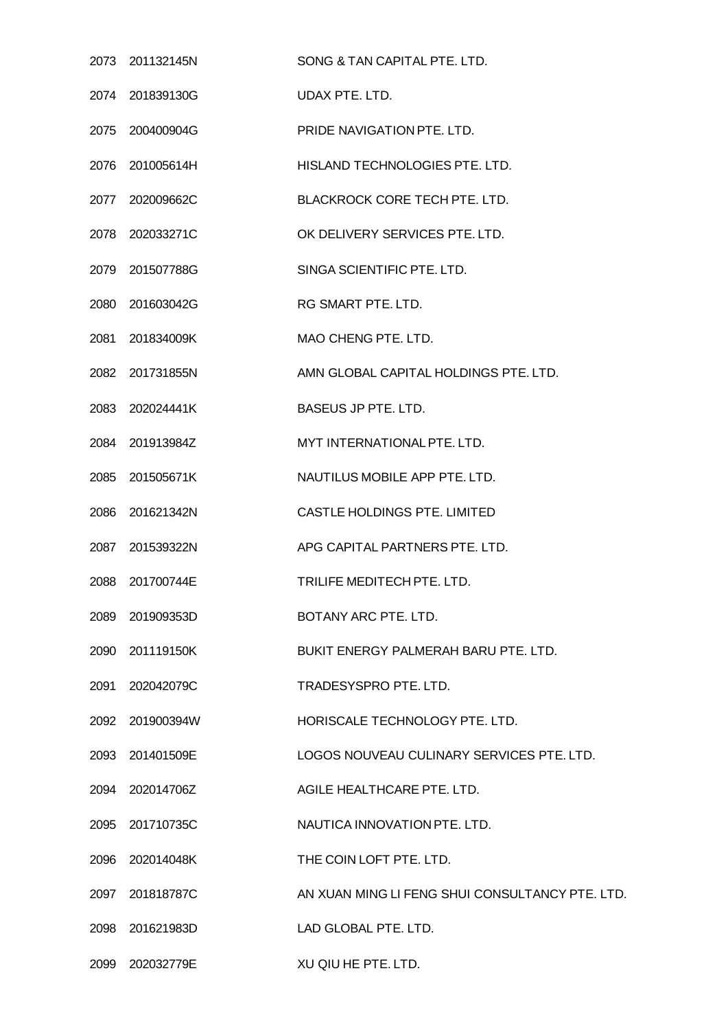| 2073 201132145N | SONG & TAN CAPITAL PTE. LTD.                    |
|-----------------|-------------------------------------------------|
| 2074 201839130G | UDAX PTE. LTD.                                  |
| 2075 200400904G | PRIDE NAVIGATION PTE. LTD.                      |
| 2076 201005614H | HISLAND TECHNOLOGIES PTE. LTD.                  |
| 2077 202009662C | <b>BLACKROCK CORE TECH PTE. LTD.</b>            |
| 2078 202033271C | OK DELIVERY SERVICES PTE. LTD.                  |
| 2079 201507788G | SINGA SCIENTIFIC PTE. LTD.                      |
| 2080 201603042G | RG SMART PTE. LTD.                              |
| 2081 201834009K | MAO CHENG PTE. LTD.                             |
| 2082 201731855N | AMN GLOBAL CAPITAL HOLDINGS PTE. LTD.           |
| 2083 202024441K | <b>BASEUS JP PTE. LTD.</b>                      |
| 2084 201913984Z | MYT INTERNATIONAL PTE. LTD.                     |
| 2085 201505671K | NAUTILUS MOBILE APP PTE. LTD.                   |
| 2086 201621342N | CASTLE HOLDINGS PTE. LIMITED                    |
| 2087 201539322N | APG CAPITAL PARTNERS PTE. LTD.                  |
| 2088 201700744E | TRILIFE MEDITECH PTE, LTD.                      |
| 2089 201909353D | BOTANY ARC PTE. LTD.                            |
| 2090 201119150K | BUKIT ENERGY PALMERAH BARU PTE. LTD.            |
| 2091 202042079C | TRADESYSPRO PTE. LTD.                           |
| 2092 201900394W | HORISCALE TECHNOLOGY PTE. LTD.                  |
| 2093 201401509E | LOGOS NOUVEAU CULINARY SERVICES PTE. LTD.       |
| 2094 202014706Z | AGILE HEALTHCARE PTE. LTD.                      |
| 2095 201710735C | NAUTICA INNOVATION PTE. LTD.                    |
| 2096 202014048K | THE COIN LOFT PTE. LTD.                         |
| 2097 201818787C | AN XUAN MING LI FENG SHUI CONSULTANCY PTE. LTD. |
| 2098 201621983D | LAD GLOBAL PTE. LTD.                            |
| 2099 202032779E | XU QIU HE PTE. LTD.                             |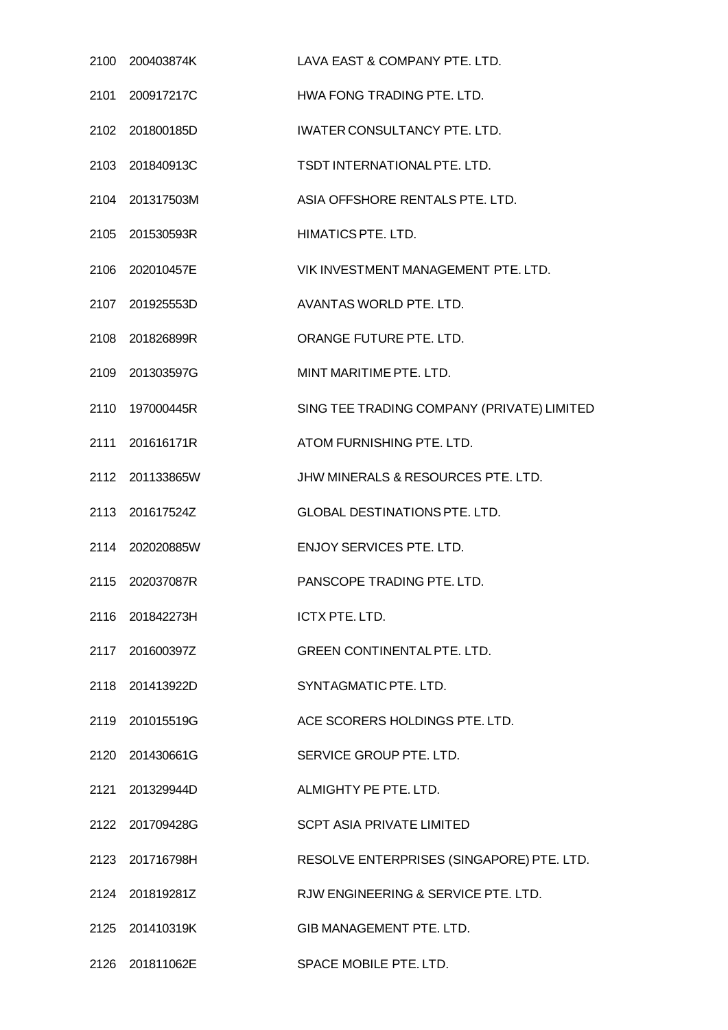| 2100 200403874K | LAVA EAST & COMPANY PTE. LTD.              |
|-----------------|--------------------------------------------|
| 2101 200917217C | HWA FONG TRADING PTE. LTD.                 |
| 2102 201800185D | <b>IWATER CONSULTANCY PTE. LTD.</b>        |
| 2103 201840913C | TSDT INTERNATIONAL PTE. LTD.               |
| 2104 201317503M | ASIA OFFSHORE RENTALS PTE. LTD.            |
| 2105 201530593R | HIMATICS PTE. LTD.                         |
| 2106 202010457E | VIK INVESTMENT MANAGEMENT PTE. LTD.        |
| 2107 201925553D | AVANTAS WORLD PTE, LTD.                    |
| 2108 201826899R | ORANGE FUTURE PTE. LTD.                    |
| 2109 201303597G | MINT MARITIME PTE. LTD.                    |
| 2110 197000445R | SING TEE TRADING COMPANY (PRIVATE) LIMITED |
| 2111 201616171R | ATOM FURNISHING PTE. LTD.                  |
| 2112 201133865W | JHW MINERALS & RESOURCES PTE. LTD.         |
| 2113 201617524Z | <b>GLOBAL DESTINATIONS PTE. LTD.</b>       |
| 2114 202020885W | <b>ENJOY SERVICES PTE, LTD.</b>            |
| 2115 202037087R | PANSCOPE TRADING PTE. LTD.                 |
| 2116 201842273H | ICTX PTE, LTD.                             |
| 2117 201600397Z | <b>GREEN CONTINENTAL PTE, LTD.</b>         |
| 2118 201413922D | SYNTAGMATIC PTE. LTD.                      |
| 2119 201015519G | ACE SCORERS HOLDINGS PTE. LTD.             |
| 2120 201430661G | SERVICE GROUP PTE. LTD.                    |
| 2121 201329944D | ALMIGHTY PE PTE, LTD.                      |
| 2122 201709428G | <b>SCPT ASIA PRIVATE LIMITED</b>           |
| 2123 201716798H | RESOLVE ENTERPRISES (SINGAPORE) PTE. LTD.  |
| 2124 201819281Z | RJW ENGINEERING & SERVICE PTE. LTD.        |
| 2125 201410319K | <b>GIB MANAGEMENT PTE. LTD.</b>            |
| 2126 201811062E | SPACE MOBILE PTE. LTD.                     |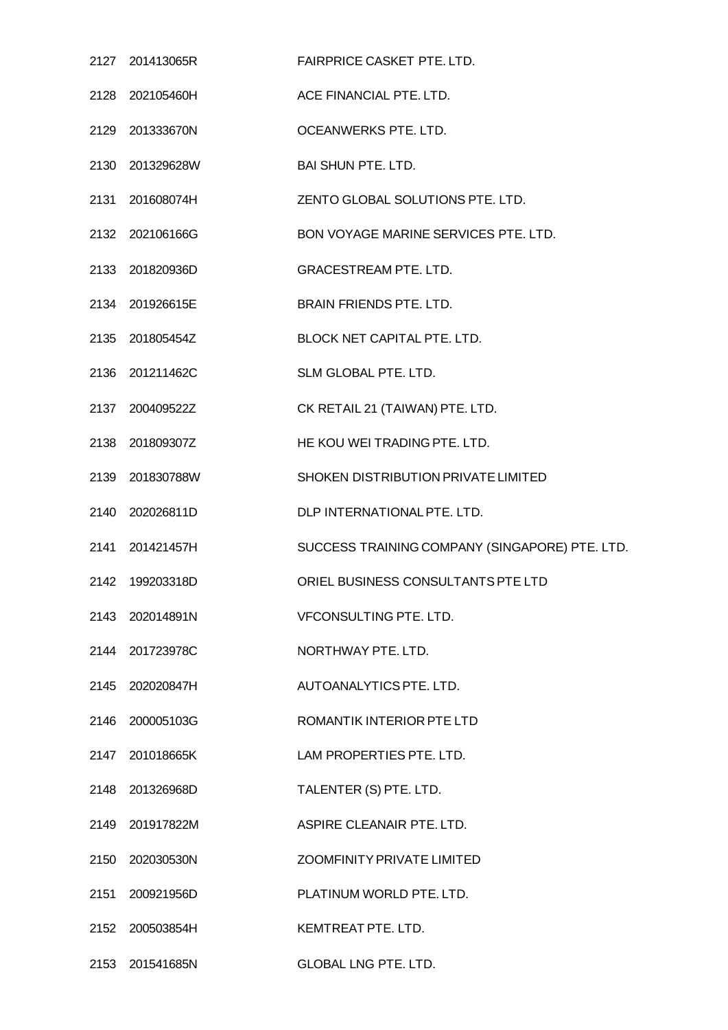|                 | 2127 201413065R FAIRPRICE CASKET PTE. LTD.     |
|-----------------|------------------------------------------------|
| 2128 202105460H | ACE FINANCIAL PTE. LTD.                        |
| 2129 201333670N | OCEANWERKS PTE. LTD.                           |
| 2130 201329628W | <b>BAI SHUN PTE. LTD.</b>                      |
| 2131 201608074H | ZENTO GLOBAL SOLUTIONS PTE. LTD.               |
| 2132 202106166G | BON VOYAGE MARINE SERVICES PTE. LTD.           |
| 2133 201820936D | <b>GRACESTREAM PTE. LTD.</b>                   |
| 2134 201926615E | <b>BRAIN FRIENDS PTE. LTD.</b>                 |
| 2135 201805454Z | BLOCK NET CAPITAL PTE. LTD.                    |
| 2136 201211462C | SLM GLOBAL PTE. LTD.                           |
| 2137 200409522Z | CK RETAIL 21 (TAIWAN) PTE. LTD.                |
| 2138 201809307Z | HE KOU WEI TRADING PTE. LTD.                   |
| 2139 201830788W | SHOKEN DISTRIBUTION PRIVATE LIMITED            |
| 2140 202026811D | DLP INTERNATIONAL PTE. LTD.                    |
| 2141 201421457H | SUCCESS TRAINING COMPANY (SINGAPORE) PTE. LTD. |
| 2142 199203318D | ORIEL BUSINESS CONSULTANTS PTE LTD             |
| 2143 202014891N | <b>VFCONSULTING PTE, LTD.</b>                  |
| 2144 201723978C | NORTHWAY PTE, LTD.                             |
| 2145 202020847H | AUTOANALYTICS PTE. LTD.                        |
| 2146 200005103G | ROMANTIK INTERIOR PTE LTD                      |
| 2147 201018665K | LAM PROPERTIES PTE. LTD.                       |
| 2148 201326968D | TALENTER (S) PTE. LTD.                         |
| 2149 201917822M | ASPIRE CLEANAIR PTE, LTD.                      |
| 2150 202030530N | <b>ZOOMFINITY PRIVATE LIMITED</b>              |
| 2151 200921956D | PLATINUM WORLD PTE, LTD.                       |
| 2152 200503854H | KEMTREAT PTE. LTD.                             |
| 2153 201541685N | <b>GLOBAL LNG PTE. LTD.</b>                    |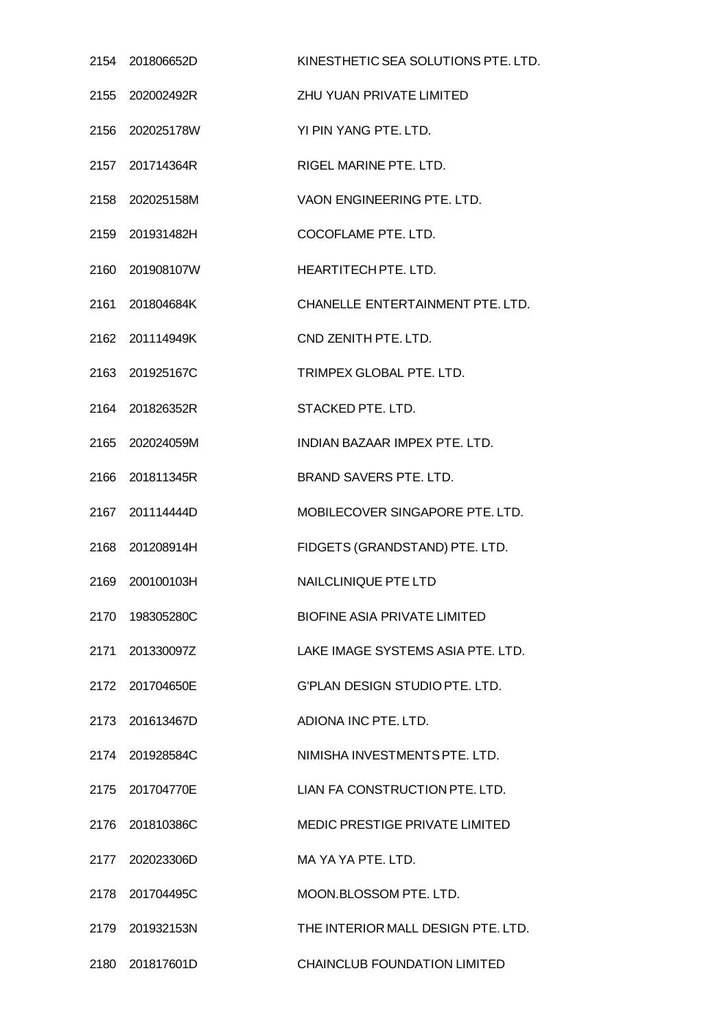| 2154 201806652D | KINESTHETIC SEA SOLUTIONS PTE. LTD.   |
|-----------------|---------------------------------------|
| 2155 202002492R | ZHU YUAN PRIVATE LIMITED              |
| 2156 202025178W | YI PIN YANG PTE. LTD.                 |
| 2157 201714364R | RIGEL MARINE PTE. LTD.                |
| 2158 202025158M | VAON ENGINEERING PTE. LTD.            |
| 2159 201931482H | COCOFLAME PTE. LTD.                   |
| 2160 201908107W | HEARTITECH PTE. LTD.                  |
| 2161 201804684K | CHANELLE ENTERTAINMENT PTE. LTD.      |
| 2162 201114949K | CND ZENITH PTE, LTD.                  |
| 2163 201925167C | TRIMPEX GLOBAL PTE, LTD.              |
| 2164 201826352R | STACKED PTE. LTD.                     |
| 2165 202024059M | INDIAN BAZAAR IMPEX PTE. LTD.         |
| 2166 201811345R | BRAND SAVERS PTE. LTD.                |
| 2167 201114444D | MOBILECOVER SINGAPORE PTE. LTD.       |
| 2168 201208914H | FIDGETS (GRANDSTAND) PTE. LTD.        |
| 2169 200100103H | <b>NAILCLINIQUE PTE LTD</b>           |
| 2170 198305280C | <b>BIOFINE ASIA PRIVATE LIMITED</b>   |
| 2171 201330097Z | LAKE IMAGE SYSTEMS ASIA PTE. LTD.     |
| 2172 201704650E | <b>G'PLAN DESIGN STUDIO PTE, LTD.</b> |
| 2173 201613467D | ADIONA INC PTE. LTD.                  |
| 2174 201928584C | NIMISHA INVESTMENTS PTE. LTD.         |
| 2175 201704770E | LIAN FA CONSTRUCTION PTE. LTD.        |
| 2176 201810386C | MEDIC PRESTIGE PRIVATE LIMITED        |
| 2177 202023306D | MA YA YA PTE, LTD.                    |
| 2178 201704495C | MOON.BLOSSOM PTE. LTD.                |
| 2179 201932153N | THE INTERIOR MALL DESIGN PTE, LTD.    |
| 2180 201817601D | <b>CHAINCLUB FOUNDATION LIMITED</b>   |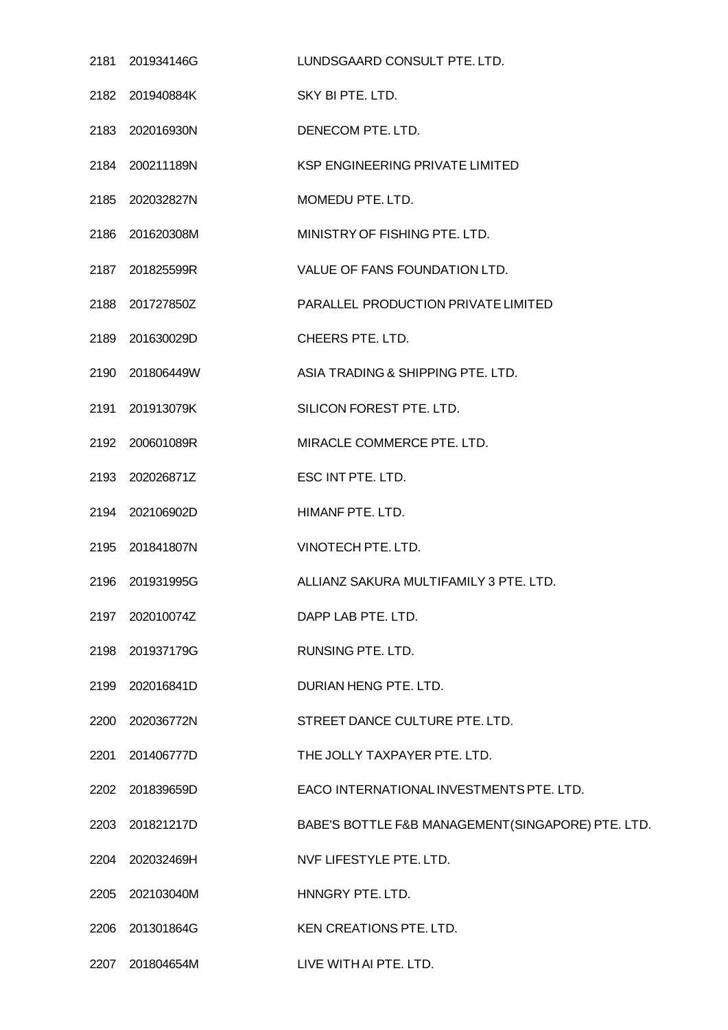| 2181 201934146G | LUNDSGAARD CONSULT PTE. LTD.                      |
|-----------------|---------------------------------------------------|
| 2182 201940884K | SKY BI PTE. LTD.                                  |
| 2183 202016930N | DENECOM PTE. LTD.                                 |
| 2184 200211189N | KSP ENGINEERING PRIVATE LIMITED                   |
| 2185 202032827N | MOMEDU PTE. LTD.                                  |
| 2186 201620308M | MINISTRY OF FISHING PTE. LTD.                     |
| 2187 201825599R | VALUE OF FANS FOUNDATION LTD.                     |
| 2188 201727850Z | PARALLEL PRODUCTION PRIVATE LIMITED               |
| 2189 201630029D | CHEERS PTE. LTD.                                  |
| 2190 201806449W | ASIA TRADING & SHIPPING PTE. LTD.                 |
| 2191 201913079K | SILICON FOREST PTE. LTD.                          |
| 2192 200601089R | MIRACLE COMMERCE PTE. LTD.                        |
| 2193 202026871Z | ESC INT PTE. LTD.                                 |
| 2194 202106902D | HIMANF PTE. LTD.                                  |
| 2195 201841807N | VINOTECH PTE. LTD.                                |
| 2196 201931995G | ALLIANZ SAKURA MULTIFAMILY 3 PTE. LTD.            |
| 2197 202010074Z | DAPP LAB PTE. LTD.                                |
| 2198 201937179G | RUNSING PTE. LTD.                                 |
| 2199 202016841D | DURIAN HENG PTE. LTD.                             |
| 2200 202036772N | STREET DANCE CULTURE PTE. LTD.                    |
| 2201 201406777D | THE JOLLY TAXPAYER PTE. LTD.                      |
| 2202 201839659D | EACO INTERNATIONAL INVESTMENTS PTE. LTD.          |
| 2203 201821217D | BABE'S BOTTLE F&B MANAGEMENT(SINGAPORE) PTE. LTD. |
| 2204 202032469H | NVF LIFESTYLE PTE. LTD.                           |
| 2205 202103040M | HNNGRY PTE. LTD.                                  |
| 2206 201301864G | KEN CREATIONS PTE. LTD.                           |
| 2207 201804654M | LIVE WITH AI PTE. LTD.                            |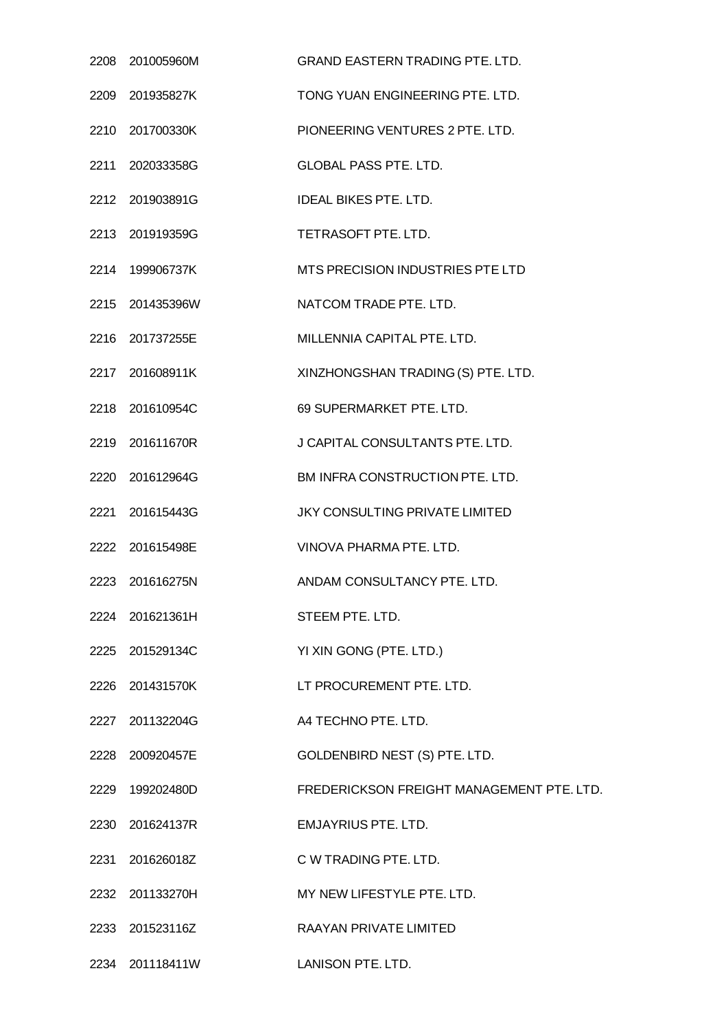| 2208 201005960M                   | <b>GRAND EASTERN TRADING PTE. LTD.</b>    |
|-----------------------------------|-------------------------------------------|
| 2209 201935827K                   | TONG YUAN ENGINEERING PTE, LTD.           |
| 2210 201700330K                   | PIONEERING VENTURES 2 PTE. LTD.           |
| 2211 202033358G                   | <b>GLOBAL PASS PTE. LTD.</b>              |
| 2212 201903891G                   | <b>IDEAL BIKES PTE, LTD.</b>              |
| 2213 201919359G                   | TETRASOFT PTE. LTD.                       |
| 2214 199906737K                   | MTS PRECISION INDUSTRIES PTE LTD          |
| 2215 201435396W                   | NATCOM TRADE PTE. LTD.                    |
| 2216 201737255E                   | MILLENNIA CAPITAL PTE. LTD.               |
| 2217 201608911K                   | XINZHONGSHAN TRADING (S) PTE. LTD.        |
| 2218 201610954C                   | 69 SUPERMARKET PTE. LTD.                  |
| 2219 201611670R                   | J CAPITAL CONSULTANTS PTE. LTD.           |
| 2220 201612964G                   | BM INFRA CONSTRUCTION PTE. LTD.           |
| 2221 201615443G                   | JKY CONSULTING PRIVATE LIMITED            |
| 2222 201615498E                   | VINOVA PHARMA PTE, LTD.                   |
| 2223 201616275N                   | ANDAM CONSULTANCY PTE, LTD.               |
| 2224 201621361H                   | STEEM PTE. LTD.                           |
| 2225 201529134C                   | YI XIN GONG (PTE. LTD.)                   |
| 2226 201431570K                   | LT PROCUREMENT PTE. LTD.                  |
| 2227 201132204G                   | A4 TECHNO PTE. LTD.                       |
| 2228 200920457E                   | GOLDENBIRD NEST (S) PTE. LTD.             |
| 2229 199202480D                   | FREDERICKSON FREIGHT MANAGEMENT PTE. LTD. |
| 2230 201624137R                   | <b>EMJAYRIUS PTE. LTD.</b>                |
| 2231 201626018Z                   | C W TRADING PTE. LTD.                     |
| 2232 201133270H                   | MY NEW LIFESTYLE PTE. LTD.                |
| 2233 201523116Z                   | <b>RAAYAN PRIVATE LIMITED</b>             |
| 2234 201118411W LANISON PTE. LTD. |                                           |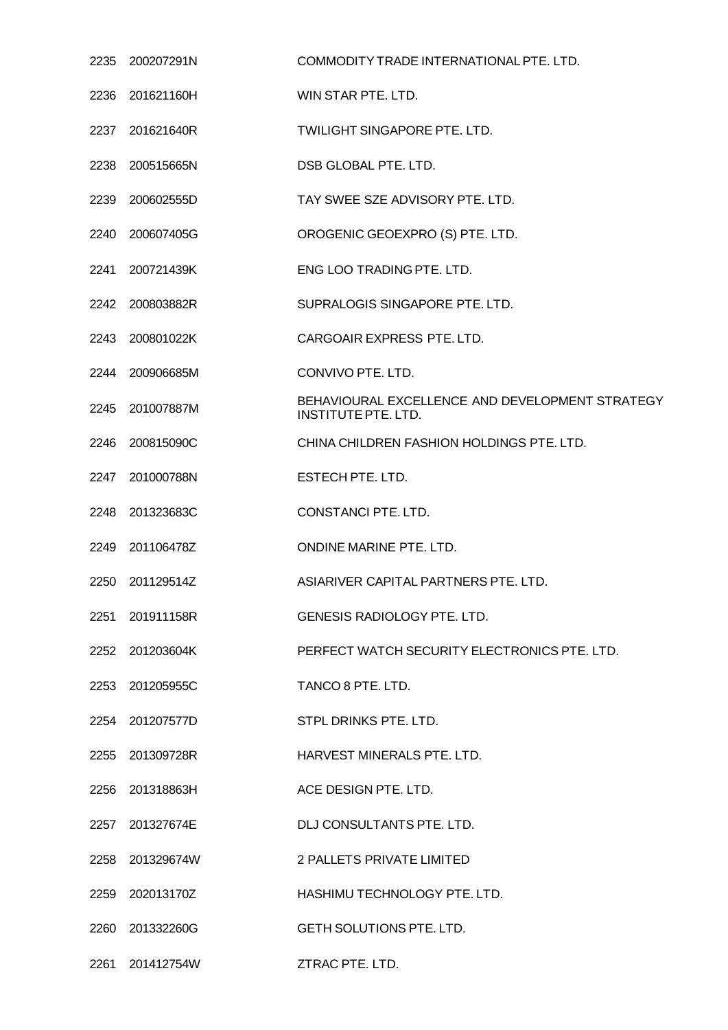| 2235 | 200207291N      | COMMODITY TRADE INTERNATIONAL PTE. LTD.                                       |
|------|-----------------|-------------------------------------------------------------------------------|
|      | 2236 201621160H | WIN STAR PTE. LTD.                                                            |
|      | 2237 201621640R | <b>TWILIGHT SINGAPORE PTE. LTD.</b>                                           |
|      | 2238 200515665N | DSB GLOBAL PTE. LTD.                                                          |
| 2239 | 200602555D      | TAY SWEE SZE ADVISORY PTE. LTD.                                               |
| 2240 | 200607405G      | OROGENIC GEOEXPRO (S) PTE. LTD.                                               |
| 2241 | 200721439K      | ENG LOO TRADING PTE. LTD.                                                     |
| 2242 | 200803882R      | SUPRALOGIS SINGAPORE PTE. LTD.                                                |
|      | 2243 200801022K | CARGOAIR EXPRESS PTE. LTD.                                                    |
|      | 2244 200906685M | CONVIVO PTE. LTD.                                                             |
|      | 2245 201007887M | BEHAVIOURAL EXCELLENCE AND DEVELOPMENT STRATEGY<br><b>INSTITUTE PTE. LTD.</b> |
|      | 2246 200815090C | CHINA CHILDREN FASHION HOLDINGS PTE. LTD.                                     |
| 2247 | 201000788N      | ESTECH PTE. LTD.                                                              |
|      | 2248 201323683C | CONSTANCI PTE. LTD.                                                           |
|      | 2249 201106478Z | ONDINE MARINE PTE. LTD.                                                       |
| 2250 | 201129514Z      | ASIARIVER CAPITAL PARTNERS PTE. LTD.                                          |
|      | 2251 201911158R | GENESIS RADIOLOGY PTE. LTD.                                                   |
|      | 2252 201203604K | PERFECT WATCH SECURITY ELECTRONICS PTE. LTD.                                  |
|      | 2253 201205955C | TANCO 8 PTE. LTD.                                                             |
|      | 2254 201207577D | STPL DRINKS PTE, LTD.                                                         |
|      | 2255 201309728R | HARVEST MINERALS PTE, LTD.                                                    |
|      | 2256 201318863H | ACE DESIGN PTE. LTD.                                                          |
|      | 2257 201327674E | DLJ CONSULTANTS PTE. LTD.                                                     |
|      | 2258 201329674W | 2 PALLETS PRIVATE LIMITED                                                     |
|      | 2259 202013170Z | HASHIMU TECHNOLOGY PTE. LTD.                                                  |
|      | 2260 201332260G | <b>GETH SOLUTIONS PTE. LTD.</b>                                               |
| 2261 | 201412754W      | ZTRAC PTE. LTD.                                                               |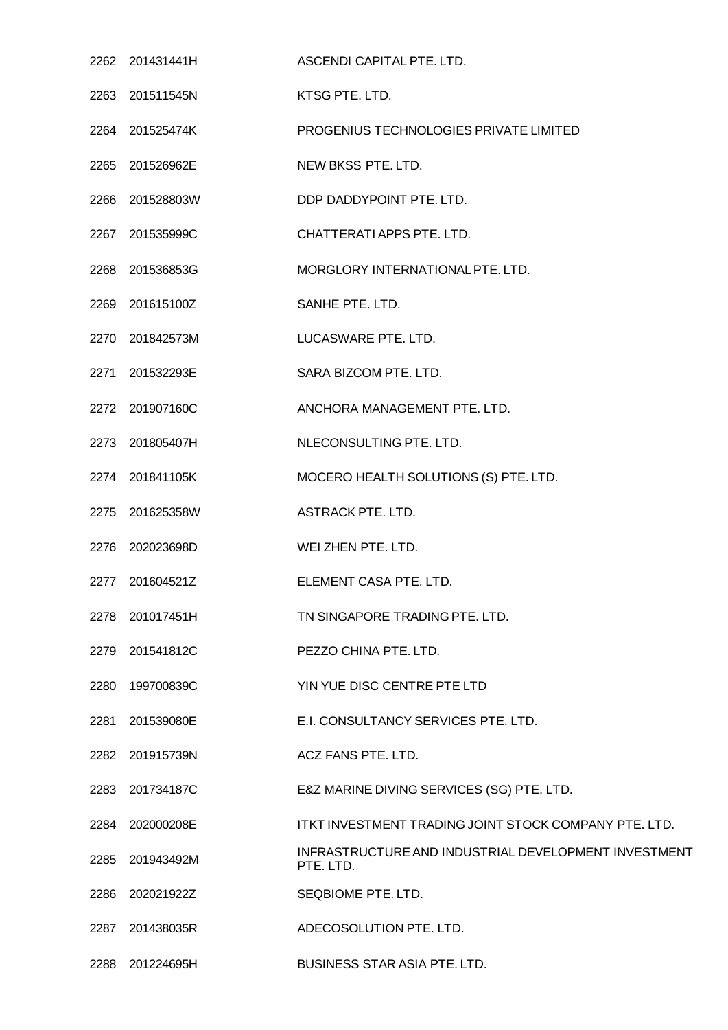|      | 2262 201431441H | ASCENDI CAPITAL PTE. LTD.                                         |
|------|-----------------|-------------------------------------------------------------------|
|      | 2263 201511545N | KTSG PTE. LTD.                                                    |
|      | 2264 201525474K | PROGENIUS TECHNOLOGIES PRIVATE LIMITED                            |
|      | 2265 201526962E | NEW BKSS PTE. LTD.                                                |
|      | 2266 201528803W | DDP DADDYPOINT PTE. LTD.                                          |
|      | 2267 201535999C | CHATTERATI APPS PTE. LTD.                                         |
|      | 2268 201536853G | MORGLORY INTERNATIONAL PTE. LTD.                                  |
|      | 2269 201615100Z | SANHE PTE. LTD.                                                   |
|      | 2270 201842573M | LUCASWARE PTE. LTD.                                               |
|      | 2271 201532293E | SARA BIZCOM PTE. LTD.                                             |
|      | 2272 201907160C | ANCHORA MANAGEMENT PTE. LTD.                                      |
|      | 2273 201805407H | NLECONSULTING PTE. LTD.                                           |
|      | 2274 201841105K | MOCERO HEALTH SOLUTIONS (S) PTE. LTD.                             |
|      | 2275 201625358W | <b>ASTRACK PTE. LTD.</b>                                          |
|      | 2276 202023698D | WEI ZHEN PTE. LTD.                                                |
|      | 2277 201604521Z | ELEMENT CASA PTE, LTD.                                            |
|      | 2278 201017451H | TN SINGAPORE TRADING PTE, LTD.                                    |
|      | 2279 201541812C | PEZZO CHINA PTE. LTD.                                             |
| 2280 | 199700839C      | YIN YUE DISC CENTRE PTE LTD                                       |
| 2281 | 201539080E      | E.I. CONSULTANCY SERVICES PTE. LTD.                               |
|      | 2282 201915739N | ACZ FANS PTE. LTD.                                                |
|      | 2283 201734187C | E&Z MARINE DIVING SERVICES (SG) PTE. LTD.                         |
|      | 2284 202000208E | ITKT INVESTMENT TRADING JOINT STOCK COMPANY PTE. LTD.             |
|      | 2285 201943492M | INFRASTRUCTURE AND INDUSTRIAL DEVELOPMENT INVESTMENT<br>PTE. LTD. |
|      | 2286 202021922Z | SEQBIOME PTE. LTD.                                                |
|      | 2287 201438035R | ADECOSOLUTION PTE. LTD.                                           |
| 2288 | 201224695H      | <b>BUSINESS STAR ASIA PTE. LTD.</b>                               |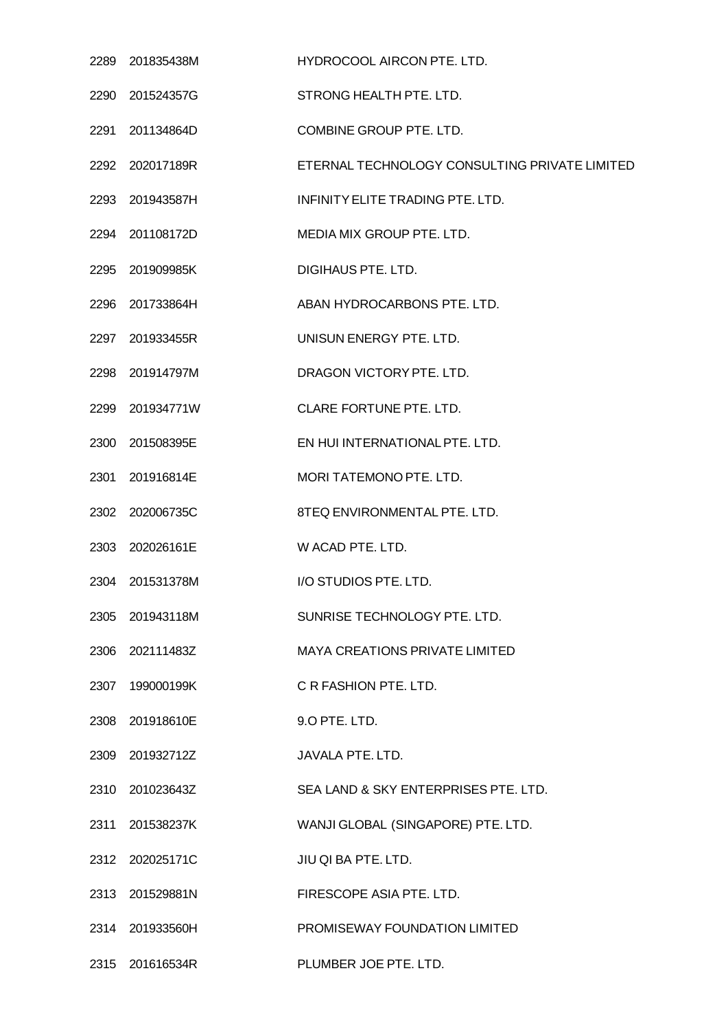|      | 2289 201835438M | HYDROCOOL AIRCON PTE. LTD.                    |
|------|-----------------|-----------------------------------------------|
|      | 2290 201524357G | STRONG HEALTH PTE. LTD.                       |
|      | 2291 201134864D | COMBINE GROUP PTE. LTD.                       |
|      | 2292 202017189R | ETERNAL TECHNOLOGY CONSULTING PRIVATE LIMITED |
|      | 2293 201943587H | INFINITY ELITE TRADING PTE. LTD.              |
|      | 2294 201108172D | MEDIA MIX GROUP PTE. LTD.                     |
|      | 2295 201909985K | DIGIHAUS PTE. LTD.                            |
|      | 2296 201733864H | ABAN HYDROCARBONS PTE, LTD.                   |
|      | 2297 201933455R | UNISUN ENERGY PTE. LTD.                       |
|      | 2298 201914797M | DRAGON VICTORY PTE, LTD.                      |
|      | 2299 201934771W | CLARE FORTUNE PTE. LTD.                       |
|      | 2300 201508395E | EN HUI INTERNATIONAL PTE. LTD.                |
|      | 2301 201916814E | MORI TATEMONO PTE. LTD.                       |
|      | 2302 202006735C | 8TEQ ENVIRONMENTAL PTE. LTD.                  |
|      | 2303 202026161E | W ACAD PTE. LTD.                              |
|      | 2304 201531378M | I/O STUDIOS PTE. LTD.                         |
|      | 2305 201943118M | SUNRISE TECHNOLOGY PTE. LTD.                  |
|      | 2306 202111483Z | <b>MAYA CREATIONS PRIVATE LIMITED</b>         |
|      | 2307 199000199K | C R FASHION PTE. LTD.                         |
| 2308 | 201918610E      | 9.O PTE. LTD.                                 |
|      | 2309 201932712Z | JAVALA PTE. LTD.                              |
|      | 2310 201023643Z | SEA LAND & SKY ENTERPRISES PTE. LTD.          |
|      | 2311 201538237K | WANJI GLOBAL (SINGAPORE) PTE. LTD.            |
|      | 2312 202025171C | JIU QI BA PTE. LTD.                           |
|      | 2313 201529881N | FIRESCOPE ASIA PTE. LTD.                      |
|      | 2314 201933560H | PROMISEWAY FOUNDATION LIMITED                 |
|      | 2315 201616534R | PLUMBER JOE PTE. LTD.                         |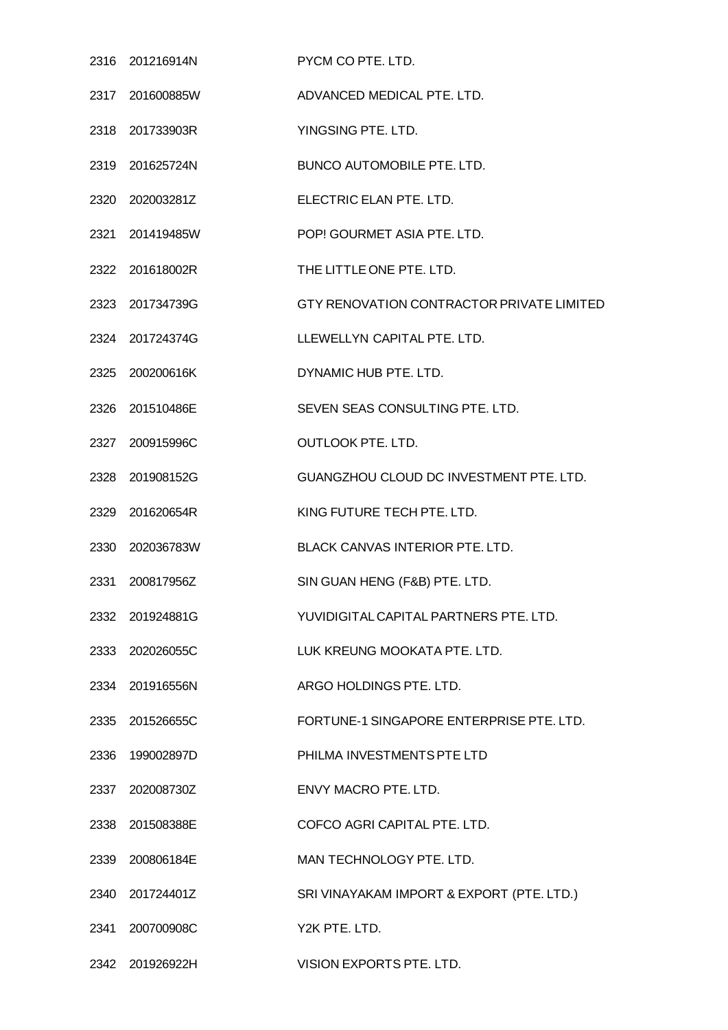| 2316 201216914N | PYCM CO PTE. LTD.                         |
|-----------------|-------------------------------------------|
| 2317 201600885W | ADVANCED MEDICAL PTE, LTD.                |
| 2318 201733903R | YINGSING PTE. LTD.                        |
| 2319 201625724N | <b>BUNCO AUTOMOBILE PTE. LTD.</b>         |
| 2320 202003281Z | ELECTRIC ELAN PTE. LTD.                   |
| 2321 201419485W | POP! GOURMET ASIA PTE. LTD.               |
| 2322 201618002R | THE LITTLE ONE PTE. LTD.                  |
| 2323 201734739G | GTY RENOVATION CONTRACTOR PRIVATE LIMITED |
| 2324 201724374G | LLEWELLYN CAPITAL PTE. LTD.               |
| 2325 200200616K | DYNAMIC HUB PTE, LTD.                     |
| 2326 201510486E | SEVEN SEAS CONSULTING PTE. LTD.           |
| 2327 200915996C | <b>OUTLOOK PTE. LTD.</b>                  |
| 2328 201908152G | GUANGZHOU CLOUD DC INVESTMENT PTE. LTD.   |
| 2329 201620654R | KING FUTURE TECH PTE. LTD.                |
| 2330 202036783W | BLACK CANVAS INTERIOR PTE. LTD.           |
| 2331 200817956Z | SIN GUAN HENG (F&B) PTE. LTD.             |
| 2332 201924881G | YUVIDIGITAL CAPITAL PARTNERS PTE, LTD.    |
| 2333 202026055C | LUK KREUNG MOOKATA PTE. LTD.              |
| 2334 201916556N | ARGO HOLDINGS PTE. LTD.                   |
| 2335 201526655C | FORTUNE-1 SINGAPORE ENTERPRISE PTE. LTD.  |
| 2336 199002897D | PHILMA INVESTMENTS PTE LTD                |
| 2337 202008730Z | ENVY MACRO PTE, LTD.                      |
| 2338 201508388E | COFCO AGRI CAPITAL PTE. LTD.              |
| 2339 200806184E | MAN TECHNOLOGY PTE. LTD.                  |
| 2340 201724401Z | SRI VINAYAKAM IMPORT & EXPORT (PTE. LTD.) |
| 2341 200700908C | Y2K PTE, LTD.                             |
| 2342 201926922H | VISION EXPORTS PTE. LTD.                  |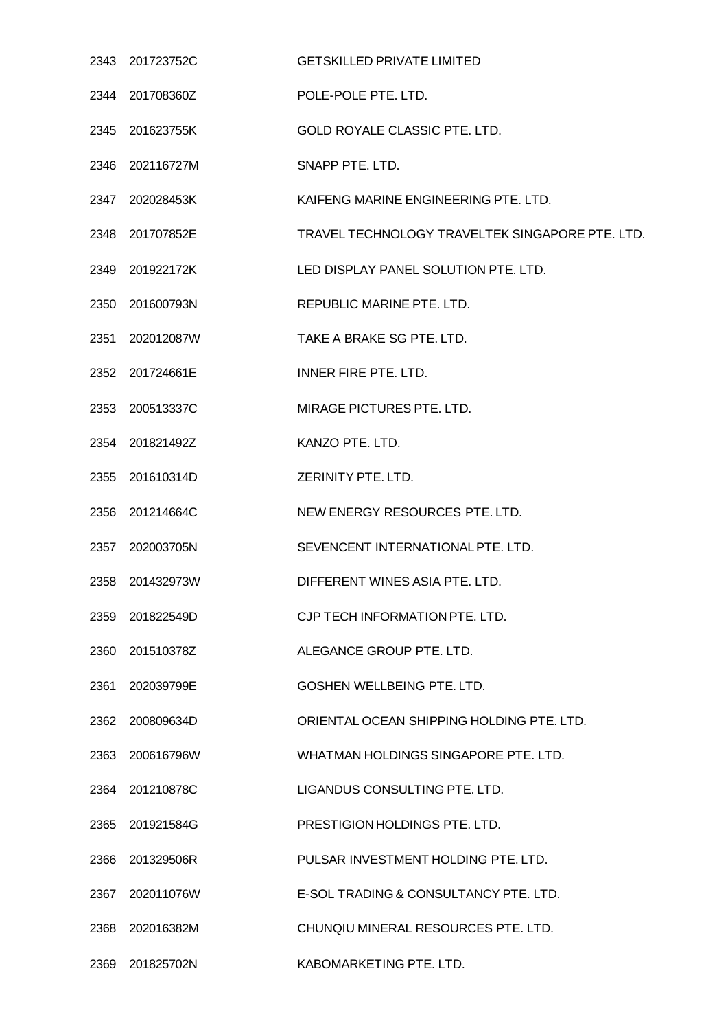|      | 2343 201723752C | <b>GETSKILLED PRIVATE LIMITED</b>               |
|------|-----------------|-------------------------------------------------|
|      | 2344 201708360Z | POLE-POLE PTE. LTD.                             |
|      | 2345 201623755K | <b>GOLD ROYALE CLASSIC PTE. LTD.</b>            |
|      | 2346 202116727M | SNAPP PTE. LTD.                                 |
|      | 2347 202028453K | KAIFENG MARINE ENGINEERING PTE. LTD.            |
|      | 2348 201707852E | TRAVEL TECHNOLOGY TRAVELTEK SINGAPORE PTE. LTD. |
|      | 2349 201922172K | LED DISPLAY PANEL SOLUTION PTE. LTD.            |
|      | 2350 201600793N | REPUBLIC MARINE PTE, LTD.                       |
|      | 2351 202012087W | TAKE A BRAKE SG PTE. LTD.                       |
|      | 2352 201724661E | INNER FIRE PTE, LTD.                            |
|      | 2353 200513337C | MIRAGE PICTURES PTE. LTD.                       |
|      | 2354 201821492Z | KANZO PTE. LTD.                                 |
|      | 2355 201610314D | ZERINITY PTE. LTD.                              |
|      | 2356 201214664C | NEW ENERGY RESOURCES PTE. LTD.                  |
|      | 2357 202003705N | SEVENCENT INTERNATIONAL PTE. LTD.               |
|      | 2358 201432973W | DIFFERENT WINES ASIA PTE, LTD.                  |
| 2359 | 201822549D      | CJP TECH INFORMATION PTE. LTD.                  |
|      | 2360 201510378Z | ALEGANCE GROUP PTE. LTD.                        |
| 2361 | 202039799E      | GOSHEN WELLBEING PTE. LTD.                      |
| 2362 | 200809634D      | ORIENTAL OCEAN SHIPPING HOLDING PTE, LTD.       |
|      | 2363 200616796W | WHATMAN HOLDINGS SINGAPORE PTE. LTD.            |
|      | 2364 201210878C | LIGANDUS CONSULTING PTE. LTD.                   |
|      | 2365 201921584G | PRESTIGION HOLDINGS PTE. LTD.                   |
|      | 2366 201329506R | PULSAR INVESTMENT HOLDING PTE. LTD.             |
| 2367 | 202011076W      | E-SOL TRADING & CONSULTANCY PTE. LTD.           |
|      | 2368 202016382M | CHUNQIU MINERAL RESOURCES PTE. LTD.             |
|      | 2369 201825702N | KABOMARKETING PTE. LTD.                         |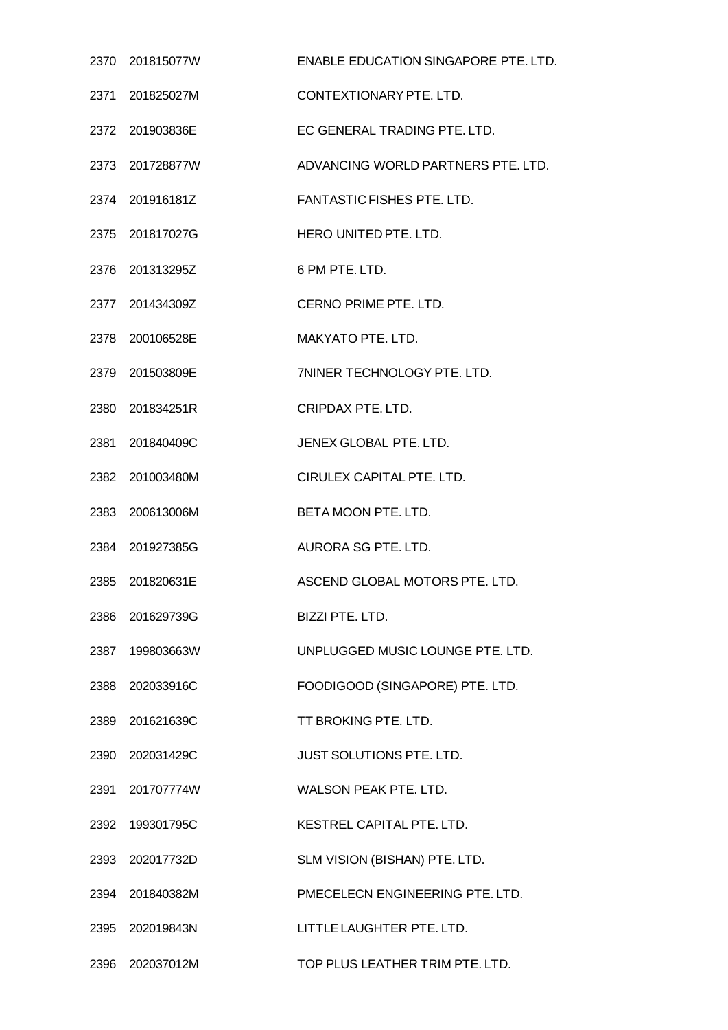| 2370 201815077W | ENABLE EDUCATION SINGAPORE PTE. LTD. |
|-----------------|--------------------------------------|
| 2371 201825027M | CONTEXTIONARY PTE, LTD.              |
| 2372 201903836E | EC GENERAL TRADING PTE. LTD.         |
| 2373 201728877W | ADVANCING WORLD PARTNERS PTE. LTD.   |
| 2374 201916181Z | <b>FANTASTIC FISHES PTE. LTD.</b>    |
| 2375 201817027G | HERO UNITED PTE. LTD.                |
| 2376 201313295Z | 6 PM PTE. LTD.                       |
| 2377 201434309Z | CERNO PRIME PTE. LTD.                |
| 2378 200106528E | MAKYATO PTE. LTD.                    |
| 2379 201503809E | 7NINER TECHNOLOGY PTE. LTD.          |
| 2380 201834251R | <b>CRIPDAX PTE. LTD.</b>             |
| 2381 201840409C | JENEX GLOBAL PTE. LTD.               |
| 2382 201003480M | CIRULEX CAPITAL PTE. LTD.            |
| 2383 200613006M | BETA MOON PTE. LTD.                  |
| 2384 201927385G | AURORA SG PTE. LTD.                  |
| 2385 201820631E | ASCEND GLOBAL MOTORS PTE. LTD.       |
| 2386 201629739G | BIZZI PTE. LTD.                      |
| 2387 199803663W | UNPLUGGED MUSIC LOUNGE PTE. LTD.     |
| 2388 202033916C | FOODIGOOD (SINGAPORE) PTE. LTD.      |
| 2389 201621639C | TT BROKING PTE. LTD.                 |
| 2390 202031429C | JUST SOLUTIONS PTE. LTD.             |
| 2391 201707774W | WALSON PEAK PTE. LTD.                |
| 2392 199301795C | KESTREL CAPITAL PTE, LTD.            |
| 2393 202017732D | SLM VISION (BISHAN) PTE. LTD.        |
| 2394 201840382M | PMECELECN ENGINEERING PTE. LTD.      |
| 2395 202019843N | LITTLE LAUGHTER PTE. LTD.            |
| 2396 202037012M | TOP PLUS LEATHER TRIM PTE. LTD.      |